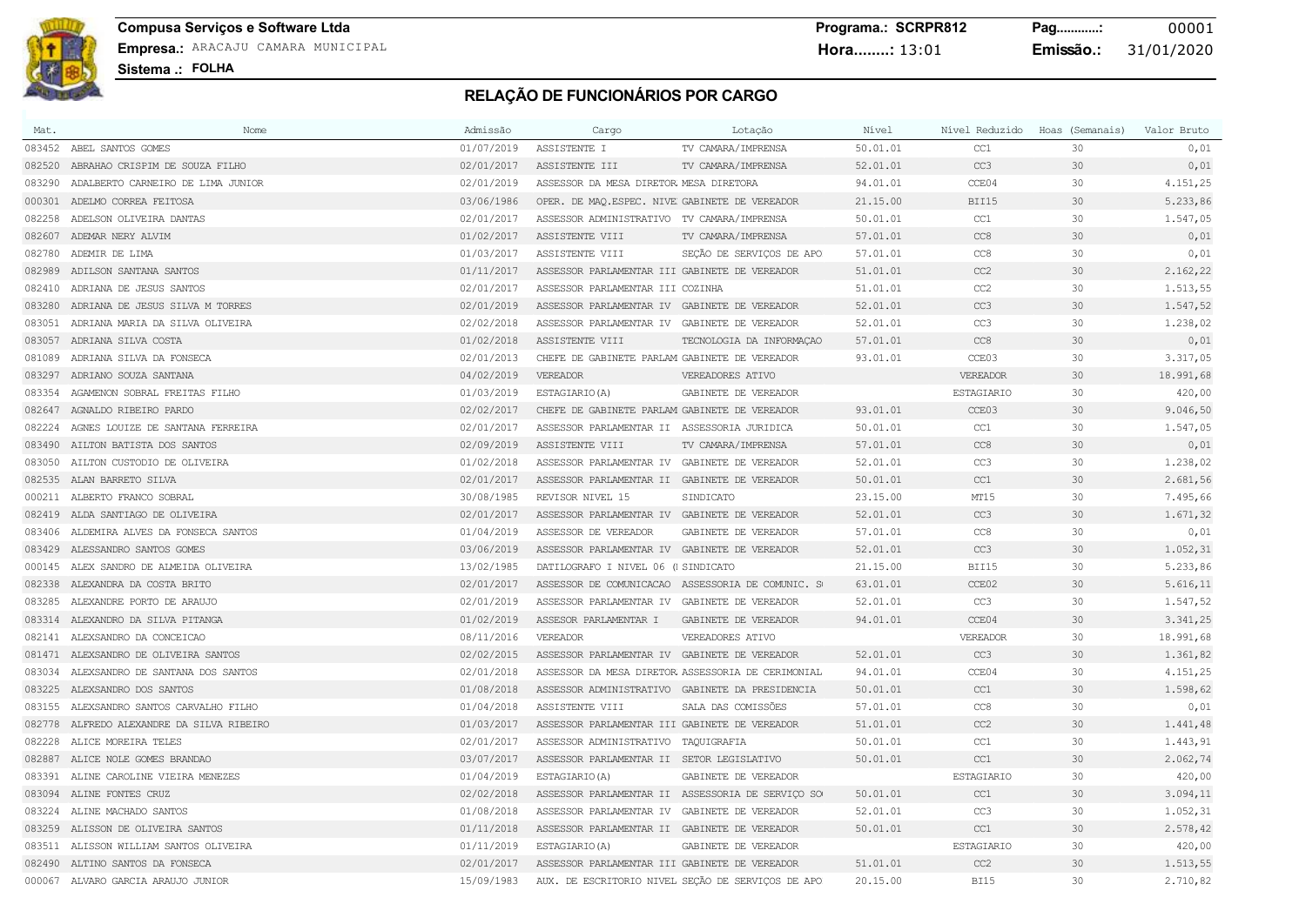**Compusa Serviços e Software Ltda Programa.: SCRPR812 Pag............:** 00001 **Empresa.:** ARACAJU CAMARA MUNICIPAL **Hora........:** 13:01 **Emissão.:** 31/01/2020

**Sistema .: FOLHA**

| Mat.   | Nome                                    | Admissão   | Cargo                                           | Lotação                                           | Nível      |                   | Nível Reduzido Hoas (Semanais) | Valor Bruto |
|--------|-----------------------------------------|------------|-------------------------------------------------|---------------------------------------------------|------------|-------------------|--------------------------------|-------------|
|        | 083452 ABEL SANTOS GOMES                | 01/07/2019 | ASSISTENTE I                                    | TV CAMARA/IMPRENSA                                | 50.01.01   | CC1               | 30                             | 0,01        |
|        | 082520 ABRAHAO CRISPIM DE SOUZA FILHO   | 02/01/2017 | ASSISTENTE III                                  | TV CAMARA/IMPRENSA                                | 52.01.01   | CC3               | 30                             | 0,01        |
| 083290 | ADALBERTO CARNEIRO DE LIMA JUNIOR       | 02/01/2019 | ASSESSOR DA MESA DIRETOR MESA DIRETORA          |                                                   | 94.01.01   | CCE04             | 30                             | 4.151,25    |
|        | 000301 ADELMO CORREA FEITOSA            | 03/06/1986 | OPER. DE MAO.ESPEC. NIVE GABINETE DE VEREADOR   |                                                   | 21, 15, 00 | BII15             | 30                             | 5.233,86    |
| 082258 | ADELSON OLIVEIRA DANTAS                 | 02/01/2017 | ASSESSOR ADMINISTRATIVO TV CAMARA/IMPRENSA      |                                                   | 50.01.01   | CC1               | 30                             | 1.547,05    |
|        | 082607 ADEMAR NERY ALVIM                | 01/02/2017 | ASSISTENTE VIII                                 | TV CAMARA/IMPRENSA                                | 57.01.01   | CC <sub>8</sub>   | 30                             | 0,01        |
| 082780 | ADEMIR DE LIMA                          | 01/03/2017 | ASSISTENTE VIII                                 | SEÇÃO DE SERVIÇOS DE APO                          | 57.01.01   | CC8               | 30                             | 0,01        |
|        | 082989 ADILSON SANTANA SANTOS           | 01/11/2017 | ASSESSOR PARLAMENTAR III GABINETE DE VEREADOR   |                                                   | 51.01.01   | CC2               | 30                             | 2.162,22    |
|        | 082410 ADRIANA DE JESUS SANTOS          | 02/01/2017 | ASSESSOR PARLAMENTAR III COZINHA                |                                                   | 51.01.01   | CC2               | 30                             | 1.513,55    |
| 083280 | ADRIANA DE JESUS SILVA M TORRES         | 02/01/2019 | ASSESSOR PARLAMENTAR IV GABINETE DE VEREADOR    |                                                   | 52.01.01   | CC3               | 30                             | 1.547,52    |
|        | 083051 ADRIANA MARIA DA SILVA OLIVEIRA  | 02/02/2018 | ASSESSOR PARLAMENTAR IV GABINETE DE VEREADOR    |                                                   | 52.01.01   | CC <sub>3</sub>   | 30                             | 1.238,02    |
|        | 083057 ADRIANA SILVA COSTA              | 01/02/2018 | ASSISTENTE VIII                                 | TECNOLOGIA DA INFORMAÇÃO                          | 57.01.01   | CC8               | 30                             | 0,01        |
| 081089 | ADRIANA SILVA DA FONSECA                | 02/01/2013 | CHEFE DE GABINETE PARLAM GABINETE DE VEREADOR   |                                                   | 93.01.01   | CCE03             | 30                             | 3.317,05    |
|        | 083297 ADRIANO SOUZA SANTANA            | 04/02/2019 | VEREADOR                                        | VEREADORES ATIVO                                  |            | VEREADOR          | 30                             | 18.991,68   |
| 083354 | AGAMENON SOBRAL FREITAS FILHO           | 01/03/2019 | ESTAGIARIO (A)                                  | GABINETE DE VEREADOR                              |            | <b>ESTAGIARIO</b> | 30                             | 420,00      |
|        | 082647 AGNALDO RIBEIRO PARDO            | 02/02/2017 | CHEFE DE GABINETE PARLAM GABINETE DE VEREADOR   |                                                   | 93.01.01   | CCE03             | 30                             | 9.046,50    |
| 082224 | AGNES LOUIZE DE SANTANA FERREIRA        | 02/01/2017 | ASSESSOR PARLAMENTAR II ASSESSORIA JURIDICA     |                                                   | 50.01.01   | CC1               | 30                             | 1.547,05    |
|        | 083490 AILTON BATISTA DOS SANTOS        | 02/09/2019 | ASSISTENTE VIII                                 | TV CAMARA/IMPRENSA                                | 57.01.01   | CC <sub>8</sub>   | 30                             | 0,01        |
| 083050 | AILTON CUSTODIO DE OLIVEIRA             | 01/02/2018 | ASSESSOR PARLAMENTAR IV GABINETE DE VEREADOR    |                                                   | 52.01.01   | CC3               | 30                             | 1.238,02    |
|        | 082535 ALAN BARRETO SILVA               | 02/01/2017 | ASSESSOR PARLAMENTAR II GABINETE DE VEREADOR    |                                                   | 50.01.01   | CC1               | 30                             | 2.681,56    |
|        | 000211 ALBERTO FRANCO SOBRAL            | 30/08/1985 | REVISOR NIVEL 15                                | SINDICATO                                         | 23.15.00   | MT15              | 30                             | 7.495,66    |
|        | 082419 ALDA SANTIAGO DE OLIVEIRA        | 02/01/2017 | ASSESSOR PARLAMENTAR IV GABINETE DE VEREADOR    |                                                   | 52.01.01   | CC3               | 30                             | 1.671,32    |
| 083406 | ALDEMIRA ALVES DA FONSECA SANTOS        | 01/04/2019 | ASSESSOR DE VEREADOR                            | GABINETE DE VEREADOR                              | 57.01.01   | CC <sub>8</sub>   | 30                             | 0,01        |
| 083429 | ALESSANDRO SANTOS GOMES                 | 03/06/2019 | ASSESSOR PARLAMENTAR IV GABINETE DE VEREADOR    |                                                   | 52.01.01   | CC <sub>3</sub>   | 30                             | 1.052,31    |
|        | 000145 ALEX SANDRO DE ALMEIDA OLIVEIRA  | 13/02/1985 | DATILOGRAFO I NIVEL 06 (I SINDICATO             |                                                   | 21.15.00   | BII15             | 30                             | 5.233,86    |
|        | 082338 ALEXANDRA DA COSTA BRITO         | 02/01/2017 |                                                 | ASSESSOR DE COMUNICACAO ASSESSORIA DE COMUNIC. SO | 63.01.01   | CCE02             | 30                             | 5.616,11    |
| 083285 | ALEXANDRE PORTO DE ARAUJO               | 02/01/2019 | ASSESSOR PARLAMENTAR IV GABINETE DE VEREADOR    |                                                   | 52.01.01   | CC <sub>3</sub>   | 30                             | 1.547,52    |
|        | 083314 ALEXANDRO DA SILVA PITANGA       | 01/02/2019 | ASSESOR PARLAMENTAR I                           | GABINETE DE VEREADOR                              | 94.01.01   | CCE04             | 30                             | 3.341,25    |
| 082141 | ALEXSANDRO DA CONCEICAO                 | 08/11/2016 | VEREADOR                                        | VEREADORES ATIVO                                  |            | VEREADOR          | 30                             | 18.991,68   |
|        | 081471 ALEXSANDRO DE OLIVEIRA SANTOS    | 02/02/2015 | ASSESSOR PARLAMENTAR IV GABINETE DE VEREADOR    |                                                   | 52.01.01   | CC <sub>3</sub>   | 30                             | 1.361,82    |
| 083034 | ALEXSANDRO DE SANTANA DOS SANTOS        | 02/01/2018 |                                                 | ASSESSOR DA MESA DIRETOR ASSESSORIA DE CERIMONIAL | 94.01.01   | CCE04             | 30                             | 4.151,25    |
|        | 083225 ALEXSANDRO DOS SANTOS            | 01/08/2018 | ASSESSOR ADMINISTRATIVO GABINETE DA PRESIDENCIA |                                                   | 50.01.01   | CC1               | 30                             | 1.598,62    |
|        | 083155 ALEXSANDRO SANTOS CARVALHO FILHO | 01/04/2018 | ASSISTENTE VIII                                 | SALA DAS COMISSÕES                                | 57.01.01   | CC <sub>8</sub>   | 30                             | 0,01        |
| 082778 | ALFREDO ALEXANDRE DA SILVA RIBEIRO      | 01/03/2017 | ASSESSOR PARLAMENTAR III GABINETE DE VEREADOR   |                                                   | 51.01.01   | CC2               | 30                             | 1.441,48    |
| 082228 | ALICE MOREIRA TELES                     | 02/01/2017 | ASSESSOR ADMINISTRATIVO TAQUIGRAFIA             |                                                   | 50.01.01   | CC1               | 30                             | 1.443,91    |
| 082887 | ALICE NOLE GOMES BRANDAO                | 03/07/2017 | ASSESSOR PARLAMENTAR II SETOR LEGISLATIVO       |                                                   | 50.01.01   | CC1               | 30                             | 2.062,74    |
| 083391 | ALINE CAROLINE VIEIRA MENEZES           | 01/04/2019 | ESTAGIARIO (A)                                  | GABINETE DE VEREADOR                              |            | <b>ESTAGIARIO</b> | 30                             | 420,00      |
|        | 083094 ALINE FONTES CRUZ                | 02/02/2018 |                                                 | ASSESSOR PARLAMENTAR II ASSESSORIA DE SERVIÇO SO  | 50.01.01   | CC1               | 30                             | 3.094, 11   |
|        | 083224 ALINE MACHADO SANTOS             | 01/08/2018 | ASSESSOR PARLAMENTAR IV GABINETE DE VEREADOR    |                                                   | 52.01.01   | CC <sub>3</sub>   | 30                             | 1.052,31    |
|        | 083259 ALISSON DE OLIVEIRA SANTOS       | 01/11/2018 | ASSESSOR PARLAMENTAR II GABINETE DE VEREADOR    |                                                   | 50.01.01   | CC1               | 30                             | 2.578,42    |
| 083511 | ALISSON WILLIAM SANTOS OLIVEIRA         | 01/11/2019 | ESTAGIARIO (A)                                  | GABINETE DE VEREADOR                              |            | <b>ESTAGIARIO</b> | 30                             | 420,00      |
|        | 082490 ALTINO SANTOS DA FONSECA         | 02/01/2017 | ASSESSOR PARLAMENTAR III GABINETE DE VEREADOR   |                                                   | 51.01.01   | CC2               | 30                             | 1.513,55    |
|        | 000067 ALVARO GARCIA ARAUJO JUNIOR      | 15/09/1983 |                                                 | AUX. DE ESCRITORIO NIVEL SEÇÃO DE SERVIÇOS DE APO | 20.15.00   | <b>BI15</b>       | 30                             | 2.710,82    |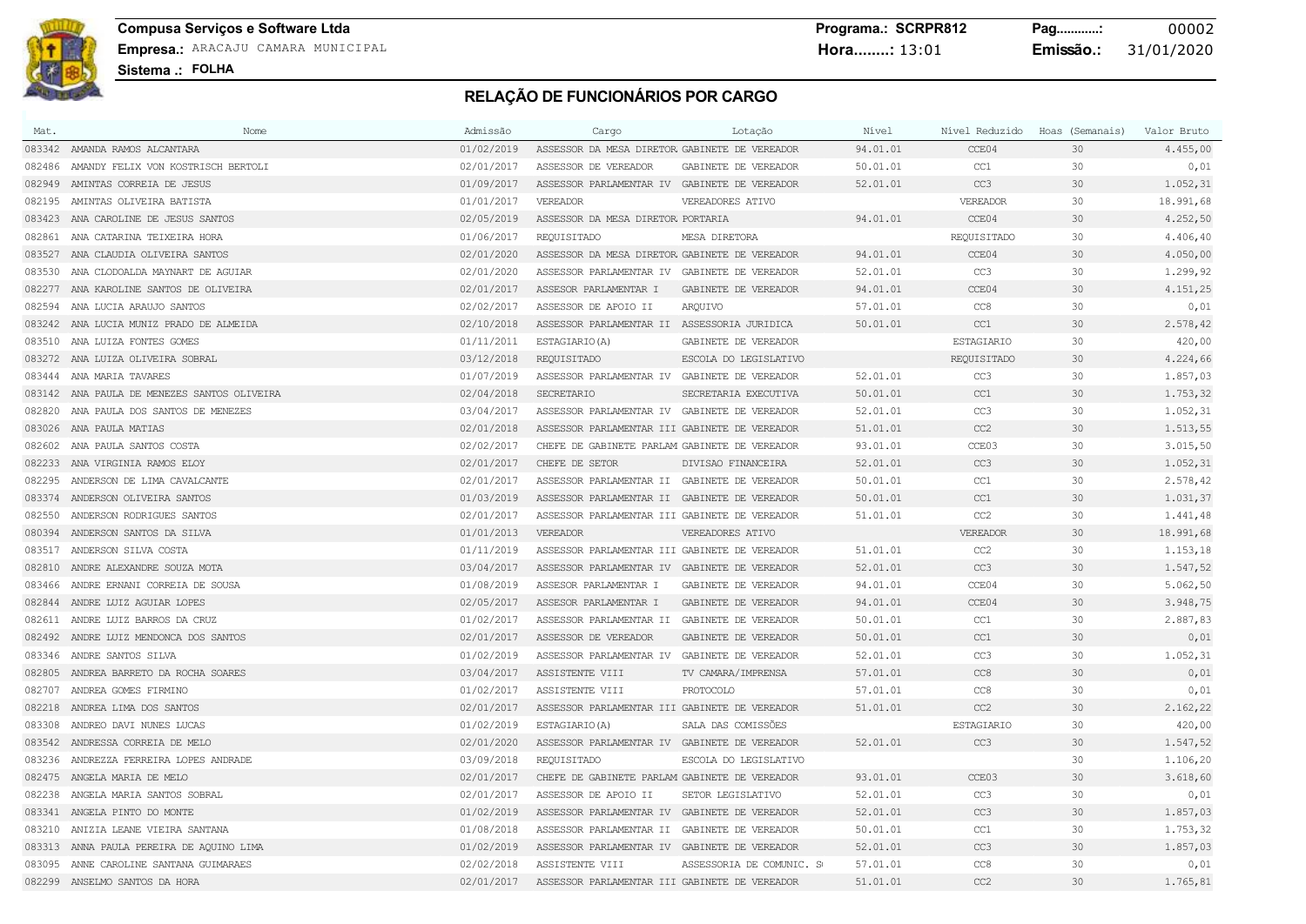| Mat.   | Nome                                        | Admissão   | Cargo                                         | Lotação                  | Nível    |                   | Nível Reduzido Hoas (Semanais) | Valor Bruto |
|--------|---------------------------------------------|------------|-----------------------------------------------|--------------------------|----------|-------------------|--------------------------------|-------------|
|        | 083342 AMANDA RAMOS ALCANTARA               | 01/02/2019 | ASSESSOR DA MESA DIRETOR GABINETE DE VEREADOR |                          | 94.01.01 | CCE04             | 30                             | 4.455,00    |
|        | 082486 AMANDY FELIX VON KOSTRISCH BERTOLI   | 02/01/2017 | ASSESSOR DE VEREADOR                          | GABINETE DE VEREADOR     | 50.01.01 | CC1               | 30                             | 0,01        |
|        | 082949 AMINTAS CORREIA DE JESUS             | 01/09/2017 | ASSESSOR PARLAMENTAR IV GABINETE DE VEREADOR  |                          | 52.01.01 | CC3               | 30                             | 1.052,31    |
| 082195 | AMINTAS OLIVEIRA BATISTA                    | 01/01/2017 | VEREADOR                                      | VEREADORES ATIVO         |          | VEREADOR          | 30                             | 18.991,68   |
|        | 083423 ANA CAROLINE DE JESUS SANTOS         | 02/05/2019 | ASSESSOR DA MESA DIRETOR PORTARIA             |                          | 94.01.01 | CCE04             | 30                             | 4.252,50    |
|        | 082861 ANA CATARINA TEIXEIRA HORA           | 01/06/2017 | REQUISITADO                                   | MESA DIRETORA            |          | REQUISITADO       | 30                             | 4.406,40    |
| 083527 | ANA CLAUDIA OLIVEIRA SANTOS                 | 02/01/2020 | ASSESSOR DA MESA DIRETOR GABINETE DE VEREADOR |                          | 94.01.01 | CCE04             | 30                             | 4.050,00    |
| 083530 | ANA CLODOALDA MAYNART DE AGUIAR             | 02/01/2020 | ASSESSOR PARLAMENTAR IV GABINETE DE VEREADOR  |                          | 52.01.01 | CC3               | 30                             | 1.299,92    |
|        | 082277 ANA KAROLINE SANTOS DE OLIVEIRA      | 02/01/2017 | ASSESOR PARLAMENTAR I                         | GABINETE DE VEREADOR     | 94.01.01 | CCE04             | 30                             | 4.151,25    |
| 082594 | ANA LUCIA ARAUJO SANTOS                     | 02/02/2017 | ASSESSOR DE APOIO II                          | ARQUIVO                  | 57.01.01 | CC <sub>8</sub>   | 30                             | 0,01        |
|        | 083242 ANA LUCIA MUNIZ PRADO DE ALMEIDA     | 02/10/2018 | ASSESSOR PARLAMENTAR II ASSESSORIA JURIDICA   |                          | 50.01.01 | CC1               | 30                             | 2.578,42    |
|        | 083510 ANA LUIZA FONTES GOMES               | 01/11/2011 | ESTAGIARIO (A)                                | GABINETE DE VEREADOR     |          | <b>ESTAGIARIO</b> | 30                             | 420,00      |
|        | 083272 ANA LUIZA OLIVEIRA SOBRAL            | 03/12/2018 | REQUISITADO                                   | ESCOLA DO LEGISLATIVO    |          | REQUISITADO       | 30                             | 4.224,66    |
|        | 083444 ANA MARIA TAVARES                    | 01/07/2019 | ASSESSOR PARLAMENTAR IV GABINETE DE VEREADOR  |                          | 52.01.01 | CC <sub>3</sub>   | 30                             | 1.857,03    |
|        | 083142 ANA PAULA DE MENEZES SANTOS OLIVEIRA | 02/04/2018 | SECRETARIO                                    | SECRETARIA EXECUTIVA     | 50.01.01 | CC1               | 30                             | 1.753,32    |
|        | 082820 ANA PAULA DOS SANTOS DE MENEZES      | 03/04/2017 | ASSESSOR PARLAMENTAR IV GABINETE DE VEREADOR  |                          | 52.01.01 | CC3               | 30                             | 1.052, 31   |
|        | 083026 ANA PAULA MATIAS                     | 02/01/2018 | ASSESSOR PARLAMENTAR III GABINETE DE VEREADOR |                          | 51.01.01 | CC2               | 30                             | 1.513,55    |
|        | 082602 ANA PAULA SANTOS COSTA               | 02/02/2017 | CHEFE DE GABINETE PARLAM GABINETE DE VEREADOR |                          | 93.01.01 | CCE03             | 30                             | 3.015, 50   |
|        | 082233 ANA VIRGINIA RAMOS ELOY              | 02/01/2017 | CHEFE DE SETOR                                | DIVISAO FINANCEIRA       | 52.01.01 | CC3               | 30                             | 1.052,31    |
| 082295 | ANDERSON DE LIMA CAVALCANTE                 | 02/01/2017 | ASSESSOR PARLAMENTAR II GABINETE DE VEREADOR  |                          | 50.01.01 | CC1               | 30                             | 2.578,42    |
|        | 083374 ANDERSON OLIVEIRA SANTOS             | 01/03/2019 | ASSESSOR PARLAMENTAR II GABINETE DE VEREADOR  |                          | 50.01.01 | CC1               | 30                             | 1.031,37    |
| 082550 | ANDERSON RODRIGUES SANTOS                   | 02/01/2017 | ASSESSOR PARLAMENTAR III GABINETE DE VEREADOR |                          | 51.01.01 | CC2               | 30                             | 1.441,48    |
|        | 080394 ANDERSON SANTOS DA SILVA             | 01/01/2013 | VEREADOR                                      | VEREADORES ATIVO         |          | VEREADOR          | 30                             | 18.991,68   |
|        | 083517 ANDERSON SILVA COSTA                 | 01/11/2019 | ASSESSOR PARLAMENTAR III GABINETE DE VEREADOR |                          | 51.01.01 | CC2               | 30                             | 1.153,18    |
|        | 082810 ANDRE ALEXANDRE SOUZA MOTA           | 03/04/2017 | ASSESSOR PARLAMENTAR IV GABINETE DE VEREADOR  |                          | 52.01.01 | CC3               | 30                             | 1.547,52    |
|        | 083466 ANDRE ERNANI CORREIA DE SOUSA        | 01/08/2019 | ASSESOR PARLAMENTAR I                         | GABINETE DE VEREADOR     | 94.01.01 | CCE04             | 30                             | 5.062,50    |
|        | 082844 ANDRE LUIZ AGUIAR LOPES              | 02/05/2017 | ASSESOR PARLAMENTAR I                         | GABINETE DE VEREADOR     | 94.01.01 | CCE04             | 30                             | 3.948,75    |
|        | 082611 ANDRE LUIZ BARROS DA CRUZ            | 01/02/2017 | ASSESSOR PARLAMENTAR II GABINETE DE VEREADOR  |                          | 50.01.01 | CC1               | 30                             | 2.887,83    |
|        | 082492 ANDRE LUIZ MENDONCA DOS SANTOS       | 02/01/2017 | ASSESSOR DE VEREADOR                          | GABINETE DE VEREADOR     | 50.01.01 | CC1               | 30                             | 0,01        |
|        | 083346 ANDRE SANTOS SILVA                   | 01/02/2019 | ASSESSOR PARLAMENTAR IV GABINETE DE VEREADOR  |                          | 52.01.01 | CC3               | 30                             | 1.052,31    |
|        | 082805 ANDREA BARRETO DA ROCHA SOARES       | 03/04/2017 | ASSISTENTE VIII                               | TV CAMARA/IMPRENSA       | 57.01.01 | CC8               | 30                             | 0,01        |
|        | 082707 ANDREA GOMES FIRMINO                 | 01/02/2017 | ASSISTENTE VIII                               | PROTOCOLO                | 57.01.01 | CC <sub>8</sub>   | 30                             | 0,01        |
|        | 082218 ANDREA LIMA DOS SANTOS               | 02/01/2017 | ASSESSOR PARLAMENTAR III GABINETE DE VEREADOR |                          | 51.01.01 | CC2               | 30                             | 2.162,22    |
| 083308 | ANDREO DAVI NUNES LUCAS                     | 01/02/2019 | ESTAGIARIO (A)                                | SALA DAS COMISSÕES       |          | <b>ESTAGIARIO</b> | 30                             | 420,00      |
|        | 083542 ANDRESSA CORREIA DE MELO             | 02/01/2020 | ASSESSOR PARLAMENTAR IV GABINETE DE VEREADOR  |                          | 52.01.01 | CC3               | 30                             | 1.547,52    |
|        | 083236 ANDREZZA FERREIRA LOPES ANDRADE      | 03/09/2018 | REQUISITADO                                   | ESCOLA DO LEGISLATIVO    |          |                   | 30                             | 1.106,20    |
|        | 082475 ANGELA MARIA DE MELO                 | 02/01/2017 | CHEFE DE GABINETE PARLAM GABINETE DE VEREADOR |                          | 93.01.01 | CCE03             | 30                             | 3.618,60    |
| 082238 | ANGELA MARIA SANTOS SOBRAL                  | 02/01/2017 | ASSESSOR DE APOIO II                          | SETOR LEGISLATIVO        | 52.01.01 | CC <sub>3</sub>   | 30                             | 0,01        |
|        | 083341 ANGELA PINTO DO MONTE                | 01/02/2019 | ASSESSOR PARLAMENTAR IV GABINETE DE VEREADOR  |                          | 52.01.01 | CC3               | 30                             | 1.857,03    |
|        | 083210 ANIZIA LEANE VIEIRA SANTANA          | 01/08/2018 | ASSESSOR PARLAMENTAR II GABINETE DE VEREADOR  |                          | 50.01.01 | CC1               | 30                             | 1.753,32    |
|        | 083313 ANNA PAULA PEREIRA DE AQUINO LIMA    | 01/02/2019 | ASSESSOR PARLAMENTAR IV GABINETE DE VEREADOR  |                          | 52.01.01 | CC3               | 30                             | 1.857,03    |
|        | 083095 ANNE CAROLINE SANTANA GUIMARAES      | 02/02/2018 | ASSISTENTE VIII                               | ASSESSORIA DE COMUNIC. S | 57.01.01 | CC8               | 30                             | 0,01        |
|        | 082299 ANSELMO SANTOS DA HORA               | 02/01/2017 | ASSESSOR PARLAMENTAR III GABINETE DE VEREADOR |                          | 51.01.01 | CC2               | 30                             | 1.765,81    |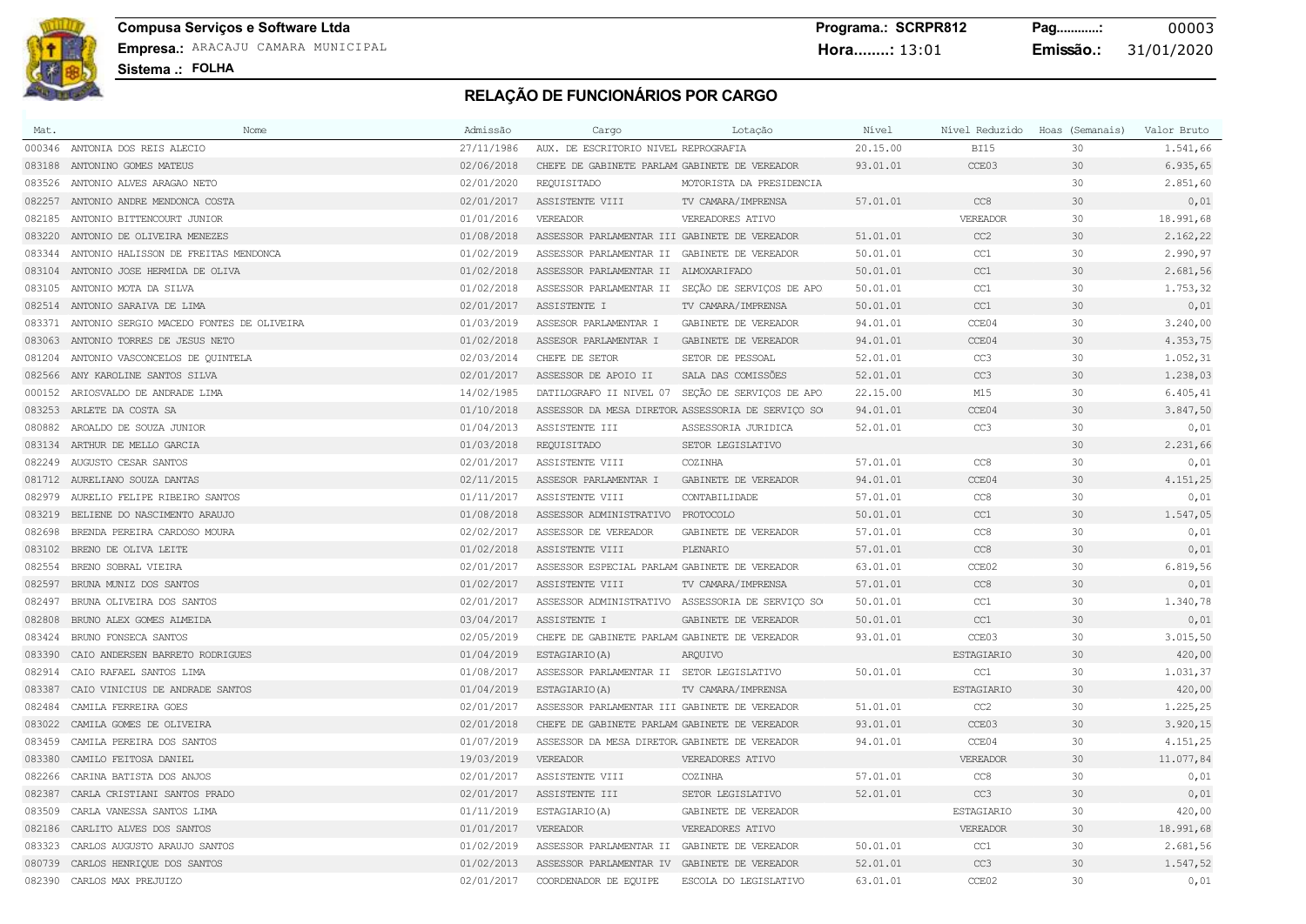**Compusa Serviços e Software Ltda Programa.: SCRPR812 Pag............:** 00003 **Empresa.:** ARACAJU CAMARA MUNICIPAL **Hora........:** 13:01 **Emissão.:** 31/01/2020

### **Sistema .: FOLHA**

| Mat.   | Nome                                     | Admissão   | Cargo                                         | Lotação                                           | Nível    | Nível Reduzido | Hoas (Semanais) | Valor Bruto |
|--------|------------------------------------------|------------|-----------------------------------------------|---------------------------------------------------|----------|----------------|-----------------|-------------|
|        | 000346 ANTONIA DOS REIS ALECIO           | 27/11/1986 | AUX. DE ESCRITORIO NIVEL REPROGRAFIA          |                                                   | 20.15.00 | BI15           | 30              | 1.541,66    |
|        | 083188 ANTONINO GOMES MATEUS             | 02/06/2018 | CHEFE DE GABINETE PARLAM GABINETE DE VEREADOR |                                                   | 93.01.01 | CCE03          | 30              | 6.935,65    |
|        | 083526 ANTONIO ALVES ARAGAO NETO         | 02/01/2020 | REQUISITADO                                   | MOTORISTA DA PRESIDENCIA                          |          |                | 30              | 2.851,60    |
| 082257 | ANTONIO ANDRE MENDONCA COSTA             | 02/01/2017 | ASSISTENTE VIII                               | TV CAMARA/IMPRENSA                                | 57.01.01 | CC8            | 30              | 0,01        |
| 082185 | ANTONIO BITTENCOURT JUNIOR               | 01/01/2016 | VEREADOR                                      | VEREADORES ATIVO                                  |          | VEREADOR       | 30              | 18.991,68   |
|        | 083220 ANTONIO DE OLIVEIRA MENEZES       | 01/08/2018 | ASSESSOR PARLAMENTAR III GABINETE DE VEREADOR |                                                   | 51.01.01 | CC2            | 30              | 2.162,22    |
| 083344 | ANTONIO HALISSON DE FREITAS MENDONCA     | 01/02/2019 | ASSESSOR PARLAMENTAR II GABINETE DE VEREADOR  |                                                   | 50.01.01 | CC1            | 30              | 2.990,97    |
| 083104 | ANTONIO JOSE HERMIDA DE OLIVA            | 01/02/2018 | ASSESSOR PARLAMENTAR II ALMOXARIFADO          |                                                   | 50.01.01 | CC1            | 30              | 2.681,56    |
| 083105 | ANTONIO MOTA DA SILVA                    | 01/02/2018 |                                               | ASSESSOR PARLAMENTAR II SEÇÃO DE SERVIÇOS DE APO  | 50.01.01 | CC1            | 30              | 1.753,32    |
|        | 082514 ANTONIO SARAIVA DE LIMA           | 02/01/2017 | ASSISTENTE I                                  | TV CAMARA/IMPRENSA                                | 50.01.01 | CC1            | 30              | 0,01        |
| 083371 | ANTONIO SERGIO MACEDO FONTES DE OLIVEIRA | 01/03/2019 | ASSESOR PARLAMENTAR I                         | GABINETE DE VEREADOR                              | 94.01.01 | CCE04          | 30              | 3.240,00    |
|        | 083063 ANTONIO TORRES DE JESUS NETO      | 01/02/2018 | ASSESOR PARLAMENTAR I                         | GABINETE DE VEREADOR                              | 94.01.01 | CCE04          | 30              | 4.353,75    |
| 081204 | ANTONIO VASCONCELOS DE OUINTELA          | 02/03/2014 | CHEFE DE SETOR                                | SETOR DE PESSOAL                                  | 52.01.01 | CC3            | 30              | 1.052,31    |
|        | 082566 ANY KAROLINE SANTOS SILVA         | 02/01/2017 | ASSESSOR DE APOIO II                          | SALA DAS COMISSÕES                                | 52.01.01 | CC3            | 30              | 1.238,03    |
|        | 000152 ARIOSVALDO DE ANDRADE LIMA        | 14/02/1985 |                                               | DATILOGRAFO II NIVEL 07 SEÇÃO DE SERVIÇOS DE APO  | 22.15.00 | M15            | 30              | 6.405, 41   |
|        | 083253 ARLETE DA COSTA SA                | 01/10/2018 |                                               | ASSESSOR DA MESA DIRETOR ASSESSORIA DE SERVIÇO SO | 94.01.01 | CCE04          | 30              | 3.847,50    |
| 080882 | AROALDO DE SOUZA JUNIOR                  | 01/04/2013 | ASSISTENTE III                                | ASSESSORIA JURIDICA                               | 52.01.01 | CC3            | 30              | 0,01        |
|        | 083134 ARTHUR DE MELLO GARCIA            | 01/03/2018 | REQUISITADO                                   | SETOR LEGISLATIVO                                 |          |                | 30              | 2.231,66    |
| 082249 | AUGUSTO CESAR SANTOS                     | 02/01/2017 | ASSISTENTE VIII                               | COZINHA                                           | 57.01.01 | CC8            | 30              | 0,01        |
|        | 081712 AURELIANO SOUZA DANTAS            | 02/11/2015 | ASSESOR PARLAMENTAR I                         | GABINETE DE VEREADOR                              | 94.01.01 | CCE04          | 30              | 4.151,25    |
| 082979 | AURELIO FELIPE RIBEIRO SANTOS            | 01/11/2017 | ASSISTENTE VIII                               | CONTABILIDADE                                     | 57.01.01 | CC8            | 30              | 0,01        |
| 083219 | BELIENE DO NASCIMENTO ARAUJO             | 01/08/2018 | ASSESSOR ADMINISTRATIVO PROTOCOLO             |                                                   | 50.01.01 | CC1            | 30              | 1.547,05    |
| 082698 | BRENDA PEREIRA CARDOSO MOURA             | 02/02/2017 | ASSESSOR DE VEREADOR                          | GABINETE DE VEREADOR                              | 57.01.01 | CC8            | 30              | 0,01        |
| 083102 | BRENO DE OLIVA LEITE                     | 01/02/2018 | ASSISTENTE VIII                               | PLENARIO                                          | 57.01.01 | CC8            | 30              | 0,01        |
| 082554 | BRENO SOBRAL VIEIRA                      | 02/01/2017 | ASSESSOR ESPECIAL PARLAM GABINETE DE VEREADOR |                                                   | 63.01.01 | CCE02          | 30              | 6.819,56    |
| 082597 | BRUNA MUNIZ DOS SANTOS                   | 01/02/2017 | ASSISTENTE VIII                               | TV CAMARA/IMPRENSA                                | 57.01.01 | CC8            | 30              | 0,01        |
| 082497 | BRUNA OLIVEIRA DOS SANTOS                | 02/01/2017 |                                               | ASSESSOR ADMINISTRATIVO ASSESSORIA DE SERVIÇO SO  | 50.01.01 | CC1            | 30              | 1.340,78    |
| 082808 | BRUNO ALEX GOMES ALMEIDA                 | 03/04/2017 | ASSISTENTE I                                  | GABINETE DE VEREADOR                              | 50.01.01 | CC1            | 30              | 0,01        |
| 083424 | BRUNO FONSECA SANTOS                     | 02/05/2019 | CHEFE DE GABINETE PARLAM GABINETE DE VEREADOR |                                                   | 93.01.01 | CCE03          | 30              | 3.015,50    |
| 083390 | CAIO ANDERSEN BARRETO RODRIGUES          | 01/04/2019 | ESTAGIARIO (A)                                | ARQUIVO                                           |          | ESTAGIARIO     | 30              | 420,00      |
| 082914 | CAIO RAFAEL SANTOS LIMA                  | 01/08/2017 | ASSESSOR PARLAMENTAR II SETOR LEGISLATIVO     |                                                   | 50.01.01 | CC1            | 30              | 1.031,37    |
| 083387 | CAIO VINICIUS DE ANDRADE SANTOS          | 01/04/2019 | ESTAGIARIO (A)                                | TV CAMARA/IMPRENSA                                |          | ESTAGIARIO     | 30              | 420,00      |
| 082484 | CAMILA FERREIRA GOES                     | 02/01/2017 | ASSESSOR PARLAMENTAR III GABINETE DE VEREADOR |                                                   | 51.01.01 | CC2            | 30              | 1.225,25    |
| 083022 | CAMILA GOMES DE OLIVEIRA                 | 02/01/2018 | CHEFE DE GABINETE PARLAM GABINETE DE VEREADOR |                                                   | 93.01.01 | CCE03          | 30              | 3.920,15    |
| 083459 | CAMILA PEREIRA DOS SANTOS                | 01/07/2019 | ASSESSOR DA MESA DIRETOR GABINETE DE VEREADOR |                                                   | 94.01.01 | CCE04          | 30              | 4.151,25    |
| 083380 | CAMILO FEITOSA DANIEL                    | 19/03/2019 | VEREADOR                                      | VEREADORES ATIVO                                  |          | VEREADOR       | 30              | 11.077,84   |
| 082266 | CARINA BATISTA DOS ANJOS                 | 02/01/2017 | ASSISTENTE VIII                               | COZINHA                                           | 57.01.01 | CC8            | 30              | 0,01        |
| 082387 | CARLA CRISTIANI SANTOS PRADO             | 02/01/2017 | ASSISTENTE III                                | SETOR LEGISLATIVO                                 | 52.01.01 | CC3            | 30              | 0,01        |
| 083509 | CARLA VANESSA SANTOS LIMA                | 01/11/2019 | ESTAGIARIO (A)                                | GABINETE DE VEREADOR                              |          | ESTAGIARIO     | 30              | 420,00      |
| 082186 | CARLITO ALVES DOS SANTOS                 | 01/01/2017 | VEREADOR                                      | VEREADORES ATIVO                                  |          | VEREADOR       | 30              | 18.991,68   |
| 083323 | CARLOS AUGUSTO ARAUJO SANTOS             | 01/02/2019 | ASSESSOR PARLAMENTAR II GABINETE DE VEREADOR  |                                                   | 50.01.01 | CC1            | 30              | 2.681,56    |
| 080739 | CARLOS HENRIQUE DOS SANTOS               | 01/02/2013 | ASSESSOR PARLAMENTAR IV GABINETE DE VEREADOR  |                                                   | 52.01.01 | CC3            | 30              | 1.547,52    |
|        | 082390 CARLOS MAX PREJUIZO               | 02/01/2017 | COORDENADOR DE EQUIPE                         | ESCOLA DO LEGISLATIVO                             | 63.01.01 | CCE02          | 30              | 0,01        |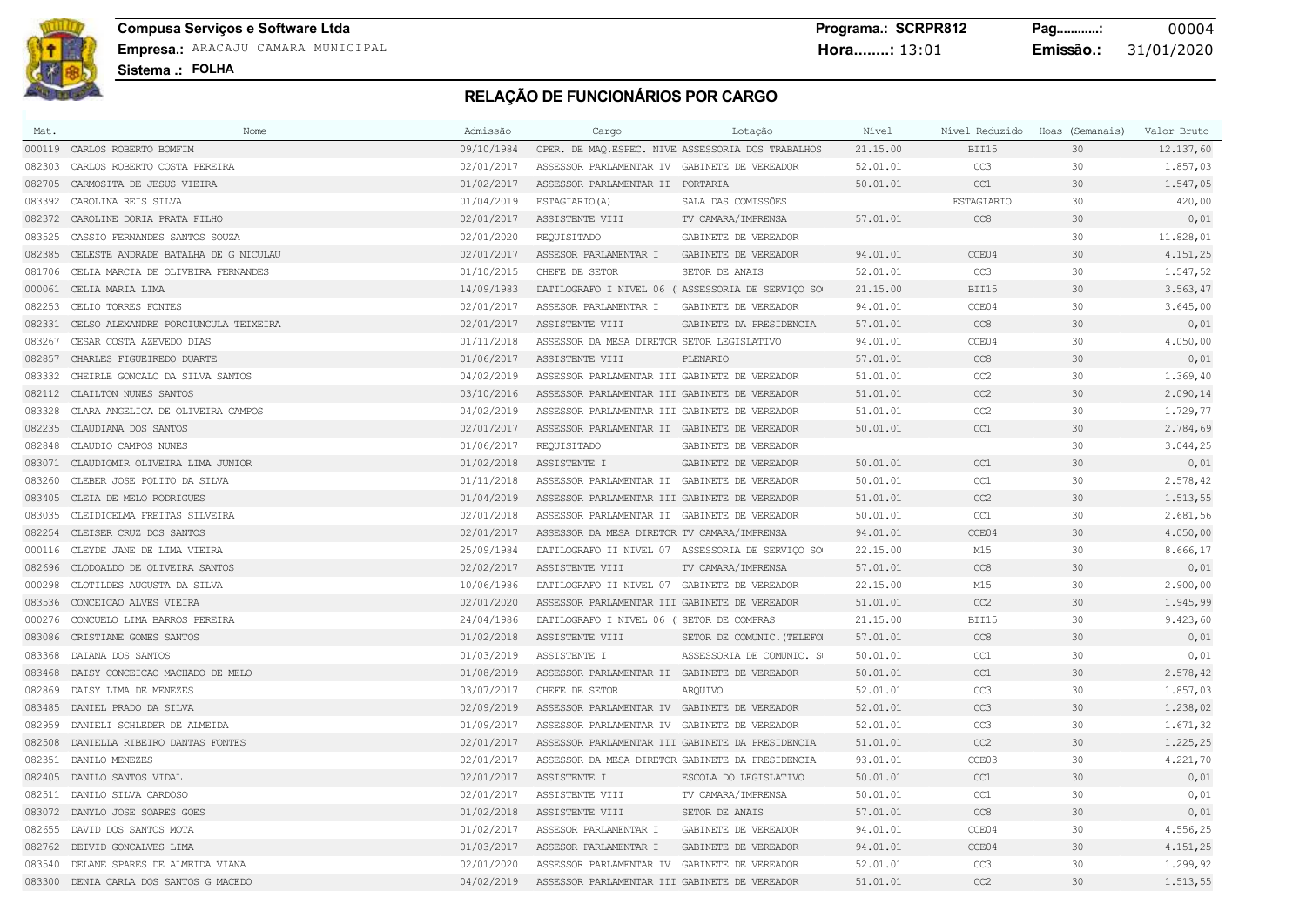**Compusa Serviços e Software Ltda Programa.: SCRPR812 Pag............:** 00004 **Empresa.:** ARACAJU CAMARA MUNICIPAL **Hora........:** 13:01 **Emissão.:** 31/01/2020

| Mat.   | Nome                                   | Admissão   | Cargo                                            | Lotação                                            | Nível    | Nível Reduzido    | Hoas (Semanais) | Valor Bruto |
|--------|----------------------------------------|------------|--------------------------------------------------|----------------------------------------------------|----------|-------------------|-----------------|-------------|
|        | 000119 CARLOS ROBERTO BOMFIM           | 09/10/1984 |                                                  | OPER. DE MAO. ESPEC. NIVE ASSESSORIA DOS TRABALHOS | 21.15.00 | BII15             | 30              | 12.137,60   |
| 082303 | CARLOS ROBERTO COSTA PEREIRA           | 02/01/2017 | ASSESSOR PARLAMENTAR IV GABINETE DE VEREADOR     |                                                    | 52.01.01 | CC3               | 30              | 1.857,03    |
| 082705 | CARMOSITA DE JESUS VIEIRA              | 01/02/2017 | ASSESSOR PARLAMENTAR II PORTARIA                 |                                                    | 50.01.01 | CC1               | 30              | 1.547,05    |
| 083392 | CAROLINA REIS SILVA                    | 01/04/2019 | ESTAGIARIO (A)                                   | SALA DAS COMISSÕES                                 |          | <b>ESTAGIARIO</b> | 30              | 420,00      |
| 082372 | CAROLINE DORIA PRATA FILHO             | 02/01/2017 | ASSISTENTE VIII                                  | TV CAMARA/IMPRENSA                                 | 57.01.01 | CC <sub>8</sub>   | 30              | 0,01        |
| 083525 | CASSIO FERNANDES SANTOS SOUZA          | 02/01/2020 | REQUISITADO                                      | GABINETE DE VEREADOR                               |          |                   | 30              | 11.828,01   |
| 082385 | CELESTE ANDRADE BATALHA DE G NICULAU   | 02/01/2017 | ASSESOR PARLAMENTAR I                            | GABINETE DE VEREADOR                               | 94.01.01 | CCE04             | 30              | 4.151,25    |
| 081706 | CELIA MARCIA DE OLIVEIRA FERNANDES     | 01/10/2015 | CHEFE DE SETOR                                   | SETOR DE ANAIS                                     | 52.01.01 | CC3               | 30              | 1.547,52    |
| 000061 | CELIA MARIA LIMA                       | 14/09/1983 |                                                  | DATILOGRAFO I NIVEL 06 (1 ASSESSORIA DE SERVIÇO SO | 21.15.00 | BII15             | 30              | 3.563,47    |
| 082253 | CELIO TORRES FONTES                    | 02/01/2017 | ASSESOR PARLAMENTAR I                            | GABINETE DE VEREADOR                               | 94.01.01 | CCE04             | 30              | 3.645,00    |
| 082331 | CELSO ALEXANDRE PORCIUNCULA TEIXEIRA   | 02/01/2017 | ASSISTENTE VIII                                  | GABINETE DA PRESIDENCIA                            | 57.01.01 | CC <sub>8</sub>   | 30              | 0,01        |
| 083267 | CESAR COSTA AZEVEDO DIAS               | 01/11/2018 | ASSESSOR DA MESA DIRETOR SETOR LEGISLATIVO       |                                                    | 94.01.01 | CCE04             | 30              | 4.050,00    |
| 082857 | CHARLES FIGUEIREDO DUARTE              | 01/06/2017 | ASSISTENTE VIII                                  | PLENARIO                                           | 57.01.01 | CC8               | 30              | 0,01        |
| 083332 | CHEIRLE GONCALO DA SILVA SANTOS        | 04/02/2019 | ASSESSOR PARLAMENTAR III GABINETE DE VEREADOR    |                                                    | 51.01.01 | CC2               | 30              | 1.369,40    |
| 082112 | CLAILTON NUNES SANTOS                  | 03/10/2016 | ASSESSOR PARLAMENTAR III GABINETE DE VEREADOR    |                                                    | 51.01.01 | CC2               | 30              | 2.090,14    |
| 083328 | CLARA ANGELICA DE OLIVEIRA CAMPOS      | 04/02/2019 | ASSESSOR PARLAMENTAR III GABINETE DE VEREADOR    |                                                    | 51.01.01 | CC2               | 30              | 1.729,77    |
| 082235 | CLAUDIANA DOS SANTOS                   | 02/01/2017 | ASSESSOR PARLAMENTAR II GABINETE DE VEREADOR     |                                                    | 50.01.01 | CC1               | 30              | 2.784,69    |
| 082848 | CLAUDIO CAMPOS NUNES                   | 01/06/2017 | REQUISITADO                                      | GABINETE DE VEREADOR                               |          |                   | 30              | 3.044,25    |
| 083071 | CLAUDIOMIR OLIVEIRA LIMA JUNIOR        | 01/02/2018 | ASSISTENTE I                                     | GABINETE DE VEREADOR                               | 50.01.01 | CC1               | 30              | 0,01        |
| 083260 | CLEBER JOSE POLITO DA SILVA            | 01/11/2018 | ASSESSOR PARLAMENTAR II GABINETE DE VEREADOR     |                                                    | 50.01.01 | CC1               | 30              | 2.578,42    |
| 083405 | CLEIA DE MELO RODRIGUES                | 01/04/2019 | ASSESSOR PARLAMENTAR III GABINETE DE VEREADOR    |                                                    | 51.01.01 | CC2               | 30              | 1.513,55    |
| 083035 | CLEIDICELMA FREITAS SILVEIRA           | 02/01/2018 | ASSESSOR PARLAMENTAR II GABINETE DE VEREADOR     |                                                    | 50.01.01 | CC1               | 30              | 2.681,56    |
| 082254 | CLEISER CRUZ DOS SANTOS                | 02/01/2017 | ASSESSOR DA MESA DIRETOR TV CAMARA/IMPRENSA      |                                                    | 94.01.01 | CCE04             | 30              | 4.050,00    |
| 000116 | CLEYDE JANE DE LIMA VIEIRA             | 25/09/1984 |                                                  | DATILOGRAFO II NIVEL 07 ASSESSORIA DE SERVICO SO   | 22.15.00 | M15               | 30              | 8.666,17    |
| 082696 | CLODOALDO DE OLIVEIRA SANTOS           | 02/02/2017 | ASSISTENTE VIII                                  | TV CAMARA/IMPRENSA                                 | 57.01.01 | CC8               | 30              | 0,01        |
| 000298 | CLOTILDES AUGUSTA DA SILVA             | 10/06/1986 | DATILOGRAFO II NIVEL 07 GABINETE DE VEREADOR     |                                                    | 22.15.00 | M15               | 30              | 2.900,00    |
| 083536 | CONCEICAO ALVES VIEIRA                 | 02/01/2020 | ASSESSOR PARLAMENTAR III GABINETE DE VEREADOR    |                                                    | 51.01.01 | CC2               | 30              | 1.945,99    |
| 000276 | CONCUELO LIMA BARROS PEREIRA           | 24/04/1986 | DATILOGRAFO I NIVEL 06 (1 SETOR DE COMPRAS       |                                                    | 21.15.00 | BII15             | 30              | 9.423,60    |
| 083086 | CRISTIANE GOMES SANTOS                 | 01/02/2018 | ASSISTENTE VIII                                  | SETOR DE COMUNIC. (TELEFO)                         | 57.01.01 | CC8               | 30              | 0,01        |
| 083368 | DAIANA DOS SANTOS                      | 01/03/2019 | ASSISTENTE I                                     | ASSESSORIA DE COMUNIC. SO                          | 50.01.01 | CC1               | 30              | 0,01        |
| 083468 | DAISY CONCEICAO MACHADO DE MELO        | 01/08/2019 | ASSESSOR PARLAMENTAR II GABINETE DE VEREADOR     |                                                    | 50.01.01 | CC1               | 30              | 2.578,42    |
| 082869 | DAISY LIMA DE MENEZES                  | 03/07/2017 | CHEFE DE SETOR                                   | AROUIVO                                            | 52.01.01 | CC3               | 30              | 1.857,03    |
|        | 083485 DANIEL PRADO DA SILVA           | 02/09/2019 | ASSESSOR PARLAMENTAR IV GABINETE DE VEREADOR     |                                                    | 52.01.01 | CC3               | 30              | 1.238,02    |
| 082959 | DANIELI SCHLEDER DE ALMEIDA            | 01/09/2017 | ASSESSOR PARLAMENTAR IV GABINETE DE VEREADOR     |                                                    | 52.01.01 | CC3               | 30              | 1.671,32    |
| 082508 | DANIELLA RIBEIRO DANTAS FONTES         | 02/01/2017 | ASSESSOR PARLAMENTAR III GABINETE DA PRESIDENCIA |                                                    | 51.01.01 | CC2               | 30              | 1.225,25    |
| 082351 | DANILO MENEZES                         | 02/01/2017 | ASSESSOR DA MESA DIRETOR GABINETE DA PRESIDENCIA |                                                    | 93.01.01 | CCE03             | 30              | 4.221,70    |
| 082405 | DANILO SANTOS VIDAL                    | 02/01/2017 | ASSISTENTE I                                     | ESCOLA DO LEGISLATIVO                              | 50.01.01 | CC1               | 30              | 0,01        |
| 082511 | DANILO SILVA CARDOSO                   | 02/01/2017 | ASSISTENTE VIII                                  | TV CAMARA/IMPRENSA                                 | 50.01.01 | CC1               | 30              | 0,01        |
| 083072 | DANYLO JOSE SOARES GOES                | 01/02/2018 | ASSISTENTE VIII                                  | SETOR DE ANAIS                                     | 57.01.01 | CC8               | 30              | 0,01        |
| 082655 | DAVID DOS SANTOS MOTA                  | 01/02/2017 | ASSESOR PARLAMENTAR I                            | GABINETE DE VEREADOR                               | 94.01.01 | CCE04             | 30              | 4.556,25    |
|        | 082762 DEIVID GONCALVES LIMA           | 01/03/2017 | ASSESOR PARLAMENTAR I                            | GABINETE DE VEREADOR                               | 94.01.01 | CCE04             | 30              | 4.151,25    |
| 083540 | DELANE SPARES DE ALMEIDA VIANA         | 02/01/2020 | ASSESSOR PARLAMENTAR IV GABINETE DE VEREADOR     |                                                    | 52.01.01 | CC3               | 30              | 1.299,92    |
|        | 083300 DENIA CARLA DOS SANTOS G MACEDO | 04/02/2019 | ASSESSOR PARLAMENTAR III GABINETE DE VEREADOR    |                                                    | 51.01.01 | CC2               | 30              | 1.513,55    |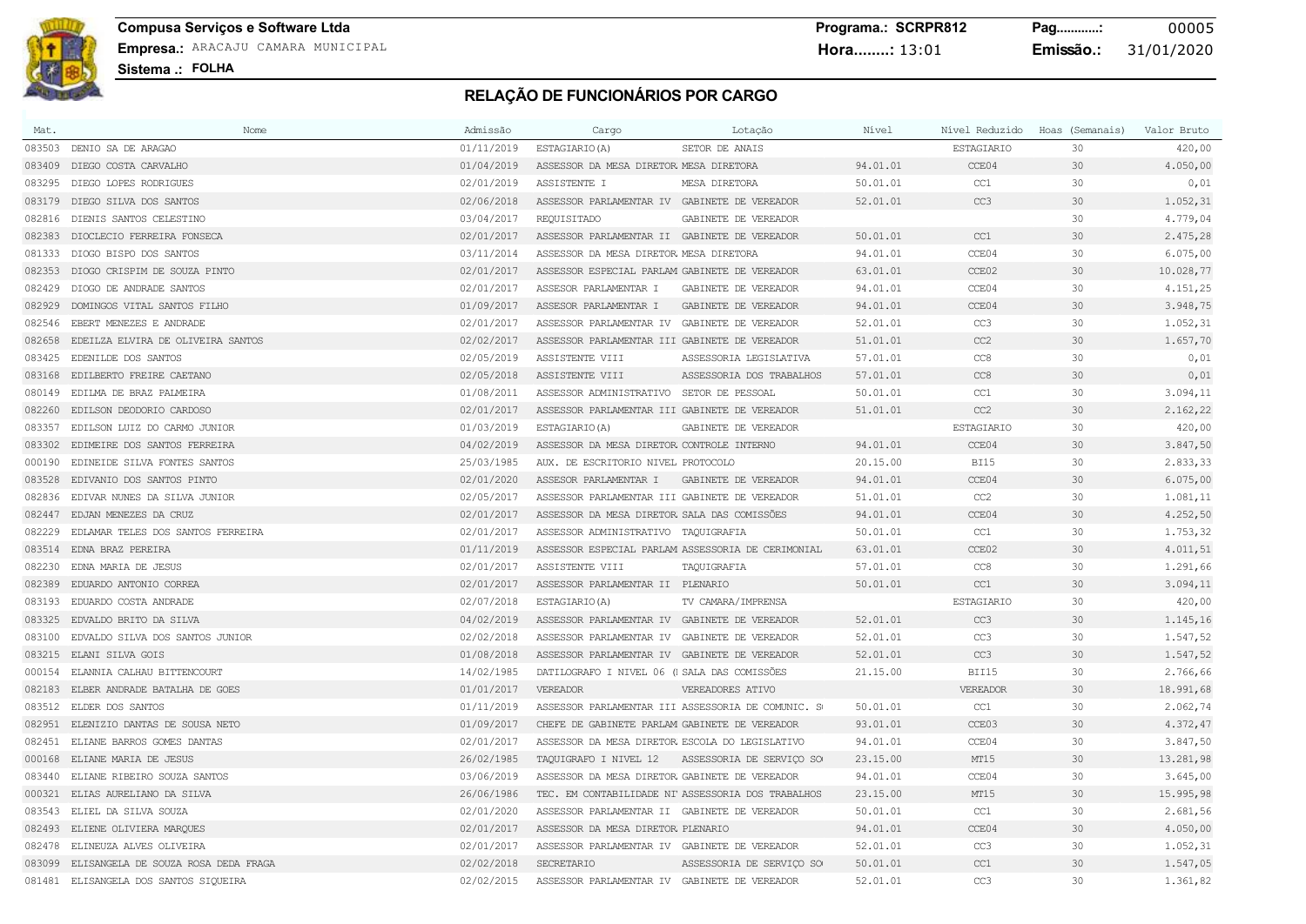**Compusa Serviços e Software Ltda Programa.: SCRPR812 Pag............:** 00005 **Empresa.:** ARACAJU CAMARA MUNICIPAL **Hora........:** 13:01 **Emissão.:** 31/01/2020

**Sistema .: FOLHA**

| Mat.   | Nome                                       | Admissão   | Cargo                                          | Lotacão                                            | Nível    | Nível Reduzido    | Hoas (Semanais) | Valor Bruto |
|--------|--------------------------------------------|------------|------------------------------------------------|----------------------------------------------------|----------|-------------------|-----------------|-------------|
|        | 083503 DENIO SA DE ARAGAO                  | 01/11/2019 | ESTAGIARIO (A)                                 | SETOR DE ANAIS                                     |          | <b>ESTAGIARIO</b> | 30              | 420,00      |
|        | 083409 DIEGO COSTA CARVALHO                | 01/04/2019 | ASSESSOR DA MESA DIRETOR MESA DIRETORA         |                                                    | 94.01.01 | CCE04             | 30              | 4.050,00    |
| 083295 | DIEGO LOPES RODRIGUES                      | 02/01/2019 | ASSISTENTE I                                   | MESA DIRETORA                                      | 50.01.01 | CC1               | 30              | 0,01        |
|        | 083179 DIEGO SILVA DOS SANTOS              | 02/06/2018 | ASSESSOR PARLAMENTAR IV GABINETE DE VEREADOR   |                                                    | 52.01.01 | CC <sub>3</sub>   | 30              | 1.052,31    |
| 082816 | DIENIS SANTOS CELESTINO                    | 03/04/2017 | REQUISITADO                                    | GABINETE DE VEREADOR                               |          |                   | 30              | 4.779,04    |
|        | 082383 DIOCLECIO FERREIRA FONSECA          | 02/01/2017 | ASSESSOR PARLAMENTAR II GABINETE DE VEREADOR   |                                                    | 50.01.01 | CC1               | 30              | 2.475,28    |
| 081333 | DIOGO BISPO DOS SANTOS                     | 03/11/2014 | ASSESSOR DA MESA DIRETOR MESA DIRETORA         |                                                    | 94.01.01 | CCE04             | 30              | 6.075,00    |
| 082353 | DIOGO CRISPIM DE SOUZA PINTO               | 02/01/2017 | ASSESSOR ESPECIAL PARLAM GABINETE DE VEREADOR  |                                                    | 63.01.01 | CCE02             | 30              | 10.028,77   |
| 082429 | DIOGO DE ANDRADE SANTOS                    | 02/01/2017 | ASSESOR PARLAMENTAR I                          | GABINETE DE VEREADOR                               | 94.01.01 | CCE04             | 30              | 4.151,25    |
| 082929 | DOMINGOS VITAL SANTOS FILHO                | 01/09/2017 | ASSESOR PARLAMENTAR I                          | GABINETE DE VEREADOR                               | 94.01.01 | CCE04             | 30              | 3.948,75    |
| 082546 | EBERT MENEZES E ANDRADE                    | 02/01/2017 | ASSESSOR PARLAMENTAR IV GABINETE DE VEREADOR   |                                                    | 52.01.01 | CC3               | 30              | 1.052, 31   |
| 082658 | EDEILZA ELVIRA DE OLIVEIRA SANTOS          | 02/02/2017 | ASSESSOR PARLAMENTAR III GABINETE DE VEREADOR  |                                                    | 51.01.01 | CC2               | 30              | 1.657,70    |
| 083425 | EDENILDE DOS SANTOS                        | 02/05/2019 | ASSISTENTE VIII                                | ASSESSORIA LEGISLATIVA                             | 57.01.01 | CC <sub>8</sub>   | 30              | 0,01        |
| 083168 | EDILBERTO FREIRE CAETANO                   | 02/05/2018 | ASSISTENTE VIII                                | ASSESSORIA DOS TRABALHOS                           | 57.01.01 | CC <sub>8</sub>   | 30              | 0,01        |
| 080149 | EDILMA DE BRAZ PALMEIRA                    | 01/08/2011 | ASSESSOR ADMINISTRATIVO SETOR DE PESSOAL       |                                                    | 50.01.01 | CC1               | 30              | 3.094,11    |
|        | 082260 EDILSON DEODORIO CARDOSO            | 02/01/2017 | ASSESSOR PARLAMENTAR III GABINETE DE VEREADOR  |                                                    | 51.01.01 | CC2               | 30              | 2.162,22    |
| 083357 | EDILSON LUIZ DO CARMO JUNIOR               | 01/03/2019 | ESTAGIARIO (A)                                 | GABINETE DE VEREADOR                               |          | <b>ESTAGIARIO</b> | 30              | 420,00      |
| 083302 | EDIMEIRE DOS SANTOS FERREIRA               | 04/02/2019 | ASSESSOR DA MESA DIRETOR CONTROLE INTERNO      |                                                    | 94.01.01 | CCE04             | 30              | 3.847,50    |
| 000190 | EDINEIDE SILVA FONTES SANTOS               | 25/03/1985 | AUX. DE ESCRITORIO NIVEL PROTOCOLO             |                                                    | 20.15.00 | BI15              | 30              | 2.833,33    |
| 083528 | EDIVANIO DOS SANTOS PINTO                  | 02/01/2020 | ASSESOR PARLAMENTAR I                          | GABINETE DE VEREADOR                               | 94.01.01 | CCE04             | 30              | 6.075,00    |
| 082836 | EDIVAR NUNES DA SILVA JUNIOR               | 02/05/2017 | ASSESSOR PARLAMENTAR III GABINETE DE VEREADOR  |                                                    | 51.01.01 | CC2               | 30              | 1.081,11    |
| 082447 | EDJAN MENEZES DA CRUZ                      | 02/01/2017 | ASSESSOR DA MESA DIRETOR SALA DAS COMISSÕES    |                                                    | 94.01.01 | CCE04             | 30              | 4.252, 50   |
| 082229 | EDLAMAR TELES DOS SANTOS FERREIRA          | 02/01/2017 | ASSESSOR ADMINISTRATIVO TAQUIGRAFIA            |                                                    | 50.01.01 | CC1               | 30              | 1.753,32    |
| 083514 | EDNA BRAZ PEREIRA                          | 01/11/2019 |                                                | ASSESSOR ESPECIAL PARLAM ASSESSORIA DE CERIMONIAL  | 63.01.01 | CCE02             | 30              | 4.011,51    |
| 082230 | EDNA MARIA DE JESUS                        | 02/01/2017 | ASSISTENTE VIII                                | TAQUIGRAFIA                                        | 57.01.01 | CC8               | 30              | 1.291,66    |
|        | 082389 EDUARDO ANTONIO CORREA              | 02/01/2017 | ASSESSOR PARLAMENTAR II PLENARIO               |                                                    | 50.01.01 | CC1               | 30              | 3.094,11    |
| 083193 | EDUARDO COSTA ANDRADE                      | 02/07/2018 | ESTAGIARIO (A)                                 | TV CAMARA/IMPRENSA                                 |          | ESTAGIARIO        | 30              | 420,00      |
| 083325 | EDVALDO BRITO DA SILVA                     | 04/02/2019 | ASSESSOR PARLAMENTAR IV GABINETE DE VEREADOR   |                                                    | 52.01.01 | CC <sub>3</sub>   | 30              | 1.145,16    |
| 083100 | EDVALDO SILVA DOS SANTOS JUNIOR            | 02/02/2018 | ASSESSOR PARLAMENTAR IV GABINETE DE VEREADOR   |                                                    | 52.01.01 | CC <sub>3</sub>   | 30              | 1.547,52    |
| 083215 | ELANI SILVA GOIS                           | 01/08/2018 | ASSESSOR PARLAMENTAR IV GABINETE DE VEREADOR   |                                                    | 52.01.01 | CC3               | 30              | 1.547,52    |
| 000154 | ELANNIA CALHAU BITTENCOURT                 | 14/02/1985 | DATILOGRAFO I NIVEL 06 (1 SALA DAS COMISSÕES   |                                                    | 21.15.00 | BII15             | 30              | 2.766,66    |
| 082183 | ELBER ANDRADE BATALHA DE GOES              | 01/01/2017 | VEREADOR                                       | VEREADORES ATIVO                                   |          | VEREADOR          | 30              | 18.991,68   |
| 083512 | ELDER DOS SANTOS                           | 01/11/2019 |                                                | ASSESSOR PARLAMENTAR III ASSESSORIA DE COMUNIC. SO | 50.01.01 | CC1               | 30              | 2.062,74    |
| 082951 | ELENIZIO DANTAS DE SOUSA NETO              | 01/09/2017 | CHEFE DE GABINETE PARLAM GABINETE DE VEREADOR  |                                                    | 93.01.01 | CCE03             | 30              | 4.372,47    |
| 082451 | ELIANE BARROS GOMES DANTAS                 | 02/01/2017 | ASSESSOR DA MESA DIRETOR ESCOLA DO LEGISLATIVO |                                                    | 94.01.01 | CCE04             | 30              | 3.847,50    |
|        | 000168 ELIANE MARIA DE JESUS               | 26/02/1985 |                                                | TAQUIGRAFO I NIVEL 12 ASSESSORIA DE SERVIÇO SO     | 23.15.00 | MT15              | 30              | 13.281,98   |
| 083440 | ELIANE RIBEIRO SOUZA SANTOS                | 03/06/2019 | ASSESSOR DA MESA DIRETOR GABINETE DE VEREADOR  |                                                    | 94.01.01 | CCE04             | 30              | 3.645,00    |
|        | 000321 ELIAS AURELIANO DA SILVA            | 26/06/1986 |                                                | TEC. EM CONTABILIDADE NI ASSESSORIA DOS TRABALHOS  | 23.15.00 | MT15              | 30              | 15.995,98   |
|        | 083543 ELIEL DA SILVA SOUZA                | 02/01/2020 | ASSESSOR PARLAMENTAR II GABINETE DE VEREADOR   |                                                    | 50.01.01 | CC1               | 30              | 2.681,56    |
|        | 082493 ELIENE OLIVIERA MARQUES             | 02/01/2017 | ASSESSOR DA MESA DIRETOR PLENARIO              |                                                    | 94.01.01 | CCE04             | 30              | 4.050,00    |
| 082478 | ELINEUZA ALVES OLIVEIRA                    | 02/01/2017 | ASSESSOR PARLAMENTAR IV GABINETE DE VEREADOR   |                                                    | 52.01.01 | CC3               | 30              | 1.052,31    |
|        | 083099 ELISANGELA DE SOUZA ROSA DEDA FRAGA | 02/02/2018 | SECRETARIO                                     | ASSESSORIA DE SERVIÇO SO                           | 50.01.01 | CC1               | 30              | 1.547,05    |
|        | 081481 ELISANGELA DOS SANTOS SIQUEIRA      | 02/02/2015 | ASSESSOR PARLAMENTAR IV GABINETE DE VEREADOR   |                                                    | 52.01.01 | CC3               | 30              | 1.361,82    |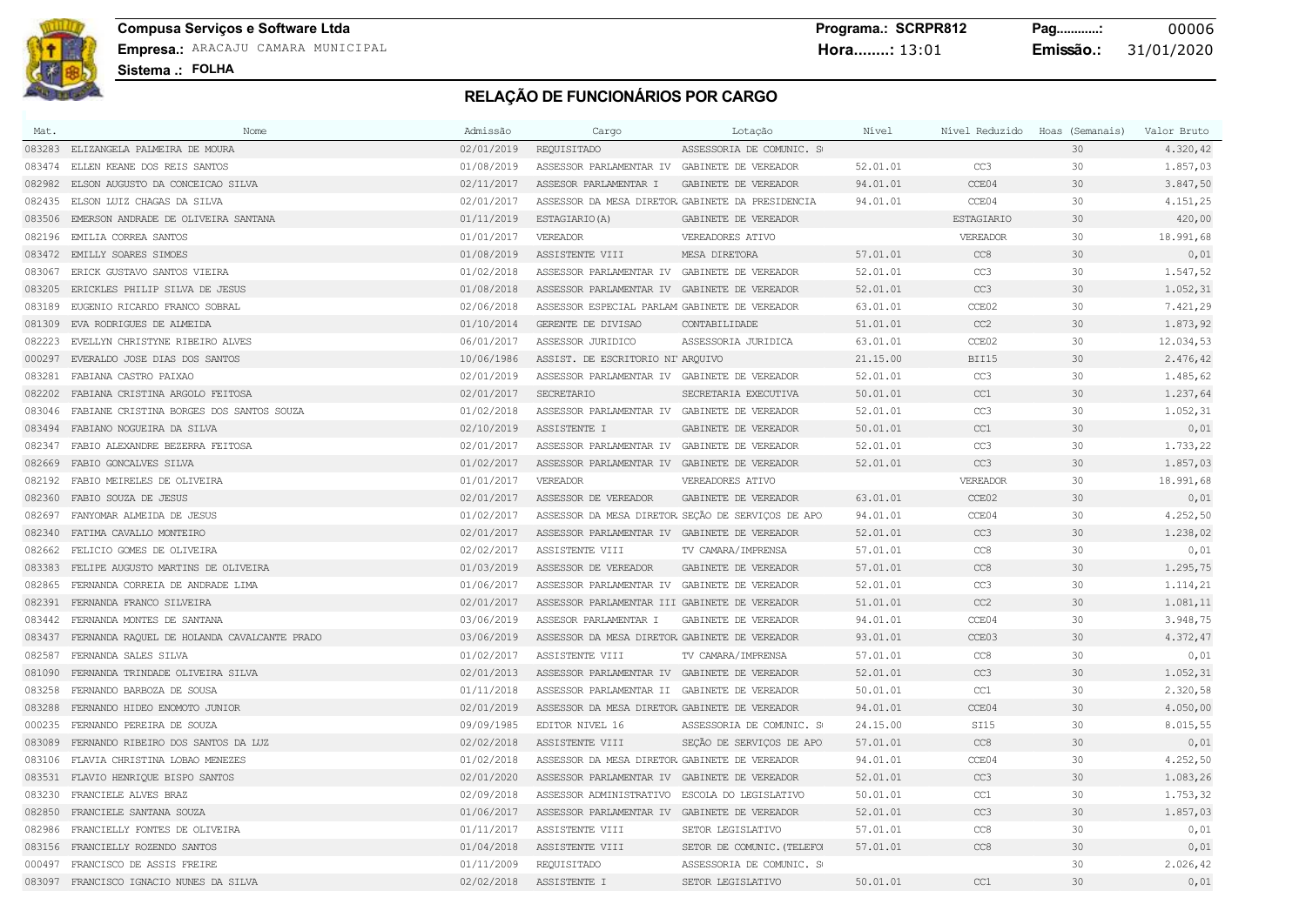### **Compusa Serviços e Software Ltda Programa.: SCRPR812 Pag............:** 00006 **Empresa.:** ARACAJU CAMARA MUNICIPAL **Hora........:** 13:01 **Emissão.:** 31/01/2020

| Mat.   | Nome.                                       | Admissão   | Cargo                                            | Lotação                                           | Nível    | Nível Reduzido  | Hoas (Semanais) | Valor Bruto |
|--------|---------------------------------------------|------------|--------------------------------------------------|---------------------------------------------------|----------|-----------------|-----------------|-------------|
|        | 083283 ELIZANGELA PALMEIRA DE MOURA         | 02/01/2019 | <b>REQUISITADO</b>                               | ASSESSORIA DE COMUNIC. SO                         |          |                 | 30              | 4.320,42    |
| 083474 | ELLEN KEANE DOS REIS SANTOS                 | 01/08/2019 | ASSESSOR PARLAMENTAR IV GABINETE DE VEREADOR     |                                                   | 52.01.01 | CC <sub>3</sub> | 30              | 1.857,03    |
| 082982 | ELSON AUGUSTO DA CONCEICAO SILVA            | 02/11/2017 | ASSESOR PARLAMENTAR I                            | GABINETE DE VEREADOR                              | 94.01.01 | CCE04           | 30              | 3.847,50    |
| 082435 | ELSON LUIZ CHAGAS DA SILVA                  | 02/01/2017 | ASSESSOR DA MESA DIRETOR GABINETE DA PRESIDENCIA |                                                   | 94.01.01 | CCE04           | 30              | 4.151,25    |
| 083506 | EMERSON ANDRADE DE OLIVEIRA SANTANA         | 01/11/2019 | ESTAGIARIO (A)                                   | GABINETE DE VEREADOR                              |          | ESTAGIARIO      | 30              | 420,00      |
| 082196 | EMILIA CORREA SANTOS                        | 01/01/2017 | VEREADOR                                         | VEREADORES ATIVO                                  |          | VEREADOR        | 30              | 18.991,68   |
| 083472 | EMILLY SOARES SIMOES                        | 01/08/2019 | ASSISTENTE VIII                                  | MESA DIRETORA                                     | 57.01.01 | CC <sub>8</sub> | 30              | 0,01        |
| 083067 | ERICK GUSTAVO SANTOS VIEIRA                 | 01/02/2018 | ASSESSOR PARLAMENTAR IV GABINETE DE VEREADOR     |                                                   | 52.01.01 | CC <sub>3</sub> | 30              | 1.547,52    |
| 083205 | ERICKLES PHILIP SILVA DE JESUS              | 01/08/2018 | ASSESSOR PARLAMENTAR IV GABINETE DE VEREADOR     |                                                   | 52.01.01 | CC <sub>3</sub> | 30              | 1.052,31    |
| 083189 | EUGENIO RICARDO FRANCO SOBRAL               | 02/06/2018 | ASSESSOR ESPECIAL PARLAM GABINETE DE VEREADOR    |                                                   | 63.01.01 | CCE02           | 30              | 7.421,29    |
|        | 081309 EVA RODRIGUES DE ALMEIDA             | 01/10/2014 | GERENTE DE DIVISAO                               | CONTABILIDADE                                     | 51.01.01 | CC2             | 30              | 1.873,92    |
| 082223 | EVELLYN CHRISTYNE RIBEIRO ALVES             | 06/01/2017 | ASSESSOR JURIDICO                                | ASSESSORIA JURIDICA                               | 63.01.01 | CCE02           | 30              | 12.034,53   |
| 000297 | EVERALDO JOSE DIAS DOS SANTOS               | 10/06/1986 | ASSIST. DE ESCRITORIO NI ARQUIVO                 |                                                   | 21.15.00 | BII15           | 30              | 2.476,42    |
| 083281 | FABIANA CASTRO PAIXAO                       | 02/01/2019 | ASSESSOR PARLAMENTAR IV GABINETE DE VEREADOR     |                                                   | 52.01.01 | CC <sub>3</sub> | 30              | 1.485,62    |
| 082202 | FABIANA CRISTINA ARGOLO FEITOSA             | 02/01/2017 | SECRETARIO                                       | SECRETARIA EXECUTIVA                              | 50.01.01 | CC1             | 30              | 1.237,64    |
| 083046 | FABIANE CRISTINA BORGES DOS SANTOS SOUZA    | 01/02/2018 | ASSESSOR PARLAMENTAR IV GABINETE DE VEREADOR     |                                                   | 52.01.01 | CC3             | 30              | 1.052,31    |
| 083494 | FABIANO NOGUEIRA DA SILVA                   | 02/10/2019 | ASSISTENTE I                                     | GABINETE DE VEREADOR                              | 50.01.01 | CC1             | 30              | 0,01        |
| 082347 | FABIO ALEXANDRE BEZERRA FEITOSA             | 02/01/2017 | ASSESSOR PARLAMENTAR IV GABINETE DE VEREADOR     |                                                   | 52.01.01 | CC <sub>3</sub> | 30              | 1.733,22    |
| 082669 | FABIO GONCALVES SILVA                       | 01/02/2017 | ASSESSOR PARLAMENTAR IV GABINETE DE VEREADOR     |                                                   | 52.01.01 | CC <sub>3</sub> | 30              | 1.857,03    |
| 082192 | FABIO MEIRELES DE OLIVEIRA                  | 01/01/2017 | VEREADOR                                         | VEREADORES ATIVO                                  |          | VEREADOR        | 30              | 18.991,68   |
| 082360 | FABIO SOUZA DE JESUS                        | 02/01/2017 | ASSESSOR DE VEREADOR                             | GABINETE DE VEREADOR                              | 63.01.01 | CCE02           | 30              | 0,01        |
| 082697 | FANYOMAR ALMEIDA DE JESUS                   | 01/02/2017 |                                                  | ASSESSOR DA MESA DIRETOR SEÇÃO DE SERVIÇOS DE APO | 94.01.01 | CCE04           | 30              | 4.252,50    |
|        | 082340 FATIMA CAVALLO MONTEIRO              | 02/01/2017 | ASSESSOR PARLAMENTAR IV GABINETE DE VEREADOR     |                                                   | 52.01.01 | CC <sub>3</sub> | 30              | 1.238,02    |
| 082662 | FELICIO GOMES DE OLIVEIRA                   | 02/02/2017 | ASSISTENTE VIII                                  | TV CAMARA/IMPRENSA                                | 57.01.01 | CC <sub>8</sub> | 30              | 0,01        |
| 083383 | FELIPE AUGUSTO MARTINS DE OLIVEIRA          | 01/03/2019 | ASSESSOR DE VEREADOR                             | GABINETE DE VEREADOR                              | 57.01.01 | CC <sub>8</sub> | 30              | 1.295,75    |
| 082865 | FERNANDA CORREIA DE ANDRADE LIMA            | 01/06/2017 | ASSESSOR PARLAMENTAR IV GABINETE DE VEREADOR     |                                                   | 52.01.01 | CC3             | 30              | 1.114,21    |
| 082391 | FERNANDA FRANCO SILVEIRA                    | 02/01/2017 | ASSESSOR PARLAMENTAR III GABINETE DE VEREADOR    |                                                   | 51.01.01 | CC <sub>2</sub> | 30              | 1.081,11    |
| 083442 | FERNANDA MONTES DE SANTANA                  | 03/06/2019 | ASSESOR PARLAMENTAR I                            | GABINETE DE VEREADOR                              | 94.01.01 | CCE04           | 30              | 3.948,75    |
| 083437 | FERNANDA RAQUEL DE HOLANDA CAVALCANTE PRADO | 03/06/2019 | ASSESSOR DA MESA DIRETOR GABINETE DE VEREADOR    |                                                   | 93.01.01 | CCE03           | 30              | 4.372,47    |
| 082587 | FERNANDA SALES SILVA                        | 01/02/2017 | ASSISTENTE VIII                                  | TV CAMARA/IMPRENSA                                | 57.01.01 | CC8             | 30              | 0,01        |
| 081090 | FERNANDA TRINDADE OLIVEIRA SILVA            | 02/01/2013 | ASSESSOR PARLAMENTAR IV GABINETE DE VEREADOR     |                                                   | 52.01.01 | CC <sub>3</sub> | 30              | 1.052,31    |
| 083258 | FERNANDO BARBOZA DE SOUSA                   | 01/11/2018 | ASSESSOR PARLAMENTAR II GABINETE DE VEREADOR     |                                                   | 50.01.01 | CC1             | 30              | 2.320,58    |
|        | 083288 FERNANDO HIDEO ENOMOTO JUNIOR        | 02/01/2019 | ASSESSOR DA MESA DIRETOR GABINETE DE VEREADOR    |                                                   | 94.01.01 | CCE04           | 30              | 4.050,00    |
| 000235 | FERNANDO PEREIRA DE SOUZA                   | 09/09/1985 | EDITOR NIVEL 16                                  | ASSESSORIA DE COMUNIC. SO                         | 24.15.00 | SI15            | 30              | 8.015,55    |
| 083089 | FERNANDO RIBEIRO DOS SANTOS DA LUZ          | 02/02/2018 | ASSISTENTE VIII                                  | SECÃO DE SERVICOS DE APO                          | 57.01.01 | CC <sub>8</sub> | 30              | 0,01        |
| 083106 | FLAVIA CHRISTINA LOBAO MENEZES              | 01/02/2018 | ASSESSOR DA MESA DIRETOR GABINETE DE VEREADOR    |                                                   | 94.01.01 | CCE04           | 30              | 4.252,50    |
| 083531 | FLAVIO HENRIQUE BISPO SANTOS                | 02/01/2020 | ASSESSOR PARLAMENTAR IV                          | GABINETE DE VEREADOR                              | 52.01.01 | CC <sub>3</sub> | 30              | 1.083,26    |
| 083230 | FRANCIELE ALVES BRAZ                        | 02/09/2018 | ASSESSOR ADMINISTRATIVO                          | ESCOLA DO LEGISLATIVO                             | 50.01.01 | CC1             | 30              | 1.753,32    |
| 082850 | FRANCIELE SANTANA SOUZA                     | 01/06/2017 | ASSESSOR PARLAMENTAR IV GABINETE DE VEREADOR     |                                                   | 52.01.01 | CC3             | 30              | 1.857,03    |
| 082986 | FRANCIELLY FONTES DE OLIVEIRA               | 01/11/2017 | ASSISTENTE VIII                                  | SETOR LEGISLATIVO                                 | 57.01.01 | CC8             | 30              | 0,01        |
|        | 083156 FRANCIELLY ROZENDO SANTOS            | 01/04/2018 | ASSISTENTE VIII                                  | SETOR DE COMUNIC. (TELEFO)                        | 57.01.01 | CC <sub>8</sub> | 30              | 0,01        |
| 000497 | FRANCISCO DE ASSIS FREIRE                   | 01/11/2009 | REQUISITADO                                      | ASSESSORIA DE COMUNIC. SO                         |          |                 | 30              | 2.026,42    |
|        | 083097 FRANCISCO IGNACIO NUNES DA SILVA     | 02/02/2018 | ASSISTENTE I                                     | SETOR LEGISLATIVO                                 | 50.01.01 | CC1             | 30              | 0,01        |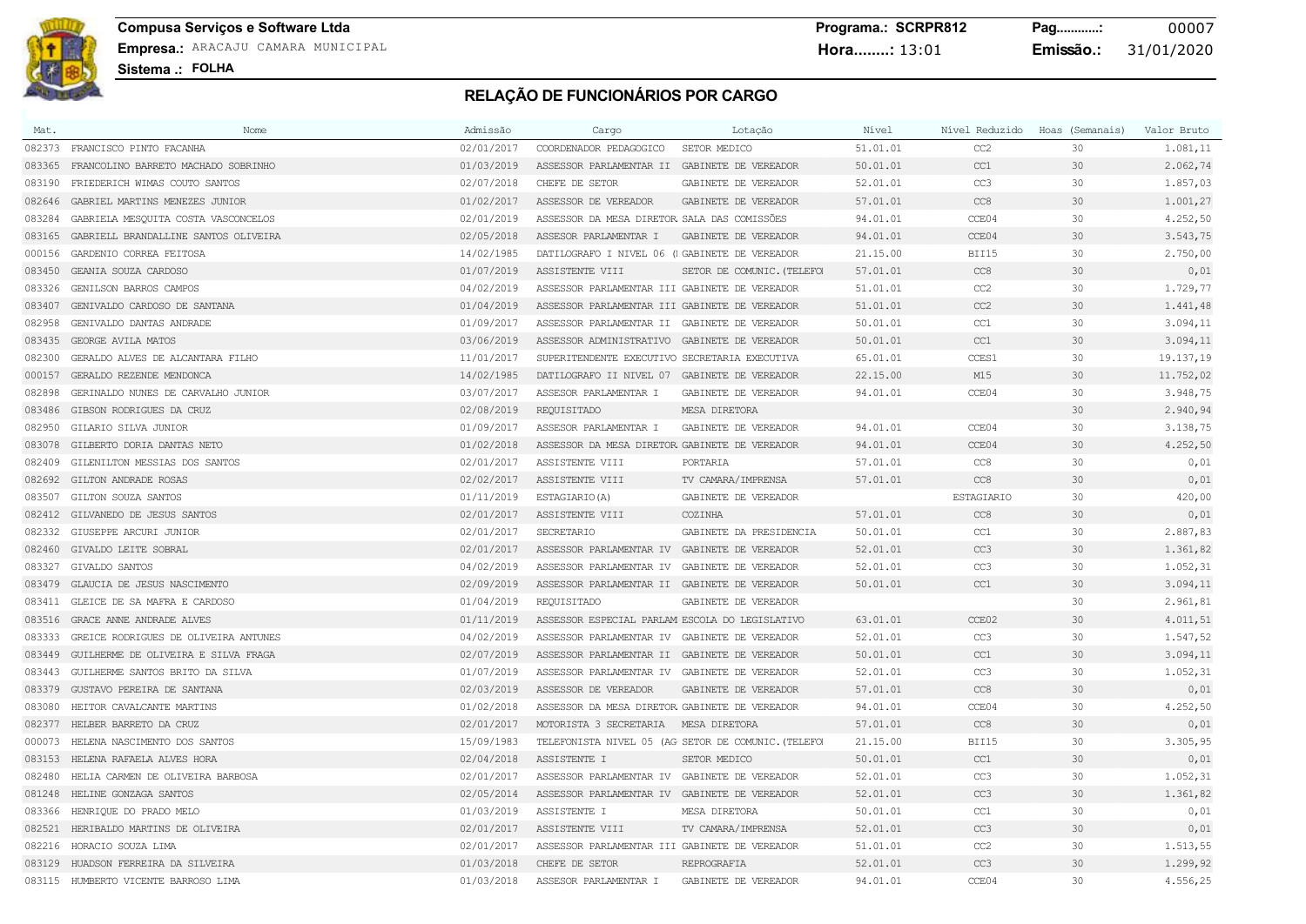### **Compusa Serviços e Software Ltda Programa.: SCRPR812 Pag............:** 00007 **Empresa.:** ARACAJU CAMARA MUNICIPAL **Hora........:** 13:01 **Emissão.:** 31/01/2020

| Mat.   | Nome                                       | Admissão   | Cargo                                          | Lotação                                             | Nível      | Nível Reduzido    | Hoas (Semanais) | Valor Bruto |
|--------|--------------------------------------------|------------|------------------------------------------------|-----------------------------------------------------|------------|-------------------|-----------------|-------------|
|        | 082373 FRANCISCO PINTO FACANHA             | 02/01/2017 | COORDENADOR PEDAGOGICO                         | SETOR MEDICO                                        | 51.01.01   | CC2               | 30              | 1.081,11    |
|        | 083365 FRANCOLINO BARRETO MACHADO SOBRINHO | 01/03/2019 | ASSESSOR PARLAMENTAR II GABINETE DE VEREADOR   |                                                     | 50.01.01   | CC1               | 30              | 2.062,74    |
| 083190 | FRIEDERICH WIMAS COUTO SANTOS              | 02/07/2018 | CHEFE DE SETOR                                 | GABINETE DE VEREADOR                                | 52.01.01   | CC <sub>3</sub>   | 30              | 1.857,03    |
| 082646 | GABRIEL MARTINS MENEZES JUNIOR             | 01/02/2017 | ASSESSOR DE VEREADOR                           | GABINETE DE VEREADOR                                | 57.01.01   | CC <sub>8</sub>   | 30              | 1.001,27    |
| 083284 | GABRIELA MESQUITA COSTA VASCONCELOS        | 02/01/2019 | ASSESSOR DA MESA DIRETOR SALA DAS COMISSÕES    |                                                     | 94.01.01   | CCE04             | 30              | 4.252,50    |
| 083165 | GABRIELL BRANDALLINE SANTOS OLIVEIRA       | 02/05/2018 | ASSESOR PARLAMENTAR I                          | GABINETE DE VEREADOR                                | 94.01.01   | CCE04             | 30              | 3.543,75    |
| 000156 | GARDENIO CORREA FEITOSA                    | 14/02/1985 | DATILOGRAFO I NIVEL 06 (I GABINETE DE VEREADOR |                                                     | 21.15.00   | BII15             | 30              | 2.750,00    |
| 083450 | GEANIA SOUZA CARDOSO                       | 01/07/2019 | ASSISTENTE VIII                                | SETOR DE COMUNIC. (TELEFO                           | 57.01.01   | CC <sub>8</sub>   | 30              | 0,01        |
| 083326 | GENILSON BARROS CAMPOS                     | 04/02/2019 | ASSESSOR PARLAMENTAR III GABINETE DE VEREADOR  |                                                     | 51.01.01   | CC2               | 30              | 1,729,77    |
| 083407 | GENIVALDO CARDOSO DE SANTANA               | 01/04/2019 | ASSESSOR PARLAMENTAR III GABINETE DE VEREADOR  |                                                     | 51.01.01   | CC2               | 30              | 1.441,48    |
| 082958 | GENIVALDO DANTAS ANDRADE                   | 01/09/2017 | ASSESSOR PARLAMENTAR II GABINETE DE VEREADOR   |                                                     | 50.01.01   | CC1               | 30              | 3.094, 11   |
| 083435 | GEORGE AVILA MATOS                         | 03/06/2019 | ASSESSOR ADMINISTRATIVO GABINETE DE VEREADOR   |                                                     | 50.01.01   | CC1               | 30              | 3.094,11    |
| 082300 | GERALDO ALVES DE ALCANTARA FILHO           | 11/01/2017 | SUPERITENDENTE EXECUTIVO SECRETARIA EXECUTIVA  |                                                     | 65.01.01   | CCES1             | 30              | 19.137,19   |
| 000157 | GERALDO REZENDE MENDONCA                   | 14/02/1985 | DATILOGRAFO II NIVEL 07 GABINETE DE VEREADOR   |                                                     | 22, 15, 00 | M15               | 30              | 11.752,02   |
| 082898 | GERINALDO NUNES DE CARVALHO JUNIOR         | 03/07/2017 | ASSESOR PARLAMENTAR I                          | GABINETE DE VEREADOR                                | 94.01.01   | CCE04             | 30              | 3.948,75    |
| 083486 | GIBSON RODRIGUES DA CRUZ                   | 02/08/2019 | REQUISITADO                                    | MESA DIRETORA                                       |            |                   | 30              | 2.940,94    |
| 082950 | GILARIO SILVA JUNIOR                       | 01/09/2017 | ASSESOR PARLAMENTAR I                          | GABINETE DE VEREADOR                                | 94.01.01   | CCE04             | 30              | 3.138,75    |
| 083078 | GILBERTO DORIA DANTAS NETO                 | 01/02/2018 | ASSESSOR DA MESA DIRETOR GABINETE DE VEREADOR  |                                                     | 94.01.01   | CCE04             | 30              | 4.252,50    |
| 082409 | GILENILTON MESSIAS DOS SANTOS              | 02/01/2017 | ASSISTENTE VIII                                | PORTARIA                                            | 57.01.01   | CC <sub>8</sub>   | 30              | 0,01        |
| 082692 | GILTON ANDRADE ROSAS                       | 02/02/2017 | ASSISTENTE VIII                                | TV CAMARA/IMPRENSA                                  | 57.01.01   | CC <sub>8</sub>   | 30              | 0,01        |
| 083507 | GILTON SOUZA SANTOS                        | 01/11/2019 | ESTAGIARIO (A)                                 | GABINETE DE VEREADOR                                |            | <b>ESTAGIARIO</b> | 30              | 420,00      |
| 082412 | GILVANEDO DE JESUS SANTOS                  | 02/01/2017 | ASSISTENTE VIII                                | COZINHA                                             | 57.01.01   | CC <sub>8</sub>   | 30              | 0,01        |
| 082332 | GIUSEPPE ARCURI JUNIOR                     | 02/01/2017 | SECRETARIO                                     | GABINETE DA PRESIDENCIA                             | 50.01.01   | CC1               | 30              | 2.887,83    |
| 082460 | GIVALDO LEITE SOBRAL                       | 02/01/2017 | ASSESSOR PARLAMENTAR IV GABINETE DE VEREADOR   |                                                     | 52.01.01   | CC <sub>3</sub>   | 30              | 1.361,82    |
| 083327 | GIVALDO SANTOS                             | 04/02/2019 | ASSESSOR PARLAMENTAR IV GABINETE DE VEREADOR   |                                                     | 52.01.01   | CC3               | 30              | 1.052,31    |
| 083479 | GLAUCIA DE JESUS NASCIMENTO                | 02/09/2019 | ASSESSOR PARLAMENTAR II GABINETE DE VEREADOR   |                                                     | 50.01.01   | CC1               | 30              | 3.094, 11   |
| 083411 | GLEICE DE SA MAFRA E CARDOSO               | 01/04/2019 | REQUISITADO                                    | GABINETE DE VEREADOR                                |            |                   | 30              | 2.961,81    |
|        | 083516 GRACE ANNE ANDRADE ALVES            | 01/11/2019 | ASSESSOR ESPECIAL PARLAM ESCOLA DO LEGISLATIVO |                                                     | 63.01.01   | CCE02             | 30              | 4.011,51    |
| 083333 | GREICE RODRIGUES DE OLIVEIRA ANTUNES       | 04/02/2019 | ASSESSOR PARLAMENTAR IV GABINETE DE VEREADOR   |                                                     | 52.01.01   | CC <sub>3</sub>   | 30              | 1.547,52    |
|        | 083449 GUILHERME DE OLIVEIRA E SILVA FRAGA | 02/07/2019 | ASSESSOR PARLAMENTAR II GABINETE DE VEREADOR   |                                                     | 50.01.01   | CC1               | 30              | 3.094, 11   |
| 083443 | GUILHERME SANTOS BRITO DA SILVA            | 01/07/2019 | ASSESSOR PARLAMENTAR IV GABINETE DE VEREADOR   |                                                     | 52.01.01   | CC <sub>3</sub>   | 30              | 1.052,31    |
| 083379 | GUSTAVO PEREIRA DE SANTANA                 | 02/03/2019 | ASSESSOR DE VEREADOR                           | GABINETE DE VEREADOR                                | 57.01.01   | CC <sub>8</sub>   | 30              | 0,01        |
| 083080 | HEITOR CAVALCANTE MARTINS                  | 01/02/2018 | ASSESSOR DA MESA DIRETOR GABINETE DE VEREADOR  |                                                     | 94.01.01   | CCE04             | 30              | 4.252,50    |
| 082377 | HELBER BARRETO DA CRUZ                     | 02/01/2017 | MOTORISTA 3 SECRETARIA                         | MESA DIRETORA                                       | 57.01.01   | CC <sub>8</sub>   | 30              | 0,01        |
| 000073 | HELENA NASCIMENTO DOS SANTOS               | 15/09/1983 |                                                | TELEFONISTA NIVEL 05 (AG SETOR DE COMUNIC. (TELEFO) | 21.15.00   | BII15             | 30              | 3.305,95    |
| 083153 | HELENA RAFAELA ALVES HORA                  | 02/04/2018 | ASSISTENTE I                                   | SETOR MEDICO                                        | 50.01.01   | CC1               | 30              | 0,01        |
| 082480 | HELIA CARMEN DE OLIVEIRA BARBOSA           | 02/01/2017 | ASSESSOR PARLAMENTAR IV GABINETE DE VEREADOR   |                                                     | 52.01.01   | CC <sub>3</sub>   | 30              | 1.052,31    |
| 081248 | HELINE GONZAGA SANTOS                      | 02/05/2014 | ASSESSOR PARLAMENTAR IV GABINETE DE VEREADOR   |                                                     | 52.01.01   | CC <sub>3</sub>   | 30              | 1.361,82    |
| 083366 | HENRIQUE DO PRADO MELO                     | 01/03/2019 | ASSISTENTE I                                   | MESA DIRETORA                                       | 50.01.01   | CC1               | 30              | 0,01        |
|        | 082521 HERIBALDO MARTINS DE OLIVEIRA       | 02/01/2017 | ASSISTENTE VIII                                | TV CAMARA/IMPRENSA                                  | 52.01.01   | CC <sub>3</sub>   | 30              | 0,01        |
| 082216 | HORACIO SOUZA LIMA                         | 02/01/2017 | ASSESSOR PARLAMENTAR III GABINETE DE VEREADOR  |                                                     | 51.01.01   | CC2               | 30              | 1.513,55    |
|        | 083129 HUADSON FERREIRA DA SILVEIRA        | 01/03/2018 | CHEFE DE SETOR                                 | REPROGRAFIA                                         | 52.01.01   | CC <sub>3</sub>   | 30              | 1.299,92    |
|        | 083115 HUMBERTO VICENTE BARROSO LIMA       | 01/03/2018 | ASSESOR PARLAMENTAR I                          | GABINETE DE VEREADOR                                | 94.01.01   | CCE04             | 30              | 4.556,25    |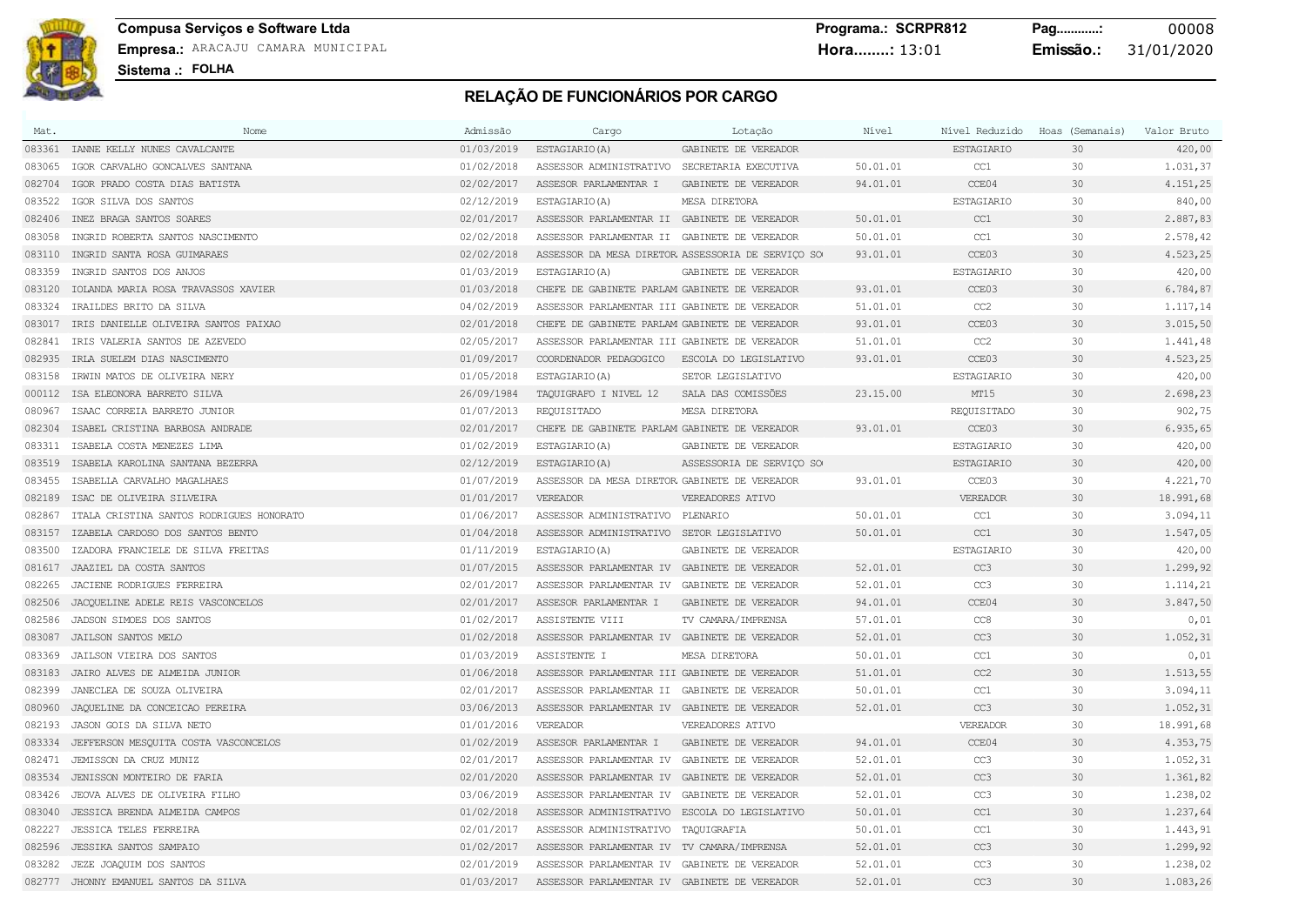### **Compusa Serviços e Software Ltda Programa.: SCRPR812 Pag............:** 00008 **Empresa.:** ARACAJU CAMARA MUNICIPAL **Hora........:** 13:01 **Emissão.:** 31/01/2020

| Mat.   | Nome                                        | Admissão   | Cargo                                         | Lotação                                           | Nível    |                   | Nivel Reduzido Hoas (Semanais) | Valor Bruto |
|--------|---------------------------------------------|------------|-----------------------------------------------|---------------------------------------------------|----------|-------------------|--------------------------------|-------------|
|        | 083361 IANNE KELLY NUNES CAVALCANTE         | 01/03/2019 | ESTAGIARIO (A)                                | GABINETE DE VEREADOR                              |          | ESTAGIARIO        | 30                             | 420,00      |
| 083065 | IGOR CARVALHO GONCALVES SANTANA             | 01/02/2018 | ASSESSOR ADMINISTRATIVO SECRETARIA EXECUTIVA  |                                                   | 50.01.01 | CC1               | 30                             | 1.031,37    |
|        | 082704 IGOR PRADO COSTA DIAS BATISTA        | 02/02/2017 | ASSESOR PARLAMENTAR I                         | GABINETE DE VEREADOR                              | 94.01.01 | CCE04             | 30                             | 4.151,25    |
| 083522 | IGOR SILVA DOS SANTOS                       | 02/12/2019 | ESTAGIARIO (A)                                | MESA DIRETORA                                     |          | <b>ESTAGIARIO</b> | 30                             | 840,00      |
|        | 082406 INEZ BRAGA SANTOS SOARES             | 02/01/2017 | ASSESSOR PARLAMENTAR II GABINETE DE VEREADOR  |                                                   | 50.01.01 | CC1               | 30                             | 2.887,83    |
| 083058 | INGRID ROBERTA SANTOS NASCIMENTO            | 02/02/2018 | ASSESSOR PARLAMENTAR II GABINETE DE VEREADOR  |                                                   | 50.01.01 | CC1               | 30                             | 2.578,42    |
| 083110 | INGRID SANTA ROSA GUIMARAES                 | 02/02/2018 |                                               | ASSESSOR DA MESA DIRETOR ASSESSORIA DE SERVIÇO SO | 93.01.01 | CCE03             | 30                             | 4.523,25    |
| 083359 | INGRID SANTOS DOS ANJOS                     | 01/03/2019 | ESTAGIARIO (A)                                | GABINETE DE VEREADOR                              |          | <b>ESTAGIARIO</b> | 30                             | 420,00      |
|        | 083120 IOLANDA MARIA ROSA TRAVASSOS XAVIER  | 01/03/2018 | CHEFE DE GABINETE PARLAM GABINETE DE VEREADOR |                                                   | 93.01.01 | CCE03             | 30                             | 6.784,87    |
| 083324 | IRAILDES BRITO DA SILVA                     | 04/02/2019 | ASSESSOR PARLAMENTAR III GABINETE DE VEREADOR |                                                   | 51.01.01 | CC2               | 30                             | 1.117,14    |
|        | 083017 IRIS DANIELLE OLIVEIRA SANTOS PAIXAO | 02/01/2018 | CHEFE DE GABINETE PARLAM GABINETE DE VEREADOR |                                                   | 93.01.01 | CCE03             | 30                             | 3.015, 50   |
| 082841 | IRIS VALERIA SANTOS DE AZEVEDO              | 02/05/2017 | ASSESSOR PARLAMENTAR III GABINETE DE VEREADOR |                                                   | 51.01.01 | CC2               | 30                             | 1.441,48    |
|        | 082935 IRLA SUELEM DIAS NASCIMENTO          | 01/09/2017 | COORDENADOR PEDAGOGICO                        | ESCOLA DO LEGISLATIVO                             | 93.01.01 | CCE03             | 30                             | 4.523,25    |
| 083158 | IRWIN MATOS DE OLIVEIRA NERY                | 01/05/2018 | ESTAGIARIO (A)                                | SETOR LEGISLATIVO                                 |          | <b>ESTAGIARIO</b> | 30                             | 420,00      |
|        | 000112 ISA ELEONORA BARRETO SILVA           | 26/09/1984 | TAQUIGRAFO I NIVEL 12                         | SALA DAS COMISSÕES                                | 23.15.00 | MT15              | 30                             | 2.698,23    |
| 080967 | ISAAC CORREIA BARRETO JUNIOR                | 01/07/2013 | REQUISITADO                                   | MESA DIRETORA                                     |          | REQUISITADO       | 30                             | 902,75      |
| 082304 | ISABEL CRISTINA BARBOSA ANDRADE             | 02/01/2017 | CHEFE DE GABINETE PARLAM GABINETE DE VEREADOR |                                                   | 93.01.01 | CCE03             | 30                             | 6.935,65    |
| 083311 | ISABELA COSTA MENEZES LIMA                  | 01/02/2019 | ESTAGIARIO (A)                                | GABINETE DE VEREADOR                              |          | ESTAGIARIO        | 30                             | 420,00      |
|        | 083519 ISABELA KAROLINA SANTANA BEZERRA     | 02/12/2019 | ESTAGIARIO (A)                                | ASSESSORIA DE SERVIÇO SO                          |          | ESTAGIARIO        | 30                             | 420,00      |
| 083455 | ISABELLA CARVALHO MAGALHAES                 | 01/07/2019 | ASSESSOR DA MESA DIRETOR GABINETE DE VEREADOR |                                                   | 93.01.01 | CCE03             | 30                             | 4.221,70    |
|        | 082189 ISAC DE OLIVEIRA SILVEIRA            | 01/01/2017 | VEREADOR                                      | VEREADORES ATIVO                                  |          | VEREADOR          | 30                             | 18.991,68   |
| 082867 | ITALA CRISTINA SANTOS RODRIGUES HONORATO    | 01/06/2017 | ASSESSOR ADMINISTRATIVO PLENARIO              |                                                   | 50.01.01 | CC1               | 30                             | 3.094, 11   |
|        | 083157 IZABELA CARDOSO DOS SANTOS BENTO     | 01/04/2018 | ASSESSOR ADMINISTRATIVO SETOR LEGISLATIVO     |                                                   | 50.01.01 | CC1               | 30                             | 1.547,05    |
| 083500 | IZADORA FRANCIELE DE SILVA FREITAS          | 01/11/2019 | ESTAGIARIO (A)                                | GABINETE DE VEREADOR                              |          | <b>ESTAGIARIO</b> | 30                             | 420,00      |
| 081617 | JAAZIEL DA COSTA SANTOS                     | 01/07/2015 | ASSESSOR PARLAMENTAR IV GABINETE DE VEREADOR  |                                                   | 52.01.01 | CC <sub>3</sub>   | 30                             | 1.299,92    |
| 082265 | JACIENE RODRIGUES FERREIRA                  | 02/01/2017 | ASSESSOR PARLAMENTAR IV GABINETE DE VEREADOR  |                                                   | 52.01.01 | CC3               | 30                             | 1.114,21    |
| 082506 | JACQUELINE ADELE REIS VASCONCELOS           | 02/01/2017 | ASSESOR PARLAMENTAR I                         | GABINETE DE VEREADOR                              | 94.01.01 | CCE04             | 30                             | 3.847,50    |
| 082586 | JADSON SIMOES DOS SANTOS                    | 01/02/2017 | ASSISTENTE VIII                               | TV CAMARA/IMPRENSA                                | 57.01.01 | CC <sub>8</sub>   | 30                             | 0,01        |
| 083087 | JAILSON SANTOS MELO                         | 01/02/2018 | ASSESSOR PARLAMENTAR IV GABINETE DE VEREADOR  |                                                   | 52.01.01 | CC <sub>3</sub>   | 30                             | 1.052,31    |
| 083369 | JAILSON VIEIRA DOS SANTOS                   | 01/03/2019 | ASSISTENTE I                                  | MESA DIRETORA                                     | 50.01.01 | CC1               | 30                             | 0,01        |
| 083183 | JAIRO ALVES DE ALMEIDA JUNIOR               | 01/06/2018 | ASSESSOR PARLAMENTAR III GABINETE DE VEREADOR |                                                   | 51.01.01 | CC <sub>2</sub>   | 30                             | 1.513,55    |
| 082399 | JANECLEA DE SOUZA OLIVEIRA                  | 02/01/2017 | ASSESSOR PARLAMENTAR II GABINETE DE VEREADOR  |                                                   | 50.01.01 | CC1               | 30                             | 3.094, 11   |
| 080960 | JAQUELINE DA CONCEICAO PEREIRA              | 03/06/2013 | ASSESSOR PARLAMENTAR IV GABINETE DE VEREADOR  |                                                   | 52.01.01 | CC3               | 30                             | 1.052,31    |
| 082193 | JASON GOIS DA SILVA NETO                    | 01/01/2016 | VEREADOR                                      | VEREADORES ATIVO                                  |          | VEREADOR          | 30                             | 18.991,68   |
| 083334 | JEFFERSON MESQUITA COSTA VASCONCELOS        | 01/02/2019 | ASSESOR PARLAMENTAR I                         | GABINETE DE VEREADOR                              | 94.01.01 | CCE04             | 30                             | 4.353,75    |
| 082471 | JEMISSON DA CRUZ MUNIZ                      | 02/01/2017 | ASSESSOR PARLAMENTAR IV GABINETE DE VEREADOR  |                                                   | 52.01.01 | CC <sub>3</sub>   | 30                             | 1.052,31    |
| 083534 | JENISSON MONTEIRO DE FARIA                  | 02/01/2020 | ASSESSOR PARLAMENTAR IV GABINETE DE VEREADOR  |                                                   | 52.01.01 | CC <sub>3</sub>   | 30                             | 1.361,82    |
| 083426 | JEOVA ALVES DE OLIVEIRA FILHO               | 03/06/2019 | ASSESSOR PARLAMENTAR IV GABINETE DE VEREADOR  |                                                   | 52.01.01 | CC <sub>3</sub>   | 30                             | 1.238,02    |
| 083040 | JESSICA BRENDA ALMEIDA CAMPOS               | 01/02/2018 | ASSESSOR ADMINISTRATIVO ESCOLA DO LEGISLATIVO |                                                   | 50.01.01 | CC1               | 30                             | 1.237,64    |
| 082227 | <b>JESSICA TELES FERREIRA</b>               | 02/01/2017 | ASSESSOR ADMINISTRATIVO TAQUIGRAFIA           |                                                   | 50.01.01 | CC1               | 30                             | 1.443,91    |
| 082596 | JESSIKA SANTOS SAMPAIO                      | 01/02/2017 | ASSESSOR PARLAMENTAR IV TV CAMARA/IMPRENSA    |                                                   | 52.01.01 | CC <sub>3</sub>   | 30                             | 1.299,92    |
| 083282 | JEZE JOAQUIM DOS SANTOS                     | 02/01/2019 | ASSESSOR PARLAMENTAR IV GABINETE DE VEREADOR  |                                                   | 52.01.01 | CC3               | 30                             | 1.238,02    |
|        | 082777 JHONNY EMANUEL SANTOS DA SILVA       | 01/03/2017 | ASSESSOR PARLAMENTAR IV GABINETE DE VEREADOR  |                                                   | 52.01.01 | CC3               | 30                             | 1.083,26    |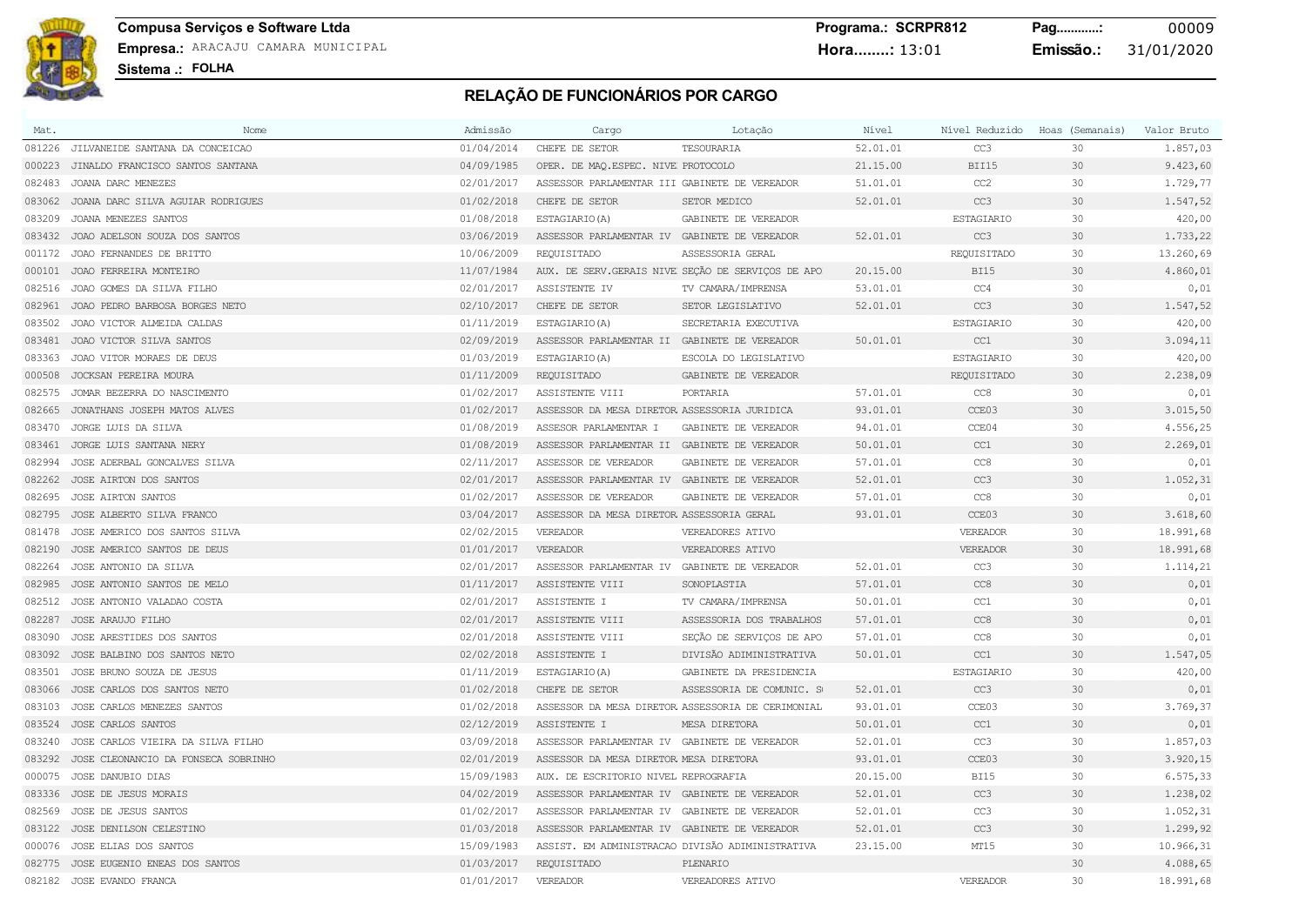

### **Compusa Serviços e Software Ltda Programa.: SCRPR812 Pag............:** 00009 **Empresa.:** ARACAJU CAMARA MUNICIPAL **Hora........:** 13:01 **Emissão.:** 31/01/2020

| Mat.   | Nome                                 | Admissão   | Cargo                                            | Lotação                                           | Nível    | Nível Reduzido    | Hoas (Semanais) | Valor Bruto |
|--------|--------------------------------------|------------|--------------------------------------------------|---------------------------------------------------|----------|-------------------|-----------------|-------------|
| 081226 | JILVANEIDE SANTANA DA CONCEICAO      | 01/04/2014 | CHEFE DE SETOR                                   | TESOURARIA                                        | 52.01.01 | CC3               | 30              | 1,857,03    |
| 000223 | JINALDO FRANCISCO SANTOS SANTANA     | 04/09/1985 | OPER. DE MAQ.ESPEC. NIVE PROTOCOLO               |                                                   | 21.15.00 | BII15             | 30              | 9.423,60    |
| 082483 | JOANA DARC MENEZES                   | 02/01/2017 | ASSESSOR PARLAMENTAR III GABINETE DE VEREADOR    |                                                   | 51.01.01 | CC2               | 30              | 1.729,77    |
| 083062 | JOANA DARC SILVA AGUIAR RODRIGUES    | 01/02/2018 | CHEFE DE SETOR                                   | SETOR MEDICO                                      | 52.01.01 | CC <sub>3</sub>   | 30              | 1.547,52    |
| 083209 | JOANA MENEZES SANTOS                 | 01/08/2018 | ESTAGIARIO (A)                                   | GABINETE DE VEREADOR                              |          | <b>ESTAGIARIO</b> | 30              | 420,00      |
|        | 083432 JOAO ADELSON SOUZA DOS SANTOS | 03/06/2019 | ASSESSOR PARLAMENTAR IV GABINETE DE VEREADOR     |                                                   | 52.01.01 | CC3               | 30              | 1.733,22    |
| 001172 | JOAO FERNANDES DE BRITTO             | 10/06/2009 | REQUISITADO                                      | ASSESSORIA GERAL                                  |          | REQUISITADO       | 30              | 13.260,69   |
|        | 000101 JOAO FERREIRA MONTEIRO        | 11/07/1984 |                                                  | AUX. DE SERV.GERAIS NIVE SECÃO DE SERVICOS DE APO | 20.15.00 | <b>BI15</b>       | 30              | 4.860,01    |
| 082516 | JOAO GOMES DA SILVA FILHO            | 02/01/2017 | ASSISTENTE IV                                    | TV CAMARA/IMPRENSA                                | 53.01.01 | CC4               | 30              | 0,01        |
| 082961 | JOAO PEDRO BARBOSA BORGES NETO       | 02/10/2017 | CHEFE DE SETOR                                   | SETOR LEGISLATIVO                                 | 52.01.01 | CC3               | 30              | 1.547,52    |
| 083502 | JOAO VICTOR ALMEIDA CALDAS           | 01/11/2019 | ESTAGIARIO (A)                                   | SECRETARIA EXECUTIVA                              |          | ESTAGIARIO        | 30              | 420,00      |
| 083481 | JOAO VICTOR SILVA SANTOS             | 02/09/2019 | ASSESSOR PARLAMENTAR II GABINETE DE VEREADOR     |                                                   | 50.01.01 | CC1               | 30              | 3.094, 11   |
| 083363 | JOAO VITOR MORAES DE DEUS            | 01/03/2019 | ESTAGIARIO (A)                                   | ESCOLA DO LEGISLATIVO                             |          | <b>ESTAGIARIO</b> | 30              | 420,00      |
| 000508 | JOCKSAN PEREIRA MOURA                | 01/11/2009 | REQUISITADO                                      | GABINETE DE VEREADOR                              |          | REQUISITADO       | 30              | 2.238,09    |
| 082575 | JOMAR BEZERRA DO NASCIMENTO          | 01/02/2017 | ASSISTENTE VIII                                  | PORTARIA                                          | 57.01.01 | CC8               | 30              | 0,01        |
| 082665 | JONATHANS JOSEPH MATOS ALVES         | 01/02/2017 | ASSESSOR DA MESA DIRETOR ASSESSORIA JURIDICA     |                                                   | 93.01.01 | CCE03             | 30              | 3.015, 50   |
| 083470 | JORGE LUIS DA SILVA                  | 01/08/2019 | ASSESOR PARLAMENTAR I                            | GABINETE DE VEREADOR                              | 94.01.01 | CCE04             | 30              | 4.556,25    |
|        | 083461 JORGE LUIS SANTANA NERY       | 01/08/2019 | ASSESSOR PARLAMENTAR II GABINETE DE VEREADOR     |                                                   | 50.01.01 | CC1               | 30              | 2.269,01    |
| 082994 | JOSE ADERBAL GONCALVES SILVA         | 02/11/2017 | ASSESSOR DE VEREADOR                             | GABINETE DE VEREADOR                              | 57.01.01 | CC8               | 30              | 0,01        |
| 082262 | JOSE AIRTON DOS SANTOS               | 02/01/2017 | ASSESSOR PARLAMENTAR IV                          | GABINETE DE VEREADOR                              | 52.01.01 | CC3               | 30              | 1.052,31    |
| 082695 | JOSE AIRTON SANTOS                   | 01/02/2017 | ASSESSOR DE VEREADOR                             | GABINETE DE VEREADOR                              | 57.01.01 | CC8               | 30              | 0,01        |
| 082795 | JOSE ALBERTO SILVA FRANCO            | 03/04/2017 | ASSESSOR DA MESA DIRETOR ASSESSORIA GERAL        |                                                   | 93.01.01 | CCE03             | 30              | 3.618,60    |
| 081478 | JOSE AMERICO DOS SANTOS SILVA        | 02/02/2015 | VEREADOR                                         | VEREADORES ATIVO                                  |          | VEREADOR          | 30              | 18.991,68   |
| 082190 | JOSE AMERICO SANTOS DE DEUS          | 01/01/2017 | VEREADOR                                         | VEREADORES ATIVO                                  |          | VEREADOR          | 30              | 18.991,68   |
| 082264 | JOSE ANTONIO DA SILVA                | 02/01/2017 | ASSESSOR PARLAMENTAR IV GABINETE DE VEREADOR     |                                                   | 52.01.01 | CC <sub>3</sub>   | 30              | 1.114,21    |
| 082985 | JOSE ANTONIO SANTOS DE MELO          | 01/11/2017 | ASSISTENTE VIII                                  | SONOPLASTIA                                       | 57.01.01 | CC8               | 30              | 0,01        |
| 082512 | JOSE ANTONIO VALADAO COSTA           | 02/01/2017 | ASSISTENTE I                                     | TV CAMARA/IMPRENSA                                | 50.01.01 | CC1               | 30              | 0,01        |
| 082287 | JOSE ARAUJO FILHO                    | 02/01/2017 | ASSISTENTE VIII                                  | ASSESSORIA DOS TRABALHOS                          | 57.01.01 | CC8               | 30              | 0,01        |
| 083090 | JOSE ARESTIDES DOS SANTOS            | 02/01/2018 | ASSISTENTE VIII                                  | SEÇÃO DE SERVIÇOS DE APO                          | 57.01.01 | CC8               | 30              | 0,01        |
|        | 083092 JOSE BALBINO DOS SANTOS NETO  | 02/02/2018 | ASSISTENTE I                                     | DIVISÃO ADIMINISTRATIVA                           | 50.01.01 | CC1               | 30              | 1.547,05    |
| 083501 | JOSE BRUNO SOUZA DE JESUS            | 01/11/2019 | ESTAGIARIO (A)                                   | GABINETE DA PRESIDENCIA                           |          | <b>ESTAGIARIO</b> | 30              | 420,00      |
| 083066 | JOSE CARLOS DOS SANTOS NETO          | 01/02/2018 | CHEFE DE SETOR                                   | ASSESSORIA DE COMUNIC. SO                         | 52.01.01 | CC3               | 30              | 0,01        |
| 083103 | JOSE CARLOS MENEZES SANTOS           | 01/02/2018 |                                                  | ASSESSOR DA MESA DIRETOR ASSESSORIA DE CERIMONIAL | 93.01.01 | CCE03             | 30              | 3.769,37    |
| 083524 | JOSE CARLOS SANTOS                   | 02/12/2019 | ASSISTENTE I                                     | MESA DIRETORA                                     | 50.01.01 | CC1               | 30              | 0,01        |
| 083240 | JOSE CARLOS VIEIRA DA SILVA FILHO    | 03/09/2018 | ASSESSOR PARLAMENTAR IV GABINETE DE VEREADOR     |                                                   | 52.01.01 | CC3               | 30              | 1.857,03    |
| 083292 | JOSE CLEONANCIO DA FONSECA SOBRINHO  | 02/01/2019 | ASSESSOR DA MESA DIRETOR MESA DIRETORA           |                                                   | 93.01.01 | CCE03             | 30              | 3.920, 15   |
| 000075 | JOSE DANUBIO DIAS                    | 15/09/1983 | AUX. DE ESCRITORIO NIVEL REPROGRAFIA             |                                                   | 20.15.00 | <b>BI15</b>       | 30              | 6.575, 33   |
| 083336 | JOSE DE JESUS MORAIS                 | 04/02/2019 | ASSESSOR PARLAMENTAR IV GABINETE DE VEREADOR     |                                                   | 52.01.01 | CC3               | 30              | 1.238,02    |
| 082569 | JOSE DE JESUS SANTOS                 | 01/02/2017 | ASSESSOR PARLAMENTAR IV GABINETE DE VEREADOR     |                                                   | 52.01.01 | CC3               | 30              | 1.052,31    |
|        | 083122 JOSE DENILSON CELESTINO       | 01/03/2018 | ASSESSOR PARLAMENTAR IV GABINETE DE VEREADOR     |                                                   | 52.01.01 | CC3               | 30              | 1.299,92    |
| 000076 | JOSE ELIAS DOS SANTOS                | 15/09/1983 | ASSIST. EM ADMINISTRACAO DIVISÃO ADIMINISTRATIVA |                                                   | 23.15.00 | MT15              | 30              | 10.966,31   |
|        | 082775 JOSE EUGENIO ENEAS DOS SANTOS | 01/03/2017 | REQUISITADO                                      | PLENARIO                                          |          |                   | 30              | 4.088,65    |
|        | 082182 JOSE EVANDO FRANCA            | 01/01/2017 | VEREADOR                                         | VEREADORES ATIVO                                  |          | VEREADOR          | 30              | 18.991,68   |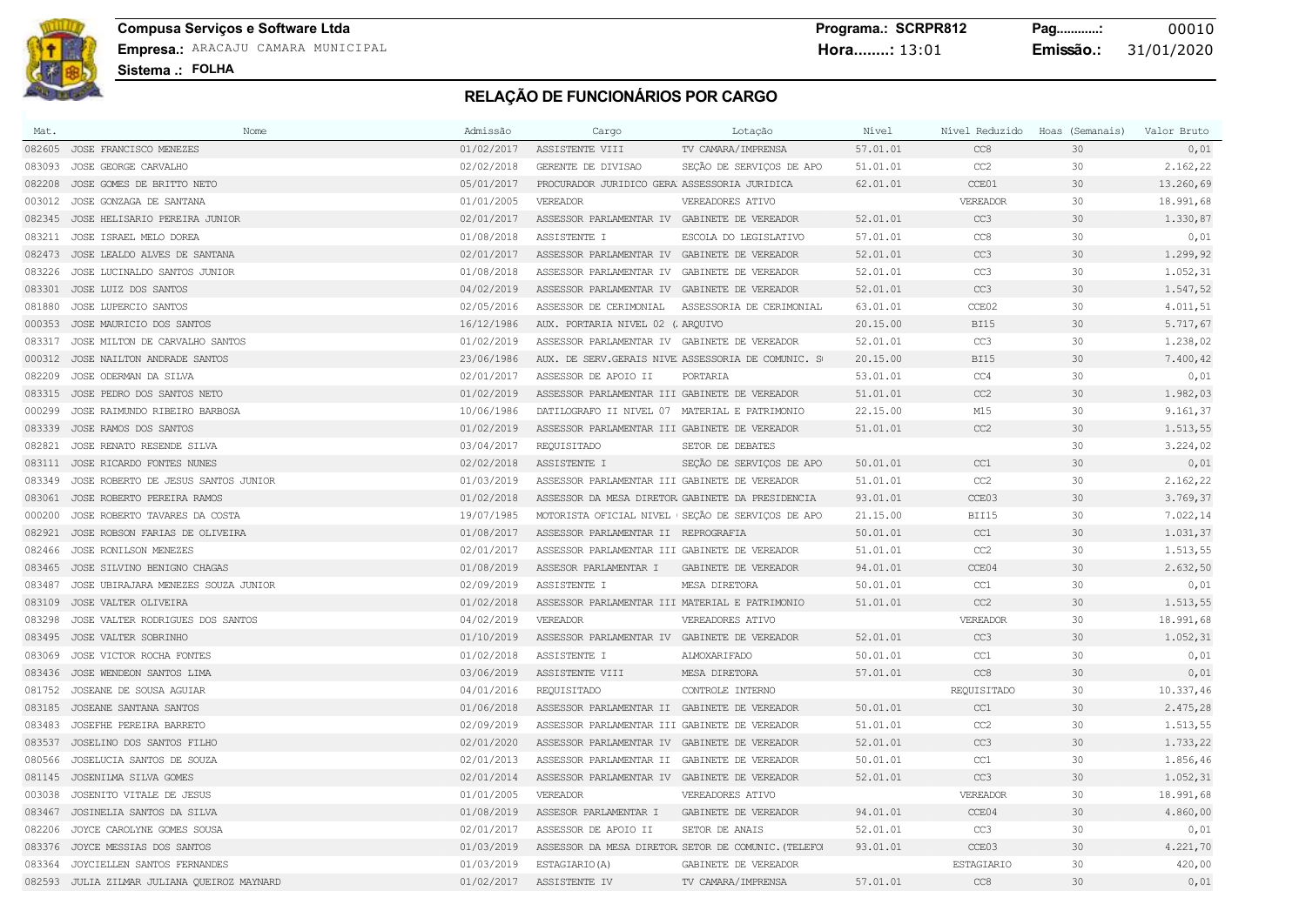**Compusa Serviços e Software Ltda Programa.: SCRPR812 Pag............:** 00010 **Empresa.:** ARACAJU CAMARA MUNICIPAL **Hora........:** 13:01 **Emissão.:** 31/01/2020

| Mat.   | Nome                                        | Admissão   | Cargo                                            | Lotação                                            | Nível    | Nível Reduzido    | Hoas (Semanais) | Valor Bruto |
|--------|---------------------------------------------|------------|--------------------------------------------------|----------------------------------------------------|----------|-------------------|-----------------|-------------|
|        | 082605 JOSE FRANCISCO MENEZES               | 01/02/2017 | ASSISTENTE VIII                                  | TV CAMARA/IMPRENSA                                 | 57.01.01 | CC8               | 30              | 0,01        |
|        | 083093 JOSE GEORGE CARVALHO                 | 02/02/2018 | GERENTE DE DIVISAO                               | SEÇÃO DE SERVIÇOS DE APO                           | 51.01.01 | CC2               | 30              | 2.162,22    |
|        | 082208 JOSE GOMES DE BRITTO NETO            | 05/01/2017 | PROCURADOR JURIDICO GERA ASSESSORIA JURIDICA     |                                                    | 62.01.01 | CCE01             | 30              | 13.260,69   |
| 003012 | JOSE GONZAGA DE SANTANA                     | 01/01/2005 | VEREADOR                                         | VEREADORES ATIVO                                   |          | VEREADOR          | 30              | 18.991,68   |
|        | 082345 JOSE HELISARIO PEREIRA JUNIOR        | 02/01/2017 | ASSESSOR PARLAMENTAR IV GABINETE DE VEREADOR     |                                                    | 52.01.01 | CC3               | 30              | 1.330,87    |
|        | 083211 JOSE ISRAEL MELO DOREA               | 01/08/2018 | ASSISTENTE I                                     | ESCOLA DO LEGISLATIVO                              | 57.01.01 | CC8               | 30              | 0,01        |
|        | 082473 JOSE LEALDO ALVES DE SANTANA         | 02/01/2017 | ASSESSOR PARLAMENTAR IV GABINETE DE VEREADOR     |                                                    | 52.01.01 | CC3               | 30              | 1.299,92    |
| 083226 | JOSE LUCINALDO SANTOS JUNIOR                | 01/08/2018 | ASSESSOR PARLAMENTAR IV GABINETE DE VEREADOR     |                                                    | 52.01.01 | CC3               | 30              | 1.052,31    |
|        | 083301 JOSE LUIZ DOS SANTOS                 | 04/02/2019 | ASSESSOR PARLAMENTAR IV GABINETE DE VEREADOR     |                                                    | 52.01.01 | CC3               | 30              | 1.547,52    |
| 081880 | JOSE LUPERCIO SANTOS                        | 02/05/2016 | ASSESSOR DE CERIMONIAL                           | ASSESSORIA DE CERIMONIAL                           | 63.01.01 | CCE02             | 30              | 4.011,51    |
|        | 000353 JOSE MAURICIO DOS SANTOS             | 16/12/1986 | AUX. PORTARIA NIVEL 02 ( AROUIVO                 |                                                    | 20.15.00 | <b>BI15</b>       | 30              | 5.717,67    |
|        | 083317 JOSE MILTON DE CARVALHO SANTOS       | 01/02/2019 | ASSESSOR PARLAMENTAR IV GABINETE DE VEREADOR     |                                                    | 52.01.01 | CC3               | 30              | 1.238,02    |
|        | 000312 JOSE NAILTON ANDRADE SANTOS          | 23/06/1986 |                                                  | AUX. DE SERV.GERAIS NIVE ASSESSORIA DE COMUNIC. S  | 20.15.00 | <b>BI15</b>       | 30              | 7.400,42    |
| 082209 | JOSE ODERMAN DA SILVA                       | 02/01/2017 | ASSESSOR DE APOIO II                             | PORTARIA                                           | 53.01.01 | CC4               | 30              | 0,01        |
|        | 083315 JOSE PEDRO DOS SANTOS NETO           | 01/02/2019 | ASSESSOR PARLAMENTAR III GABINETE DE VEREADOR    |                                                    | 51.01.01 | CC2               | 30              | 1.982,03    |
| 000299 | JOSE RAIMUNDO RIBEIRO BARBOSA               | 10/06/1986 | DATILOGRAFO II NIVEL 07 MATERIAL E PATRIMONIO    |                                                    | 22.15.00 | M15               | 30              | 9.161, 37   |
|        | 083339 JOSE RAMOS DOS SANTOS                | 01/02/2019 | ASSESSOR PARLAMENTAR III GABINETE DE VEREADOR    |                                                    | 51.01.01 | CC2               | 30              | 1.513,55    |
| 082821 | JOSE RENATO RESENDE SILVA                   | 03/04/2017 | REQUISITADO                                      | SETOR DE DEBATES                                   |          |                   | 30              | 3.224,02    |
|        | 083111 JOSE RICARDO FONTES NUNES            | 02/02/2018 | ASSISTENTE I                                     | SEÇÃO DE SERVIÇOS DE APO                           | 50.01.01 | CC1               | 30              | 0,01        |
| 083349 | JOSE ROBERTO DE JESUS SANTOS JUNIOR         | 01/03/2019 | ASSESSOR PARLAMENTAR III GABINETE DE VEREADOR    |                                                    | 51.01.01 | CC2               | 30              | 2.162,22    |
|        | 083061 JOSE ROBERTO PEREIRA RAMOS           | 01/02/2018 | ASSESSOR DA MESA DIRETOR GABINETE DA PRESIDENCIA |                                                    | 93.01.01 | CCE03             | 30              | 3.769,37    |
| 000200 | JOSE ROBERTO TAVARES DA COSTA               | 19/07/1985 |                                                  | MOTORISTA OFICIAL NIVEL (SECÃO DE SERVICOS DE APO  | 21,15.00 | BII15             | 30              | 7.022,14    |
|        | 082921 JOSE ROBSON FARIAS DE OLIVEIRA       | 01/08/2017 | ASSESSOR PARLAMENTAR II REPROGRAFIA              |                                                    | 50.01.01 | CC1               | 30              | 1.031,37    |
| 082466 | JOSE RONILSON MENEZES                       | 02/01/2017 | ASSESSOR PARLAMENTAR III GABINETE DE VEREADOR    |                                                    | 51.01.01 | CC2               | 30              | 1.513,55    |
|        | 083465 JOSE SILVINO BENIGNO CHAGAS          | 01/08/2019 | ASSESOR PARLAMENTAR I                            | GABINETE DE VEREADOR                               | 94.01.01 | CCE04             | 30              | 2.632,50    |
| 083487 | JOSE UBIRAJARA MENEZES SOUZA JUNIOR         | 02/09/2019 | ASSISTENTE I                                     | MESA DIRETORA                                      | 50.01.01 | CC1               | 30              | 0,01        |
|        | 083109 JOSE VALTER OLIVEIRA                 | 01/02/2018 | ASSESSOR PARLAMENTAR III MATERIAL E PATRIMONIO   |                                                    | 51.01.01 | CC2               | 30              | 1.513,55    |
| 083298 | JOSE VALTER RODRIGUES DOS SANTOS            | 04/02/2019 | VEREADOR                                         | VEREADORES ATIVO                                   |          | VEREADOR          | 30              | 18.991,68   |
|        | 083495 JOSE VALTER SOBRINHO                 | 01/10/2019 | ASSESSOR PARLAMENTAR IV GABINETE DE VEREADOR     |                                                    | 52.01.01 | CC3               | 30              | 1.052,31    |
| 083069 | JOSE VICTOR ROCHA FONTES                    | 01/02/2018 | ASSISTENTE I                                     | ALMOXARIFADO                                       | 50.01.01 | CC1               | 30              | 0,01        |
| 083436 | JOSE WENDEON SANTOS LIMA                    | 03/06/2019 | ASSISTENTE VIII                                  | MESA DIRETORA                                      | 57.01.01 | CC8               | 30              | 0,01        |
| 081752 | JOSEANE DE SOUSA AGUIAR                     | 04/01/2016 | REQUISITADO                                      | CONTROLE INTERNO                                   |          | REQUISITADO       | 30              | 10.337,46   |
|        | 083185 JOSEANE SANTANA SANTOS               | 01/06/2018 | ASSESSOR PARLAMENTAR II GABINETE DE VEREADOR     |                                                    | 50.01.01 | CC1               | 30              | 2.475,28    |
| 083483 | JOSEFHE PEREIRA BARRETO                     | 02/09/2019 | ASSESSOR PARLAMENTAR III GABINETE DE VEREADOR    |                                                    | 51.01.01 | CC2               | 30              | 1.513,55    |
|        | 083537 JOSELINO DOS SANTOS FILHO            | 02/01/2020 | ASSESSOR PARLAMENTAR IV GABINETE DE VEREADOR     |                                                    | 52.01.01 | CC3               | 30              | 1.733,22    |
| 080566 | JOSELUCIA SANTOS DE SOUZA                   | 02/01/2013 | ASSESSOR PARLAMENTAR II GABINETE DE VEREADOR     |                                                    | 50.01.01 | CC1               | 30              | 1.856,46    |
|        | 081145 JOSENILMA SILVA GOMES                | 02/01/2014 | ASSESSOR PARLAMENTAR IV GABINETE DE VEREADOR     |                                                    | 52.01.01 | CC3               | 30              | 1.052,31    |
| 003038 | JOSENITO VITALE DE JESUS                    | 01/01/2005 | VEREADOR                                         | VEREADORES ATIVO                                   |          | VEREADOR          | 30              | 18.991,68   |
|        | 083467 JOSINELIA SANTOS DA SILVA            | 01/08/2019 | ASSESOR PARLAMENTAR I                            | GABINETE DE VEREADOR                               | 94.01.01 | CCE04             | 30              | 4.860,00    |
| 082206 | JOYCE CAROLYNE GOMES SOUSA                  | 02/01/2017 | ASSESSOR DE APOIO II                             | SETOR DE ANAIS                                     | 52.01.01 | CC3               | 30              | 0,01        |
|        | 083376 JOYCE MESSIAS DOS SANTOS             | 01/03/2019 |                                                  | ASSESSOR DA MESA DIRETOR SETOR DE COMUNIC. (TELEFO | 93.01.01 | CCE03             | 30              | 4.221,70    |
|        | 083364 JOYCIELLEN SANTOS FERNANDES          | 01/03/2019 | ESTAGIARIO (A)                                   | GABINETE DE VEREADOR                               |          | <b>ESTAGIARIO</b> | 30              | 420,00      |
|        | 082593 JULIA ZILMAR JULIANA OUEIROZ MAYNARD | 01/02/2017 | ASSISTENTE IV                                    | TV CAMARA/IMPRENSA                                 | 57.01.01 | CC <sub>8</sub>   | 30              | 0,01        |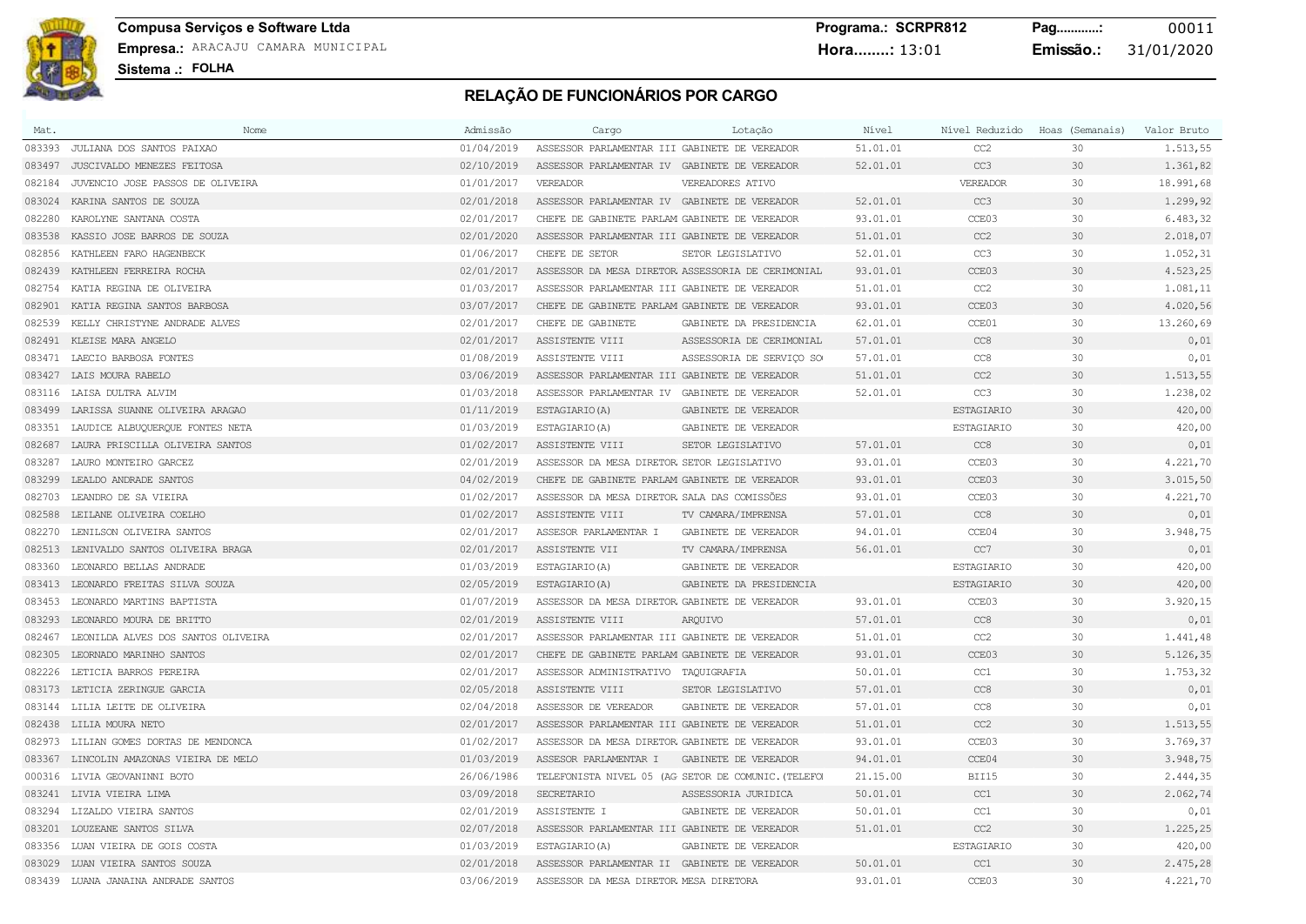**Compusa Serviços e Software Ltda Programa.: SCRPR812 Pag............:** 00011 **Empresa.:** ARACAJU CAMARA MUNICIPAL **Hora........:** 13:01 **Emissão.:** 31/01/2020

**Sistema .: FOLHA**

| Mat.   | Nome                                | Admissão   | Cargo                                         | Lotação                                             | Nível    | Nível Reduzido    | Hoas (Semanais) | Valor Bruto |
|--------|-------------------------------------|------------|-----------------------------------------------|-----------------------------------------------------|----------|-------------------|-----------------|-------------|
| 083393 | JULIANA DOS SANTOS PAIXAO           | 01/04/2019 | ASSESSOR PARLAMENTAR III GABINETE DE VEREADOR |                                                     | 51.01.01 | CC2               | 30              | 1.513,55    |
| 083497 | JUSCIVALDO MENEZES FEITOSA          | 02/10/2019 | ASSESSOR PARLAMENTAR IV GABINETE DE VEREADOR  |                                                     | 52.01.01 | CC3               | 30              | 1.361,82    |
| 082184 | JUVENCIO JOSE PASSOS DE OLIVEIRA    | 01/01/2017 | <b>VEREADOR</b>                               | VEREADORES ATIVO                                    |          | <b>VEREADOR</b>   | 30              | 18.991,68   |
| 083024 | KARINA SANTOS DE SOUZA              | 02/01/2018 | ASSESSOR PARLAMENTAR IV GABINETE DE VEREADOR  |                                                     | 52.01.01 | CC3               | 30              | 1.299,92    |
| 082280 | KAROLYNE SANTANA COSTA              | 02/01/2017 | CHEFE DE GABINETE PARLAM GABINETE DE VEREADOR |                                                     | 93.01.01 | CCE03             | 30              | 6.483, 32   |
| 083538 | KASSIO JOSE BARROS DE SOUZA         | 02/01/2020 | ASSESSOR PARLAMENTAR III GABINETE DE VEREADOR |                                                     | 51.01.01 | CC2               | 30              | 2.018,07    |
| 082856 | KATHLEEN FARO HAGENBECK             | 01/06/2017 | CHEFE DE SETOR                                | SETOR LEGISLATIVO                                   | 52.01.01 | CC3               | 30              | 1.052,31    |
| 082439 | KATHLEEN FERREIRA ROCHA             | 02/01/2017 |                                               | ASSESSOR DA MESA DIRETOR ASSESSORIA DE CERIMONIAL   | 93.01.01 | CCE03             | 30              | 4.523,25    |
| 082754 | KATIA REGINA DE OLIVEIRA            | 01/03/2017 | ASSESSOR PARLAMENTAR III GABINETE DE VEREADOR |                                                     | 51.01.01 | CC2               | 30              | 1.081,11    |
| 082901 | KATIA REGINA SANTOS BARBOSA         | 03/07/2017 | CHEFE DE GABINETE PARLAM GABINETE DE VEREADOR |                                                     | 93.01.01 | CCE03             | 30              | 4.020,56    |
| 082539 | KELLY CHRISTYNE ANDRADE ALVES       | 02/01/2017 | CHEFE DE GABINETE                             | GABINETE DA PRESIDENCIA                             | 62.01.01 | CCE01             | 30              | 13.260,69   |
|        | 082491 KLEISE MARA ANGELO           | 02/01/2017 | ASSISTENTE VIII                               | ASSESSORIA DE CERIMONIAL                            | 57.01.01 | CC <sub>8</sub>   | 30              | 0,01        |
| 083471 | LAECIO BARBOSA FONTES               | 01/08/2019 | ASSISTENTE VIII                               | ASSESSORIA DE SERVIÇO SO                            | 57.01.01 | CC8               | 30              | 0,01        |
| 083427 | LAIS MOURA RABELO                   | 03/06/2019 | ASSESSOR PARLAMENTAR III GABINETE DE VEREADOR |                                                     | 51.01.01 | CC2               | 30              | 1.513,55    |
| 083116 | LAISA DULTRA ALVIM                  | 01/03/2018 | ASSESSOR PARLAMENTAR IV GABINETE DE VEREADOR  |                                                     | 52.01.01 | CC3               | 30              | 1.238,02    |
| 083499 | LARISSA SUANNE OLIVEIRA ARAGAO      | 01/11/2019 | ESTAGIARIO (A)                                | GABINETE DE VEREADOR                                |          | <b>ESTAGIARIO</b> | 30              | 420,00      |
| 083351 | LAUDICE ALBUQUERQUE FONTES NETA     | 01/03/2019 | ESTAGIARIO (A)                                | GABINETE DE VEREADOR                                |          | ESTAGIARIO        | 30              | 420,00      |
| 082687 | LAURA PRISCILLA OLIVEIRA SANTOS     | 01/02/2017 | ASSISTENTE VIII                               | SETOR LEGISLATIVO                                   | 57.01.01 | CC <sub>8</sub>   | 30              | 0,01        |
| 083287 | LAURO MONTEIRO GARCEZ               | 02/01/2019 | ASSESSOR DA MESA DIRETOR SETOR LEGISLATIVO    |                                                     | 93.01.01 | CCE03             | 30              | 4.221,70    |
| 083299 | LEALDO ANDRADE SANTOS               | 04/02/2019 | CHEFE DE GABINETE PARLAM GABINETE DE VEREADOR |                                                     | 93.01.01 | CCE03             | 30              | 3.015, 50   |
| 082703 | LEANDRO DE SA VIEIRA                | 01/02/2017 | ASSESSOR DA MESA DIRETOR SALA DAS COMISSÕES   |                                                     | 93.01.01 | CCE03             | 30              | 4.221,70    |
| 082588 | LEILANE OLIVEIRA COELHO             | 01/02/2017 | ASSISTENTE VIII                               | TV CAMARA/IMPRENSA                                  | 57.01.01 | CC <sub>8</sub>   | 30              | 0,01        |
| 082270 | LENILSON OLIVEIRA SANTOS            | 02/01/2017 | ASSESOR PARLAMENTAR I                         | GABINETE DE VEREADOR                                | 94.01.01 | CCE04             | 30              | 3.948,75    |
| 082513 | LENIVALDO SANTOS OLIVEIRA BRAGA     | 02/01/2017 | ASSISTENTE VII                                | TV CAMARA/IMPRENSA                                  | 56.01.01 | CC7               | 30              | 0,01        |
| 083360 | LEONARDO BELLAS ANDRADE             | 01/03/2019 | ESTAGIARIO (A)                                | GABINETE DE VEREADOR                                |          | ESTAGIARIO        | 30              | 420,00      |
|        | 083413 LEONARDO FREITAS SILVA SOUZA | 02/05/2019 | ESTAGIARIO (A)                                | GABINETE DA PRESIDENCIA                             |          | <b>ESTAGIARIO</b> | 30              | 420,00      |
| 083453 | LEONARDO MARTINS BAPTISTA           | 01/07/2019 | ASSESSOR DA MESA DIRETOR GABINETE DE VEREADOR |                                                     | 93.01.01 | CCE03             | 30              | 3.920,15    |
| 083293 | LEONARDO MOURA DE BRITTO            | 02/01/2019 | ASSISTENTE VIII                               | AROUIVO                                             | 57.01.01 | CC8               | 30              | 0,01        |
| 082467 | LEONILDA ALVES DOS SANTOS OLIVEIRA  | 02/01/2017 | ASSESSOR PARLAMENTAR III GABINETE DE VEREADOR |                                                     | 51.01.01 | CC2               | 30              | 1.441,48    |
| 082305 | LEORNADO MARINHO SANTOS             | 02/01/2017 | CHEFE DE GABINETE PARLAM GABINETE DE VEREADOR |                                                     | 93.01.01 | CCE03             | 30              | 5.126,35    |
| 082226 | LETICIA BARROS PEREIRA              | 02/01/2017 | ASSESSOR ADMINISTRATIVO TAQUIGRAFIA           |                                                     | 50.01.01 | CC1               | 30              | 1.753,32    |
| 083173 | LETICIA ZERINGUE GARCIA             | 02/05/2018 | ASSISTENTE VIII                               | SETOR LEGISLATIVO                                   | 57.01.01 | CC <sub>8</sub>   | 30              | 0,01        |
| 083144 | LILIA LEITE DE OLIVEIRA             | 02/04/2018 | ASSESSOR DE VEREADOR                          | GABINETE DE VEREADOR                                | 57.01.01 | CC8               | 30              | 0,01        |
| 082438 | LILIA MOURA NETO                    | 02/01/2017 | ASSESSOR PARLAMENTAR III GABINETE DE VEREADOR |                                                     | 51.01.01 | CC2               | 30              | 1.513,55    |
| 082973 | LILIAN GOMES DORTAS DE MENDONCA     | 01/02/2017 | ASSESSOR DA MESA DIRETOR GABINETE DE VEREADOR |                                                     | 93.01.01 | CCE03             | 30              | 3.769,37    |
| 083367 | LINCOLIN AMAZONAS VIEIRA DE MELO    | 01/03/2019 | ASSESOR PARLAMENTAR I                         | GABINETE DE VEREADOR                                | 94.01.01 | CCE04             | 30              | 3.948,75    |
| 000316 | LIVIA GEOVANINNI BOTO               | 26/06/1986 |                                               | TELEFONISTA NIVEL 05 (AG SETOR DE COMUNIC. (TELEFO) | 21.15.00 | BII15             | 30              | 2.444,35    |
|        | 083241 LIVIA VIEIRA LIMA            | 03/09/2018 | SECRETARIO                                    | ASSESSORIA JURIDICA                                 | 50.01.01 | CC1               | 30              | 2.062,74    |
| 083294 | LIZALDO VIEIRA SANTOS               | 02/01/2019 | ASSISTENTE I                                  | GABINETE DE VEREADOR                                | 50.01.01 | CC1               | 30              | 0,01        |
| 083201 | LOUZEANE SANTOS SILVA               | 02/07/2018 | ASSESSOR PARLAMENTAR III GABINETE DE VEREADOR |                                                     | 51.01.01 | CC2               | 30              | 1.225,25    |
| 083356 | LUAN VIEIRA DE GOIS COSTA           | 01/03/2019 | ESTAGIARIO (A)                                | GABINETE DE VEREADOR                                |          | <b>ESTAGIARIO</b> | 30              | 420,00      |
| 083029 | LUAN VIEIRA SANTOS SOUZA            | 02/01/2018 | ASSESSOR PARLAMENTAR II GABINETE DE VEREADOR  |                                                     | 50.01.01 | CC1               | 30              | 2.475,28    |
|        | 083439 LUANA JANAINA ANDRADE SANTOS | 03/06/2019 | ASSESSOR DA MESA DIRETOR MESA DIRETORA        |                                                     | 93.01.01 | CCE03             | 30              | 4.221,70    |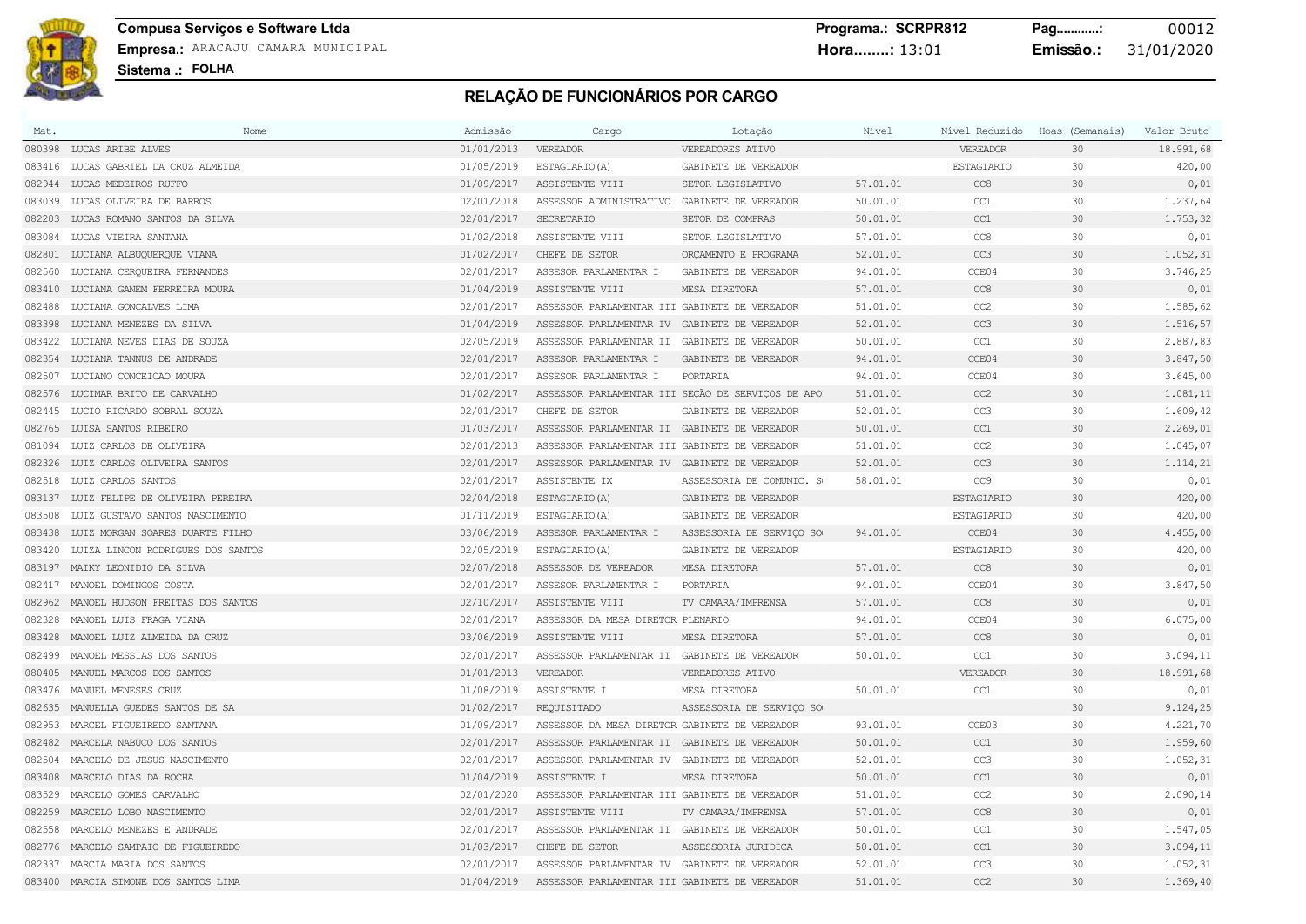### **Compusa Serviços e Software Ltda Programa.: SCRPR812 Pag............:** 00012 **Empresa.:** ARACAJU CAMARA MUNICIPAL **Hora........:** 13:01 **Emissão.:** 31/01/2020

| Mat.   | Nome                                   | Admissão   | Cargo                                         | Lotação                                           | Nível    | Nível Reduzido    | Hoas (Semanais) | Valor Bruto |
|--------|----------------------------------------|------------|-----------------------------------------------|---------------------------------------------------|----------|-------------------|-----------------|-------------|
|        | 080398 LUCAS ARIBE ALVES               | 01/01/2013 | VEREADOR                                      | VEREADORES ATIVO                                  |          | VEREADOR          | 30              | 18.991,68   |
|        | 083416 LUCAS GABRIEL DA CRUZ ALMEIDA   | 01/05/2019 | ESTAGIARIO (A)                                | GABINETE DE VEREADOR                              |          | ESTAGIARIO        | 30              | 420,00      |
|        | 082944 LUCAS MEDEIROS RUFFO            | 01/09/2017 | ASSISTENTE VIII                               | SETOR LEGISLATIVO                                 | 57.01.01 | CC <sub>8</sub>   | 30              | 0,01        |
| 083039 | LUCAS OLIVEIRA DE BARROS               | 02/01/2018 | ASSESSOR ADMINISTRATIVO GABINETE DE VEREADOR  |                                                   | 50.01.01 | CC1               | 30              | 1.237,64    |
| 082203 | LUCAS ROMANO SANTOS DA SILVA           | 02/01/2017 | SECRETARIO                                    | SETOR DE COMPRAS                                  | 50.01.01 | CC1               | 30              | 1.753,32    |
| 083084 | LUCAS VIEIRA SANTANA                   | 01/02/2018 | ASSISTENTE VIII                               | SETOR LEGISLATIVO                                 | 57.01.01 | CC8               | 30              | 0,01        |
| 082801 | LUCIANA ALBUQUERQUE VIANA              | 01/02/2017 | CHEFE DE SETOR                                | ORÇAMENTO E PROGRAMA                              | 52.01.01 | CC3               | 30              | 1.052,31    |
| 082560 | LUCIANA CERQUEIRA FERNANDES            | 02/01/2017 | ASSESOR PARLAMENTAR I                         | GABINETE DE VEREADOR                              | 94.01.01 | CCE04             | 30              | 3.746,25    |
| 083410 | LUCIANA GANEM FERREIRA MOURA           | 01/04/2019 | ASSISTENTE VIII                               | MESA DIRETORA                                     | 57.01.01 | CC8               | 30              | 0,01        |
| 082488 | LUCIANA GONCALVES LIMA                 | 02/01/2017 | ASSESSOR PARLAMENTAR III GABINETE DE VEREADOR |                                                   | 51.01.01 | CC2               | 30              | 1.585,62    |
| 083398 | LUCIANA MENEZES DA SILVA               | 01/04/2019 | ASSESSOR PARLAMENTAR IV GABINETE DE VEREADOR  |                                                   | 52.01.01 | CC3               | 30              | 1.516,57    |
| 083422 | LUCIANA NEVES DIAS DE SOUZA            | 02/05/2019 | ASSESSOR PARLAMENTAR II GABINETE DE VEREADOR  |                                                   | 50.01.01 | CC1               | 30              | 2.887,83    |
|        | 082354 LUCIANA TANNUS DE ANDRADE       | 02/01/2017 | ASSESOR PARLAMENTAR I                         | GABINETE DE VEREADOR                              | 94.01.01 | CCE04             | 30              | 3.847,50    |
| 082507 | LUCIANO CONCEICAO MOURA                | 02/01/2017 | ASSESOR PARLAMENTAR I                         | PORTARIA                                          | 94.01.01 | CCE04             | 30              | 3.645,00    |
| 082576 | LUCIMAR BRITO DE CARVALHO              | 01/02/2017 |                                               | ASSESSOR PARLAMENTAR III SEÇÃO DE SERVIÇOS DE APO | 51.01.01 | CC2               | 30              | 1.081,11    |
| 082445 | LUCIO RICARDO SOBRAL SOUZA             | 02/01/2017 | CHEFE DE SETOR                                | GABINETE DE VEREADOR                              | 52.01.01 | CC3               | 30              | 1.609,42    |
| 082765 | LUISA SANTOS RIBEIRO                   | 01/03/2017 | ASSESSOR PARLAMENTAR II GABINETE DE VEREADOR  |                                                   | 50.01.01 | CC1               | 30              | 2.269,01    |
| 081094 | LUIZ CARLOS DE OLIVEIRA                | 02/01/2013 | ASSESSOR PARLAMENTAR III GABINETE DE VEREADOR |                                                   | 51.01.01 | CC2               | 30              | 1.045,07    |
|        | 082326 LUIZ CARLOS OLIVEIRA SANTOS     | 02/01/2017 | ASSESSOR PARLAMENTAR IV GABINETE DE VEREADOR  |                                                   | 52.01.01 | CC3               | 30              | 1.114,21    |
| 082518 | LUIZ CARLOS SANTOS                     | 02/01/2017 | ASSISTENTE IX                                 | ASSESSORIA DE COMUNIC. SO                         | 58.01.01 | CC <sub>9</sub>   | 30              | 0,01        |
| 083137 | LUIZ FELIPE DE OLIVEIRA PEREIRA        | 02/04/2018 | ESTAGIARIO (A)                                | GABINETE DE VEREADOR                              |          | ESTAGIARIO        | 30              | 420,00      |
| 083508 | LUIZ GUSTAVO SANTOS NASCIMENTO         | 01/11/2019 | ESTAGIARIO (A)                                | GABINETE DE VEREADOR                              |          | <b>ESTAGIARIO</b> | 30              | 420,00      |
|        | 083438 LUIZ MORGAN SOARES DUARTE FILHO | 03/06/2019 | ASSESOR PARLAMENTAR I                         | ASSESSORIA DE SERVIÇO SO                          | 94.01.01 | CCE04             | 30              | 4.455,00    |
| 083420 | LUIZA LINCON RODRIGUES DOS SANTOS      | 02/05/2019 | ESTAGIARIO (A)                                | GABINETE DE VEREADOR                              |          | <b>ESTAGIARIO</b> | 30              | 420,00      |
|        | 083197 MAIKY LEONIDIO DA SILVA         | 02/07/2018 | ASSESSOR DE VEREADOR                          | MESA DIRETORA                                     | 57.01.01 | CC8               | 30              | 0,01        |
| 082417 | MANOEL DOMINGOS COSTA                  | 02/01/2017 | ASSESOR PARLAMENTAR I                         | PORTARIA                                          | 94.01.01 | CCE04             | 30              | 3.847,50    |
| 082962 | MANOEL HUDSON FREITAS DOS SANTOS       | 02/10/2017 | ASSISTENTE VIII                               | TV CAMARA/IMPRENSA                                | 57.01.01 | CC8               | 30              | 0,01        |
| 082328 | MANOEL LUIS FRAGA VIANA                | 02/01/2017 | ASSESSOR DA MESA DIRETOR PLENARIO             |                                                   | 94.01.01 | CCE04             | 30              | 6.075,00    |
| 083428 | MANOEL LUIZ ALMEIDA DA CRUZ            | 03/06/2019 | ASSISTENTE VIII                               | MESA DIRETORA                                     | 57.01.01 | CC8               | 30              | 0,01        |
| 082499 | MANOEL MESSIAS DOS SANTOS              | 02/01/2017 | ASSESSOR PARLAMENTAR II GABINETE DE VEREADOR  |                                                   | 50.01.01 | CC1               | 30              | 3.094,11    |
| 080405 | MANUEL MARCOS DOS SANTOS               | 01/01/2013 | VEREADOR                                      | VEREADORES ATIVO                                  |          | VEREADOR          | 30              | 18.991,68   |
| 083476 | MANUEL MENESES CRUZ                    | 01/08/2019 | ASSISTENTE I                                  | MESA DIRETORA                                     | 50.01.01 | CC1               | 30              | 0,01        |
| 082635 | MANUELLA GUEDES SANTOS DE SA           | 01/02/2017 | REQUISITADO                                   | ASSESSORIA DE SERVIÇO SO                          |          |                   | 30              | 9.124, 25   |
| 082953 | MARCEL FIGUEIREDO SANTANA              | 01/09/2017 | ASSESSOR DA MESA DIRETOR GABINETE DE VEREADOR |                                                   | 93.01.01 | CCE03             | 30              | 4.221,70    |
|        | 082482 MARCELA NABUCO DOS SANTOS       | 02/01/2017 | ASSESSOR PARLAMENTAR II GABINETE DE VEREADOR  |                                                   | 50.01.01 | CC1               | 30              | 1.959,60    |
| 082504 | MARCELO DE JESUS NASCIMENTO            | 02/01/2017 | ASSESSOR PARLAMENTAR IV GABINETE DE VEREADOR  |                                                   | 52.01.01 | CC3               | 30              | 1.052,31    |
| 083408 | MARCELO DIAS DA ROCHA                  | 01/04/2019 | ASSISTENTE I                                  | MESA DIRETORA                                     | 50.01.01 | CC1               | 30              | 0,01        |
| 083529 | MARCELO GOMES CARVALHO                 | 02/01/2020 | ASSESSOR PARLAMENTAR III GABINETE DE VEREADOR |                                                   | 51.01.01 | CC2               | 30              | 2.090,14    |
| 082259 | MARCELO LOBO NASCIMENTO                | 02/01/2017 | ASSISTENTE VIII                               | TV CAMARA/IMPRENSA                                | 57.01.01 | CC8               | 30              | 0,01        |
| 082558 | MARCELO MENEZES E ANDRADE              | 02/01/2017 | ASSESSOR PARLAMENTAR II GABINETE DE VEREADOR  |                                                   | 50.01.01 | CC1               | 30              | 1.547,05    |
|        | 082776 MARCELO SAMPAIO DE FIGUEIREDO   | 01/03/2017 | CHEFE DE SETOR                                | ASSESSORIA JURIDICA                               | 50.01.01 | CC1               | 30              | 3.094,11    |
| 082337 | MARCIA MARIA DOS SANTOS                | 02/01/2017 | ASSESSOR PARLAMENTAR IV GABINETE DE VEREADOR  |                                                   | 52.01.01 | CC <sub>3</sub>   | 30              | 1.052,31    |
|        | 083400 MARCIA SIMONE DOS SANTOS LIMA   | 01/04/2019 | ASSESSOR PARLAMENTAR III GABINETE DE VEREADOR |                                                   | 51.01.01 | CC2               | 30              | 1.369,40    |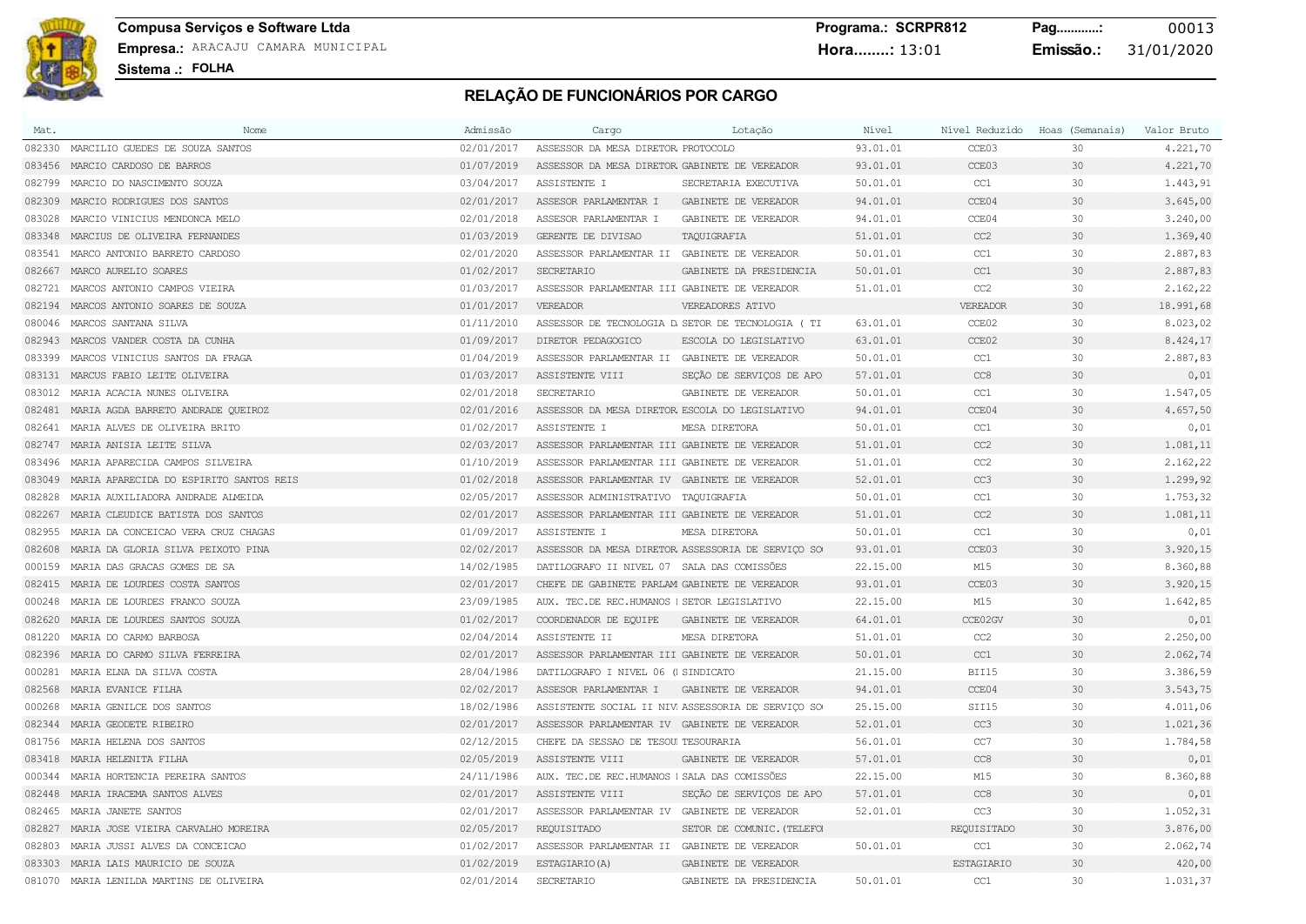**Compusa Serviços e Software Ltda Programa.: SCRPR812 Pag............:** 00013 **Empresa.:** ARACAJU CAMARA MUNICIPAL **Hora........:** 13:01 **Emissão.:** 31/01/2020

**Sistema .: FOLHA**

| Mat.   | Nome                                           | Admissão   | Cargo                                          | Lotação                                            | Nível    |                   | Nível Reduzido Hoas (Semanais) | Valor Bruto |
|--------|------------------------------------------------|------------|------------------------------------------------|----------------------------------------------------|----------|-------------------|--------------------------------|-------------|
| 082330 | MARCILIO GUEDES DE SOUZA SANTOS                | 02/01/2017 | ASSESSOR DA MESA DIRETOR PROTOCOLO             |                                                    | 93.01.01 | CCE03             | 30                             | 4.221,70    |
|        | 083456 MARCIO CARDOSO DE BARROS                | 01/07/2019 | ASSESSOR DA MESA DIRETOR GABINETE DE VEREADOR  |                                                    | 93.01.01 | CCE03             | 30                             | 4.221,70    |
| 082799 | MARCIO DO NASCIMENTO SOUZA                     | 03/04/2017 | ASSISTENTE I                                   | SECRETARIA EXECUTIVA                               | 50.01.01 | CC1               | 30                             | 1.443,91    |
| 082309 | MARCIO RODRIGUES DOS SANTOS                    | 02/01/2017 | ASSESOR PARLAMENTAR I                          | GABINETE DE VEREADOR                               | 94.01.01 | CCE04             | 30                             | 3.645,00    |
| 083028 | MARCIO VINICIUS MENDONCA MELO                  | 02/01/2018 | ASSESOR PARLAMENTAR I                          | GABINETE DE VEREADOR                               | 94.01.01 | CCE04             | 30                             | 3.240,00    |
|        | 083348 MARCIUS DE OLIVEIRA FERNANDES           | 01/03/2019 | GERENTE DE DIVISAO                             | TAQUIGRAFIA                                        | 51.01.01 | CC2               | 30                             | 1.369,40    |
| 083541 | MARCO ANTONIO BARRETO CARDOSO                  | 02/01/2020 | ASSESSOR PARLAMENTAR II GABINETE DE VEREADOR   |                                                    | 50.01.01 | CC1               | 30                             | 2.887,83    |
| 082667 | MARCO AURELIO SOARES                           | 01/02/2017 | SECRETARIO                                     | GABINETE DA PRESIDENCIA                            | 50.01.01 | CC1               | 30                             | 2.887,83    |
| 082721 | MARCOS ANTONIO CAMPOS VIEIRA                   | 01/03/2017 | ASSESSOR PARLAMENTAR III GABINETE DE VEREADOR  |                                                    | 51.01.01 | CC2               | 30                             | 2.162,22    |
|        | 082194 MARCOS ANTONIO SOARES DE SOUZA          | 01/01/2017 | VEREADOR                                       | VEREADORES ATIVO                                   |          | VEREADOR          | 30                             | 18.991,68   |
|        | 080046 MARCOS SANTANA SILVA                    | 01/11/2010 |                                                | ASSESSOR DE TECNOLOGIA D. SETOR DE TECNOLOGIA ( TI | 63.01.01 | CCE02             | 30                             | 8.023,02    |
|        | 082943 MARCOS VANDER COSTA DA CUNHA            | 01/09/2017 | DIRETOR PEDAGOGICO                             | ESCOLA DO LEGISLATIVO                              | 63.01.01 | CCE02             | 30                             | 8.424,17    |
| 083399 | MARCOS VINICIUS SANTOS DA FRAGA                | 01/04/2019 | ASSESSOR PARLAMENTAR II GABINETE DE VEREADOR   |                                                    | 50.01.01 | CC1               | 30                             | 2.887,83    |
| 083131 | MARCUS FABIO LEITE OLIVEIRA                    | 01/03/2017 | ASSISTENTE VIII                                | SEÇÃO DE SERVIÇOS DE APO                           | 57.01.01 | CC <sub>8</sub>   | 30                             | 0,01        |
| 083012 | MARIA ACACIA NUNES OLIVEIRA                    | 02/01/2018 | SECRETARIO                                     | GABINETE DE VEREADOR                               | 50.01.01 | CC1               | 30                             | 1.547,05    |
|        | 082481 MARIA AGDA BARRETO ANDRADE OUEIROZ      | 02/01/2016 | ASSESSOR DA MESA DIRETOR ESCOLA DO LEGISLATIVO |                                                    | 94.01.01 | CCE04             | 30                             | 4.657,50    |
| 082641 | MARIA ALVES DE OLIVEIRA BRITO                  | 01/02/2017 | ASSISTENTE I                                   | MESA DIRETORA                                      | 50.01.01 | CC1               | 30                             | 0,01        |
|        | 082747 MARIA ANISIA LEITE SILVA                | 02/03/2017 | ASSESSOR PARLAMENTAR III GABINETE DE VEREADOR  |                                                    | 51.01.01 | CC2               | 30                             | 1.081,11    |
| 083496 | MARIA APARECIDA CAMPOS SILVEIRA                | 01/10/2019 | ASSESSOR PARLAMENTAR III GABINETE DE VEREADOR  |                                                    | 51.01.01 | CC2               | 30                             | 2.162,22    |
|        | 083049 MARIA APARECIDA DO ESPIRITO SANTOS REIS | 01/02/2018 | ASSESSOR PARLAMENTAR IV GABINETE DE VEREADOR   |                                                    | 52.01.01 | CC3               | 30                             | 1.299,92    |
| 082828 | MARIA AUXILIADORA ANDRADE ALMEIDA              | 02/05/2017 | ASSESSOR ADMINISTRATIVO TAQUIGRAFIA            |                                                    | 50.01.01 | CC1               | 30                             | 1.753,32    |
| 082267 | MARIA CLEUDICE BATISTA DOS SANTOS              | 02/01/2017 | ASSESSOR PARLAMENTAR III GABINETE DE VEREADOR  |                                                    | 51.01.01 | CC2               | 30                             | 1.081,11    |
| 082955 | MARIA DA CONCEICAO VERA CRUZ CHAGAS            | 01/09/2017 | ASSISTENTE I                                   | MESA DIRETORA                                      | 50.01.01 | CC1               | 30                             | 0,01        |
| 082608 | MARIA DA GLORIA SILVA PEIXOTO PINA             | 02/02/2017 |                                                | ASSESSOR DA MESA DIRETOR ASSESSORIA DE SERVIÇO SO  | 93.01.01 | CCE03             | 30                             | 3.920,15    |
| 000159 | MARIA DAS GRACAS GOMES DE SA                   | 14/02/1985 | DATILOGRAFO II NIVEL 07 SALA DAS COMISSÕES     |                                                    | 22.15.00 | M15               | 30                             | 8.360,88    |
|        | 082415 MARIA DE LOURDES COSTA SANTOS           | 02/01/2017 | CHEFE DE GABINETE PARLAM GABINETE DE VEREADOR  |                                                    | 93.01.01 | CCE03             | 30                             | 3.920, 15   |
| 000248 | MARIA DE LOURDES FRANCO SOUZA                  | 23/09/1985 | AUX. TEC. DE REC. HUMANOS I SETOR LEGISLATIVO  |                                                    | 22,15.00 | M15               | 30                             | 1.642,85    |
|        | 082620 MARIA DE LOURDES SANTOS SOUZA           | 01/02/2017 | COORDENADOR DE EQUIPE                          | GABINETE DE VEREADOR                               | 64.01.01 | CCE02GV           | 30                             | 0,01        |
| 081220 | MARIA DO CARMO BARBOSA                         | 02/04/2014 | ASSISTENTE II                                  | MESA DIRETORA                                      | 51.01.01 | CC2               | 30                             | 2.250,00    |
|        | 082396 MARIA DO CARMO SILVA FERREIRA           | 02/01/2017 | ASSESSOR PARLAMENTAR III GABINETE DE VEREADOR  |                                                    | 50.01.01 | CC1               | 30                             | 2.062,74    |
| 000281 | MARIA ELNA DA SILVA COSTA                      | 28/04/1986 | DATILOGRAFO I NIVEL 06 (1 SINDICATO            |                                                    | 21.15.00 | BII15             | 30                             | 3.386,59    |
|        | 082568 MARIA EVANICE FILHA                     | 02/02/2017 | ASSESOR PARLAMENTAR I                          | GABINETE DE VEREADOR                               | 94.01.01 | CCE04             | 30                             | 3.543,75    |
| 000268 | MARIA GENILCE DOS SANTOS                       | 18/02/1986 |                                                | ASSISTENTE SOCIAL II NIVIASSESSORIA DE SERVIÇO SO  | 25.15.00 | SII15             | 30                             | 4.011,06    |
|        | 082344 MARIA GEODETE RIBEIRO                   | 02/01/2017 | ASSESSOR PARLAMENTAR IV GABINETE DE VEREADOR   |                                                    | 52.01.01 | CC3               | 30                             | 1.021,36    |
| 081756 | MARIA HELENA DOS SANTOS                        | 02/12/2015 | CHEFE DA SESSAO DE TESOU TESOURARIA            |                                                    | 56.01.01 | CC7               | 30                             | 1.784,58    |
|        | 083418 MARIA HELENITA FILHA                    | 02/05/2019 | ASSISTENTE VIII                                | GABINETE DE VEREADOR                               | 57.01.01 | CC8               | 30                             | 0,01        |
| 000344 | MARIA HORTENCIA PEREIRA SANTOS                 | 24/11/1986 | AUX, TEC.DE REC.HUMANOS I SALA DAS COMISSÕES   |                                                    | 22,15.00 | M15               | 30                             | 8.360,88    |
|        | 082448 MARIA IRACEMA SANTOS ALVES              | 02/01/2017 | ASSISTENTE VIII                                | SEÇÃO DE SERVIÇOS DE APO                           | 57.01.01 | CC <sub>8</sub>   | 30                             | 0,01        |
|        | 082465 MARIA JANETE SANTOS                     | 02/01/2017 | ASSESSOR PARLAMENTAR IV GABINETE DE VEREADOR   |                                                    | 52.01.01 | CC3               | 30                             | 1.052,31    |
|        | 082827 MARIA JOSE VIEIRA CARVALHO MOREIRA      | 02/05/2017 | REQUISITADO                                    | SETOR DE COMUNIC. (TELEFO)                         |          | REQUISITADO       | 30                             | 3.876,00    |
| 082803 | MARIA JUSSI ALVES DA CONCEICAO                 | 01/02/2017 | ASSESSOR PARLAMENTAR II GABINETE DE VEREADOR   |                                                    | 50.01.01 | CC1               | 30                             | 2.062,74    |
|        | 083303 MARIA LAIS MAURICIO DE SOUZA            | 01/02/2019 | ESTAGIARIO (A)                                 | GABINETE DE VEREADOR                               |          | <b>ESTAGIARIO</b> | 30                             | 420,00      |
|        | 081070 MARIA LENILDA MARTINS DE OLIVEIRA       | 02/01/2014 | SECRETARIO                                     | GABINETE DA PRESIDENCIA                            | 50.01.01 | CC1               | 30                             | 1.031,37    |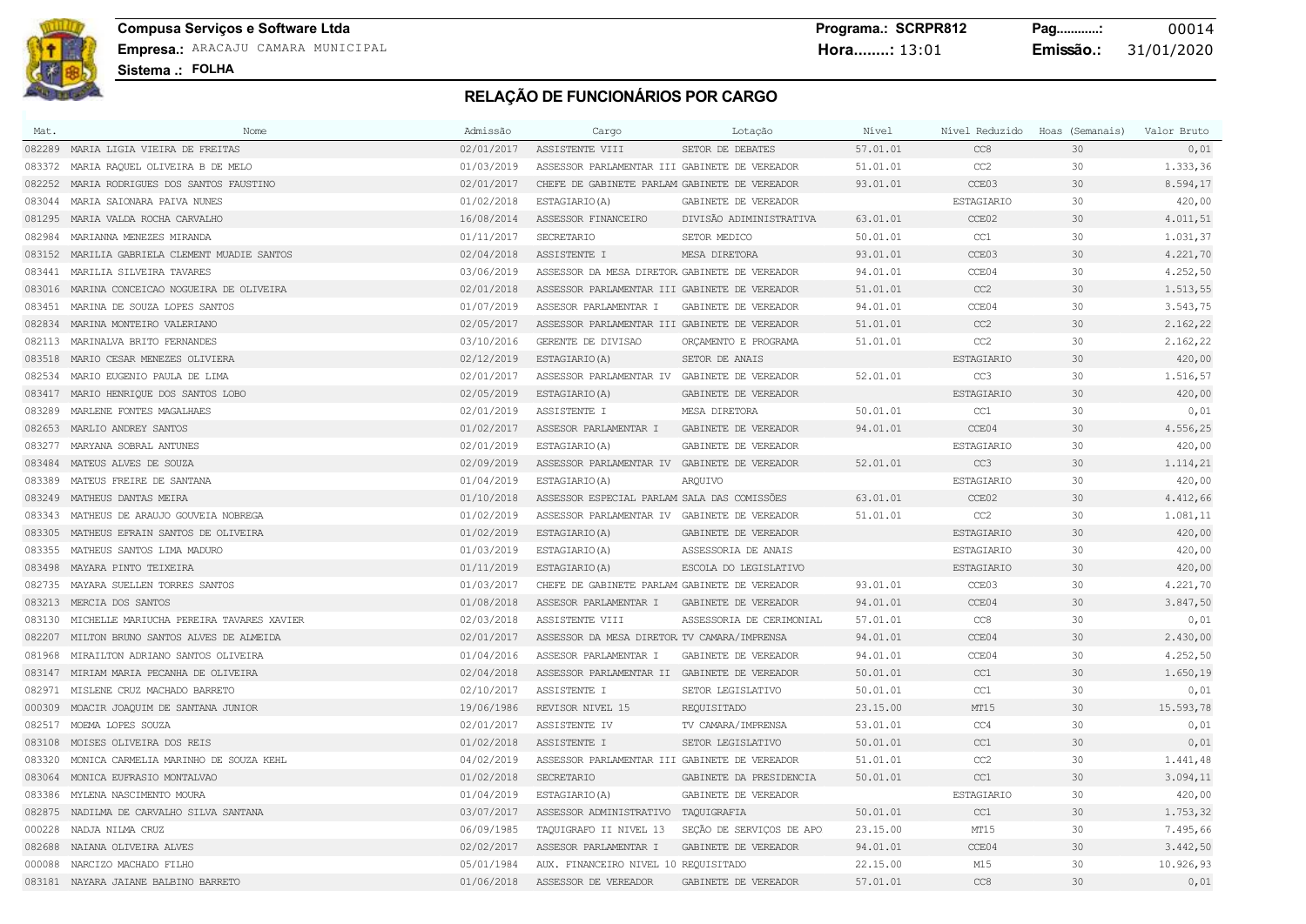### **Compusa Serviços e Software Ltda Programa.: SCRPR812 Pag............:** 00014 **Empresa.:** ARACAJU CAMARA MUNICIPAL **Hora........:** 13:01 **Emissão.:** 31/01/2020

| Mat.   | Nome                                         | Admissão   | Cargo                                         | Lotação                  | Nível    | Nível Reduzido    | Hoas (Semanais) | Valor Bruto |
|--------|----------------------------------------------|------------|-----------------------------------------------|--------------------------|----------|-------------------|-----------------|-------------|
|        | 082289 MARIA LIGIA VIEIRA DE FREITAS         | 02/01/2017 | ASSISTENTE VIII                               | SETOR DE DEBATES         | 57.01.01 | CC <sub>8</sub>   | 30              | 0,01        |
| 083372 | MARIA RAQUEL OLIVEIRA B DE MELO              | 01/03/2019 | ASSESSOR PARLAMENTAR III GABINETE DE VEREADOR |                          | 51.01.01 | CC2               | 30              | 1.333,36    |
| 082252 | MARIA RODRIGUES DOS SANTOS FAUSTINO          | 02/01/2017 | CHEFE DE GABINETE PARLAM GABINETE DE VEREADOR |                          | 93.01.01 | CCE03             | 30              | 8.594,17    |
| 083044 | MARIA SAIONARA PAIVA NUNES                   | 01/02/2018 | ESTAGIARIO (A)                                | GABINETE DE VEREADOR     |          | <b>ESTAGIARIO</b> | 30              | 420,00      |
| 081295 | MARIA VALDA ROCHA CARVALHO                   | 16/08/2014 | ASSESSOR FINANCEIRO                           | DIVISÃO ADIMINISTRATIVA  | 63.01.01 | CCE02             | 30              | 4.011,51    |
| 082984 | MARIANNA MENEZES MIRANDA                     | 01/11/2017 | SECRETARIO                                    | SETOR MEDICO             | 50.01.01 | CC1               | 30              | 1.031,37    |
| 083152 | MARILIA GABRIELA CLEMENT MUADIE SANTOS       | 02/04/2018 | ASSISTENTE I                                  | MESA DIRETORA            | 93.01.01 | CCE03             | 30              | 4.221,70    |
| 083441 | MARILIA SILVEIRA TAVARES                     | 03/06/2019 | ASSESSOR DA MESA DIRETOR GABINETE DE VEREADOR |                          | 94.01.01 | CCE04             | 30              | 4.252,50    |
|        | 083016 MARINA CONCEICAO NOGUEIRA DE OLIVEIRA | 02/01/2018 | ASSESSOR PARLAMENTAR III GABINETE DE VEREADOR |                          | 51.01.01 | CC2               | 30              | 1.513,55    |
| 083451 | MARINA DE SOUZA LOPES SANTOS                 | 01/07/2019 | ASSESOR PARLAMENTAR I                         | GABINETE DE VEREADOR     | 94.01.01 | CCE04             | 30              | 3.543,75    |
|        | 082834 MARINA MONTEIRO VALERIANO             | 02/05/2017 | ASSESSOR PARLAMENTAR III GABINETE DE VEREADOR |                          | 51.01.01 | CC2               | 30              | 2.162,22    |
| 082113 | MARINALVA BRITO FERNANDES                    | 03/10/2016 | GERENTE DE DIVISAO                            | ORCAMENTO E PROGRAMA     | 51.01.01 | CC2               | 30              | 2.162,22    |
| 083518 | MARIO CESAR MENEZES OLIVIERA                 | 02/12/2019 | ESTAGIARIO (A)                                | SETOR DE ANAIS           |          | <b>ESTAGIARIO</b> | 30              | 420,00      |
| 082534 | MARIO EUGENIO PAULA DE LIMA                  | 02/01/2017 | ASSESSOR PARLAMENTAR IV GABINETE DE VEREADOR  |                          | 52.01.01 | CC3               | 30              | 1.516,57    |
| 083417 | MARIO HENRIQUE DOS SANTOS LOBO               | 02/05/2019 | ESTAGIARIO (A)                                | GABINETE DE VEREADOR     |          | ESTAGIARIO        | 30              | 420,00      |
| 083289 | MARLENE FONTES MAGALHAES                     | 02/01/2019 | ASSISTENTE I                                  | MESA DIRETORA            | 50.01.01 | CC1               | 30              | 0,01        |
| 082653 | MARLIO ANDREY SANTOS                         | 01/02/2017 | ASSESOR PARLAMENTAR I                         | GABINETE DE VEREADOR     | 94.01.01 | CCE04             | 30              | 4.556,25    |
| 083277 | MARYANA SOBRAL ANTUNES                       | 02/01/2019 | ESTAGIARIO (A)                                | GABINETE DE VEREADOR     |          | ESTAGIARIO        | 30              | 420,00      |
|        | 083484 MATEUS ALVES DE SOUZA                 | 02/09/2019 | ASSESSOR PARLAMENTAR IV GABINETE DE VEREADOR  |                          | 52.01.01 | CC3               | 30              | 1.114,21    |
| 083389 | MATEUS FREIRE DE SANTANA                     | 01/04/2019 | ESTAGIARIO (A)                                | AROUIVO                  |          | <b>ESTAGIARIO</b> | 30              | 420,00      |
|        | 083249 MATHEUS DANTAS MEIRA                  | 01/10/2018 | ASSESSOR ESPECIAL PARLAM SALA DAS COMISSÕES   |                          | 63.01.01 | CCE02             | 30              | 4.412,66    |
| 083343 | MATHEUS DE ARAUJO GOUVEIA NOBREGA            | 01/02/2019 | ASSESSOR PARLAMENTAR IV GABINETE DE VEREADOR  |                          | 51.01.01 | CC2               | 30              | 1.081,11    |
|        | 083305 MATHEUS EFRAIN SANTOS DE OLIVEIRA     | 01/02/2019 | ESTAGIARIO (A)                                | GABINETE DE VEREADOR     |          | <b>ESTAGIARIO</b> | 30              | 420,00      |
| 083355 | MATHEUS SANTOS LIMA MADURO                   | 01/03/2019 | ESTAGIARIO (A)                                | ASSESSORIA DE ANAIS      |          | <b>ESTAGIARIO</b> | 30              | 420,00      |
| 083498 | MAYARA PINTO TEIXEIRA                        | 01/11/2019 | ESTAGIARIO (A)                                | ESCOLA DO LEGISLATIVO    |          | ESTAGIARIO        | 30              | 420,00      |
| 082735 | MAYARA SUELLEN TORRES SANTOS                 | 01/03/2017 | CHEFE DE GABINETE PARLAM GABINETE DE VEREADOR |                          | 93.01.01 | CCE03             | 30              | 4.221,70    |
|        | 083213 MERCIA DOS SANTOS                     | 01/08/2018 | ASSESOR PARLAMENTAR I                         | GABINETE DE VEREADOR     | 94.01.01 | CCE04             | 30              | 3.847,50    |
| 083130 | MICHELLE MARIUCHA PEREIRA TAVARES XAVIER     | 02/03/2018 | ASSISTENTE VIII                               | ASSESSORIA DE CERIMONIAL | 57.01.01 | CC <sub>8</sub>   | 30              | 0,01        |
| 082207 | MILTON BRUNO SANTOS ALVES DE ALMEIDA         | 02/01/2017 | ASSESSOR DA MESA DIRETOR TV CAMARA/IMPRENSA   |                          | 94.01.01 | CCE04             | 30              | 2.430,00    |
| 081968 | MIRAILTON ADRIANO SANTOS OLIVEIRA            | 01/04/2016 | ASSESOR PARLAMENTAR I                         | GABINETE DE VEREADOR     | 94.01.01 | CCE04             | 30              | 4.252,50    |
| 083147 | MIRIAM MARIA PECANHA DE OLIVEIRA             | 02/04/2018 | ASSESSOR PARLAMENTAR II GABINETE DE VEREADOR  |                          | 50.01.01 | CC1               | 30              | 1.650,19    |
| 082971 | MISLENE CRUZ MACHADO BARRETO                 | 02/10/2017 | ASSISTENTE I                                  | SETOR LEGISLATIVO        | 50.01.01 | CC1               | 30              | 0,01        |
|        | 000309 MOACIR JOAQUIM DE SANTANA JUNIOR      | 19/06/1986 | REVISOR NIVEL 15                              | REQUISITADO              | 23.15.00 | MT15              | 30              | 15.593,78   |
| 082517 | MOEMA LOPES SOUZA                            | 02/01/2017 | ASSISTENTE IV                                 | TV CAMARA/IMPRENSA       | 53.01.01 | CC4               | 30              | 0,01        |
| 083108 | MOISES OLIVEIRA DOS REIS                     | 01/02/2018 | ASSISTENTE I                                  | SETOR LEGISLATIVO        | 50.01.01 | CC1               | 30              | 0,01        |
| 083320 | MONICA CARMELIA MARINHO DE SOUZA KEHL        | 04/02/2019 | ASSESSOR PARLAMENTAR III GABINETE DE VEREADOR |                          | 51.01.01 | CC2               | 30              | 1.441,48    |
| 083064 | MONICA EUFRASIO MONTALVAO                    | 01/02/2018 | SECRETARIO                                    | GABINETE DA PRESIDENCIA  | 50.01.01 | CC1               | 30              | 3.094, 11   |
| 083386 | MYLENA NASCIMENTO MOURA                      | 01/04/2019 | ESTAGIARIO (A)                                | GABINETE DE VEREADOR     |          | <b>ESTAGIARIO</b> | 30              | 420,00      |
|        | 082875 NADILMA DE CARVALHO SILVA SANTANA     | 03/07/2017 | ASSESSOR ADMINISTRATIVO TAQUIGRAFIA           |                          | 50.01.01 | CC1               | 30              | 1.753,32    |
| 000228 | NADJA NILMA CRUZ                             | 06/09/1985 | TAQUIGRAFO II NIVEL 13                        | SEÇÃO DE SERVIÇOS DE APO | 23.15.00 | MT15              | 30              | 7.495,66    |
| 082688 | NAIANA OLIVEIRA ALVES                        | 02/02/2017 | ASSESOR PARLAMENTAR I                         | GABINETE DE VEREADOR     | 94.01.01 | CCE04             | 30              | 3.442,50    |
| 000088 | NARCIZO MACHADO FILHO                        | 05/01/1984 | AUX. FINANCEIRO NIVEL 10 REQUISITADO          |                          | 22.15.00 | M15               | 30              | 10.926,93   |
|        | 083181 NAYARA JAIANE BALBINO BARRETO         | 01/06/2018 | ASSESSOR DE VEREADOR                          | GABINETE DE VEREADOR     | 57.01.01 | CC <sub>8</sub>   | 30              | 0,01        |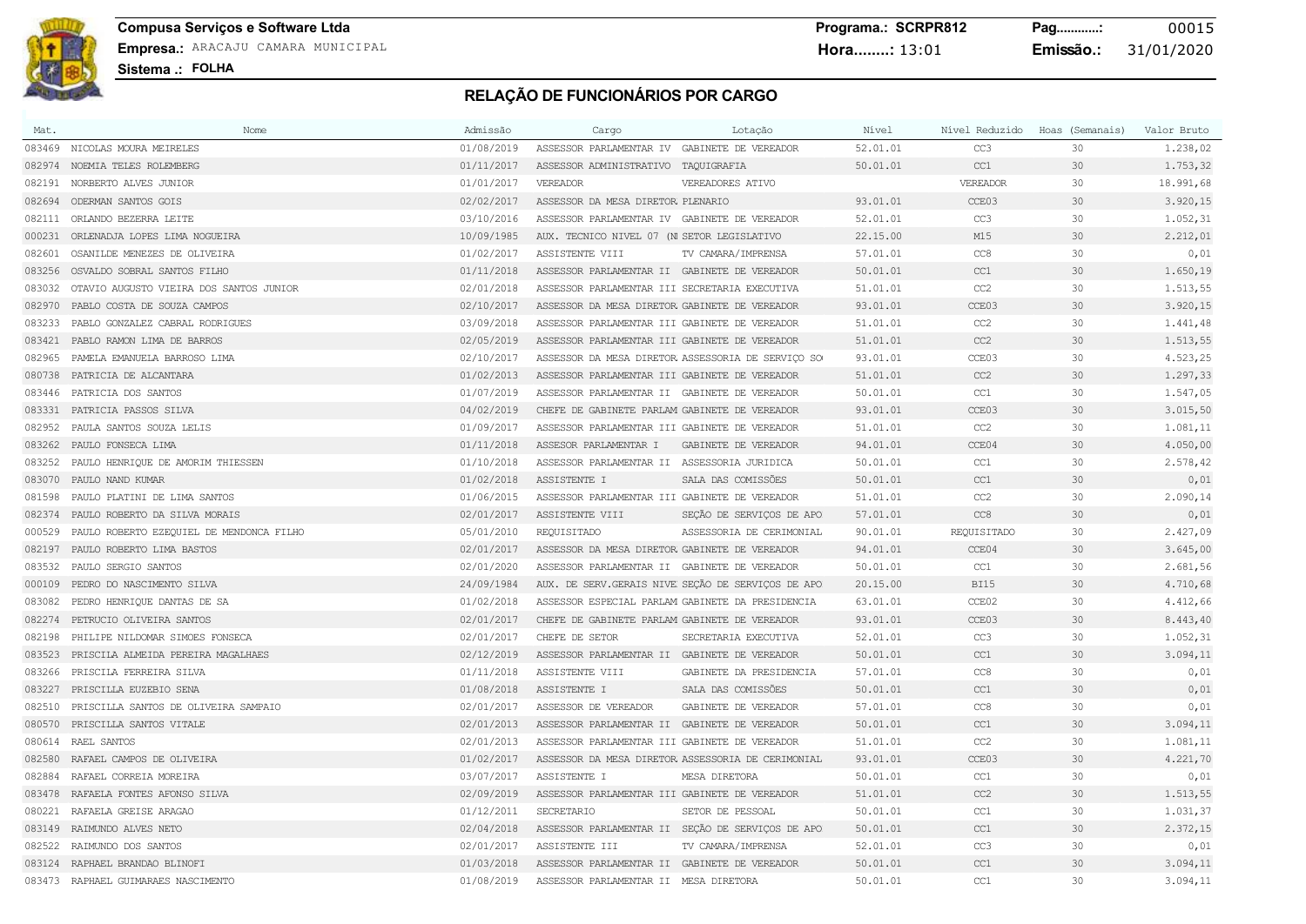**Compusa Serviços e Software Ltda Programa.: SCRPR812 Pag............:** 00015 **Empresa.:** ARACAJU CAMARA MUNICIPAL **Hora........:** 13:01 **Emissão.:** 31/01/2020

| Mat.   | Nome                                     | Admissão   | Cargo                                             | Lotação                                           | Nível    | Nível Reduzido     | Hoas (Semanais) | Valor Bruto |
|--------|------------------------------------------|------------|---------------------------------------------------|---------------------------------------------------|----------|--------------------|-----------------|-------------|
|        | 083469 NICOLAS MOURA MEIRELES            | 01/08/2019 | ASSESSOR PARLAMENTAR IV GABINETE DE VEREADOR      |                                                   | 52.01.01 | CC <sub>3</sub>    | 30              | 1.238,02    |
|        | 082974 NOEMIA TELES ROLEMBERG            | 01/11/2017 | ASSESSOR ADMINISTRATIVO TAQUIGRAFIA               |                                                   | 50.01.01 | CC1                | 30              | 1.753,32    |
| 082191 | NORBERTO ALVES JUNIOR                    | 01/01/2017 | VEREADOR                                          | VEREADORES ATIVO                                  |          | VEREADOR           | 30              | 18.991,68   |
| 082694 | ODERMAN SANTOS GOIS                      | 02/02/2017 | ASSESSOR DA MESA DIRETOR PLENARIO                 |                                                   | 93.01.01 | CCE03              | 30              | 3.920,15    |
| 082111 | ORLANDO BEZERRA LEITE                    | 03/10/2016 | ASSESSOR PARLAMENTAR IV GABINETE DE VEREADOR      |                                                   | 52.01.01 | CC3                | 30              | 1.052,31    |
| 000231 | ORLENADJA LOPES LIMA NOGUEIRA            | 10/09/1985 | AUX. TECNICO NIVEL 07 (N SETOR LEGISLATIVO        |                                                   | 22.15.00 | M15                | 30              | 2.212,01    |
| 082601 | OSANILDE MENEZES DE OLIVEIRA             | 01/02/2017 | ASSISTENTE VIII                                   | TV CAMARA/IMPRENSA                                | 57.01.01 | CC8                | 30              | 0,01        |
|        | 083256 OSVALDO SOBRAL SANTOS FILHO       | 01/11/2018 | ASSESSOR PARLAMENTAR II GABINETE DE VEREADOR      |                                                   | 50.01.01 | CC1                | 30              | 1.650,19    |
| 083032 | OTAVIO AUGUSTO VIEIRA DOS SANTOS JUNIOR  | 02/01/2018 | ASSESSOR PARLAMENTAR III SECRETARIA EXECUTIVA     |                                                   | 51.01.01 | CC2                | 30              | 1.513,55    |
|        | 082970 PABLO COSTA DE SOUZA CAMPOS       | 02/10/2017 | ASSESSOR DA MESA DIRETOR GABINETE DE VEREADOR     |                                                   | 93.01.01 | CCE03              | 30              | 3.920,15    |
| 083233 | PABLO GONZALEZ CABRAL RODRIGUES          | 03/09/2018 | ASSESSOR PARLAMENTAR III GABINETE DE VEREADOR     |                                                   | 51.01.01 | CC2                | 30              | 1.441,48    |
| 083421 | PABLO RAMON LIMA DE BARROS               | 02/05/2019 | ASSESSOR PARLAMENTAR III GABINETE DE VEREADOR     |                                                   | 51.01.01 | CC2                | 30              | 1.513,55    |
| 082965 | PAMELA EMANUELA BARROSO LIMA             | 02/10/2017 |                                                   | ASSESSOR DA MESA DIRETOR ASSESSORIA DE SERVIÇO SO | 93.01.01 | CCE03              | 30              | 4.523,25    |
|        | 080738 PATRICIA DE ALCANTARA             | 01/02/2013 | ASSESSOR PARLAMENTAR III GABINETE DE VEREADOR     |                                                   | 51.01.01 | CC2                | 30              | 1.297,33    |
| 083446 | PATRICIA DOS SANTOS                      | 01/07/2019 | ASSESSOR PARLAMENTAR II GABINETE DE VEREADOR      |                                                   | 50.01.01 | CC1                | 30              | 1.547,05    |
| 083331 | PATRICIA PASSOS SILVA                    | 04/02/2019 | CHEFE DE GABINETE PARLAM GABINETE DE VEREADOR     |                                                   | 93.01.01 | CCE03              | 30              | 3.015, 50   |
| 082952 | PAULA SANTOS SOUZA LELIS                 | 01/09/2017 | ASSESSOR PARLAMENTAR III GABINETE DE VEREADOR     |                                                   | 51.01.01 | CC2                | 30              | 1.081,11    |
| 083262 | PAULO FONSECA LIMA                       | 01/11/2018 | ASSESOR PARLAMENTAR I                             | GABINETE DE VEREADOR                              | 94.01.01 | CCE04              | 30              | 4,050,00    |
| 083252 | PAULO HENRIQUE DE AMORIM THIESSEN        | 01/10/2018 | ASSESSOR PARLAMENTAR II ASSESSORIA JURIDICA       |                                                   | 50.01.01 | CC1                | 30              | 2.578,42    |
|        | 083070 PAULO NAND KUMAR                  | 01/02/2018 | ASSISTENTE I                                      | SALA DAS COMISSÕES                                | 50.01.01 | CC1                | 30              | 0,01        |
| 081598 | PAULO PLATINI DE LIMA SANTOS             | 01/06/2015 | ASSESSOR PARLAMENTAR III GABINETE DE VEREADOR     |                                                   | 51.01.01 | CC2                | 30              | 2.090,14    |
|        | 082374 PAULO ROBERTO DA SILVA MORAIS     | 02/01/2017 | ASSISTENTE VIII                                   | SEÇÃO DE SERVIÇOS DE APO                          | 57.01.01 | CC <sub>8</sub>    | 30              | 0,01        |
| 000529 | PAULO ROBERTO EZEQUIEL DE MENDONCA FILHO | 05/01/2010 | REQUISITADO                                       | ASSESSORIA DE CERIMONIAL                          | 90.01.01 | <b>REQUISITADO</b> | 30              | 2.427,09    |
| 082197 | PAULO ROBERTO LIMA BASTOS                | 02/01/2017 | ASSESSOR DA MESA DIRETOR GABINETE DE VEREADOR     |                                                   | 94.01.01 | CCE04              | 30              | 3.645,00    |
| 083532 | PAULO SERGIO SANTOS                      | 02/01/2020 | ASSESSOR PARLAMENTAR II GABINETE DE VEREADOR      |                                                   | 50.01.01 | CC1                | 30              | 2.681,56    |
| 000109 | PEDRO DO NASCIMENTO SILVA                | 24/09/1984 | AUX. DE SERV.GERAIS NIVE SEÇÃO DE SERVIÇOS DE APO |                                                   | 20.15.00 | <b>BI15</b>        | 30              | 4.710,68    |
| 083082 | PEDRO HENRIQUE DANTAS DE SA              | 01/02/2018 | ASSESSOR ESPECIAL PARLAM GABINETE DA PRESIDENCIA  |                                                   | 63.01.01 | CCE02              | 30              | 4.412,66    |
| 082274 | PETRUCIO OLIVEIRA SANTOS                 | 02/01/2017 | CHEFE DE GABINETE PARLAM GABINETE DE VEREADOR     |                                                   | 93.01.01 | CCE03              | 30              | 8.443,40    |
| 082198 | PHILIPE NILDOMAR SIMOES FONSECA          | 02/01/2017 | CHEFE DE SETOR                                    | SECRETARIA EXECUTIVA                              | 52.01.01 | CC3                | 30              | 1.052,31    |
| 083523 | PRISCILA ALMEIDA PEREIRA MAGALHAES       | 02/12/2019 | ASSESSOR PARLAMENTAR II GABINETE DE VEREADOR      |                                                   | 50.01.01 | CC1                | 30              | 3.094, 11   |
| 083266 | PRISCILA FERREIRA SILVA                  | 01/11/2018 | ASSISTENTE VIII                                   | GABINETE DA PRESIDENCIA                           | 57.01.01 | CC8                | 30              | 0,01        |
| 083227 | PRISCILLA EUZEBIO SENA                   | 01/08/2018 | ASSISTENTE I                                      | SALA DAS COMISSÕES                                | 50.01.01 | CC1                | 30              | 0,01        |
| 082510 | PRISCILLA SANTOS DE OLIVEIRA SAMPAIO     | 02/01/2017 | ASSESSOR DE VEREADOR                              | GABINETE DE VEREADOR                              | 57.01.01 | CC8                | 30              | 0,01        |
|        | 080570 PRISCILLA SANTOS VITALE           | 02/01/2013 | ASSESSOR PARLAMENTAR II GABINETE DE VEREADOR      |                                                   | 50.01.01 | CC1                | 30              | 3.094,11    |
| 080614 | RAEL SANTOS                              | 02/01/2013 | ASSESSOR PARLAMENTAR III GABINETE DE VEREADOR     |                                                   | 51.01.01 | CC2                | 30              | 1,081,11    |
| 082580 | RAFAEL CAMPOS DE OLIVEIRA                | 01/02/2017 | ASSESSOR DA MESA DIRETOR ASSESSORIA DE CERIMONIAL |                                                   | 93.01.01 | CCE03              | 30              | 4.221,70    |
| 082884 | RAFAEL CORREIA MOREIRA                   | 03/07/2017 | ASSISTENTE I                                      | MESA DIRETORA                                     | 50.01.01 | CC1                | 30              | 0,01        |
|        | 083478 RAFAELA FONTES AFONSO SILVA       | 02/09/2019 | ASSESSOR PARLAMENTAR III GABINETE DE VEREADOR     |                                                   | 51.01.01 | CC2                | 30              | 1.513,55    |
| 080221 | RAFAELA GREISE ARAGAO                    | 01/12/2011 | SECRETARIO                                        | SETOR DE PESSOAL                                  | 50.01.01 | CC1                | 30              | 1.031,37    |
|        | 083149 RAIMUNDO ALVES NETO               | 02/04/2018 | ASSESSOR PARLAMENTAR II SEÇÃO DE SERVIÇOS DE APO  |                                                   | 50.01.01 | CC1                | 30              | 2.372,15    |
| 082522 | RAIMUNDO DOS SANTOS                      | 02/01/2017 | ASSISTENTE III                                    | TV CAMARA/IMPRENSA                                | 52.01.01 | CC3                | 30              | 0,01        |
|        | 083124 RAPHAEL BRANDAO BLINOFI           | 01/03/2018 | ASSESSOR PARLAMENTAR II GABINETE DE VEREADOR      |                                                   | 50.01.01 | CC1                | 30              | 3.094,11    |
|        | 083473 RAPHAEL GUIMARAES NASCIMENTO      | 01/08/2019 | ASSESSOR PARLAMENTAR II MESA DIRETORA             |                                                   | 50.01.01 | CC1                | 30              | 3.094,11    |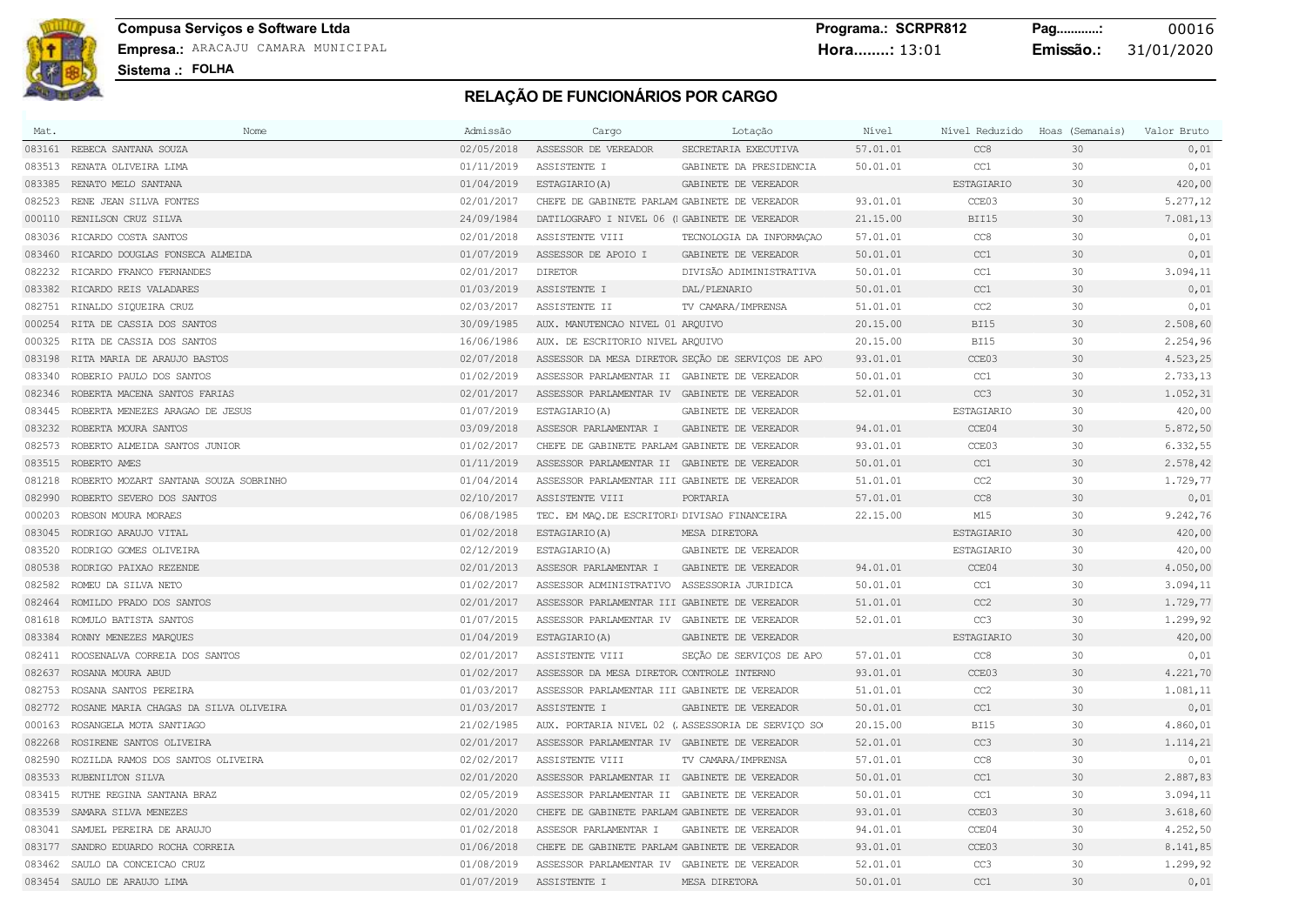**Compusa Serviços e Software Ltda Programa.: SCRPR812 Pag............:** 00016 **Empresa.:** ARACAJU CAMARA MUNICIPAL **Hora........:** 13:01 **Emissão.:** 31/01/2020

| Mat.   | Nome                                         | Admissão   | Cargo                                          | Lotação                                           | Nível    |                   | Nível Reduzido Hoas (Semanais) | Valor Bruto |
|--------|----------------------------------------------|------------|------------------------------------------------|---------------------------------------------------|----------|-------------------|--------------------------------|-------------|
|        | 083161 REBECA SANTANA SOUZA                  | 02/05/2018 | ASSESSOR DE VEREADOR                           | SECRETARIA EXECUTIVA                              | 57.01.01 | CC <sub>8</sub>   | 30                             | 0,01        |
| 083513 | RENATA OLIVEIRA LIMA                         | 01/11/2019 | ASSISTENTE I                                   | GABINETE DA PRESIDENCIA                           | 50.01.01 | CC1               | 30                             | 0,01        |
| 083385 | RENATO MELO SANTANA                          | 01/04/2019 | ESTAGIARIO (A)                                 | GABINETE DE VEREADOR                              |          | <b>ESTAGIARIO</b> | 30                             | 420,00      |
| 082523 | RENE JEAN SILVA FONTES                       | 02/01/2017 | CHEFE DE GABINETE PARLAM GABINETE DE VEREADOR  |                                                   | 93.01.01 | CCE03             | 30                             | 5.277, 12   |
|        | 000110 RENILSON CRUZ SILVA                   | 24/09/1984 | DATILOGRAFO I NIVEL 06 (I GABINETE DE VEREADOR |                                                   | 21.15.00 | BII15             | 30                             | 7.081,13    |
| 083036 | RICARDO COSTA SANTOS                         | 02/01/2018 | ASSISTENTE VIII                                | TECNOLOGIA DA INFORMAÇÃO                          | 57.01.01 | CC8               | 30                             | 0,01        |
| 083460 | RICARDO DOUGLAS FONSECA ALMEIDA              | 01/07/2019 | ASSESSOR DE APOIO I                            | GABINETE DE VEREADOR                              | 50.01.01 | CC1               | 30                             | 0,01        |
| 082232 | RICARDO FRANCO FERNANDES                     | 02/01/2017 | <b>DIRETOR</b>                                 | DIVISÃO ADIMINISTRATIVA                           | 50.01.01 | CC1               | 30                             | 3.094,11    |
| 083382 | RICARDO REIS VALADARES                       | 01/03/2019 | ASSISTENTE I                                   | DAL/PLENARIO                                      | 50.01.01 | CC1               | 30                             | 0,01        |
| 082751 | RINALDO SIQUEIRA CRUZ                        | 02/03/2017 | ASSISTENTE II                                  | TV CAMARA/IMPRENSA                                | 51.01.01 | CC2               | 30                             | 0,01        |
|        | 000254 RITA DE CASSIA DOS SANTOS             | 30/09/1985 | AUX. MANUTENCAO NIVEL 01 ARQUIVO               |                                                   | 20.15.00 | <b>BI15</b>       | 30                             | 2.508,60    |
|        | 000325 RITA DE CASSIA DOS SANTOS             | 16/06/1986 | AUX. DE ESCRITORIO NIVEL ARQUIVO               |                                                   | 20.15.00 | <b>BI15</b>       | 30                             | 2.254,96    |
|        | 083198 RITA MARIA DE ARAUJO BASTOS           | 02/07/2018 |                                                | ASSESSOR DA MESA DIRETOR SEÇÃO DE SERVIÇOS DE APO | 93.01.01 | CCE03             | 30                             | 4.523,25    |
| 083340 | ROBERIO PAULO DOS SANTOS                     | 01/02/2019 | ASSESSOR PARLAMENTAR II GABINETE DE VEREADOR   |                                                   | 50.01.01 | CC1               | 30                             | 2.733,13    |
| 082346 | ROBERTA MACENA SANTOS FARIAS                 | 02/01/2017 | ASSESSOR PARLAMENTAR IV GABINETE DE VEREADOR   |                                                   | 52.01.01 | CC3               | 30                             | 1.052,31    |
| 083445 | ROBERTA MENEZES ARAGAO DE JESUS              | 01/07/2019 | ESTAGIARIO (A)                                 | GABINETE DE VEREADOR                              |          | ESTAGIARIO        | 30                             | 420,00      |
| 083232 | ROBERTA MOURA SANTOS                         | 03/09/2018 | ASSESOR PARLAMENTAR I                          | GABINETE DE VEREADOR                              | 94.01.01 | CCE04             | 30                             | 5.872,50    |
| 082573 | ROBERTO ALMEIDA SANTOS JUNIOR                | 01/02/2017 | CHEFE DE GABINETE PARLAM GABINETE DE VEREADOR  |                                                   | 93.01.01 | CCE03             | 30                             | 6.332,55    |
|        | 083515 ROBERTO AMES                          | 01/11/2019 | ASSESSOR PARLAMENTAR II GABINETE DE VEREADOR   |                                                   | 50.01.01 | CC1               | 30                             | 2.578,42    |
| 081218 | ROBERTO MOZART SANTANA SOUZA SOBRINHO        | 01/04/2014 | ASSESSOR PARLAMENTAR III GABINETE DE VEREADOR  |                                                   | 51.01.01 | CC2               | 30                             | 1.729,77    |
| 082990 | ROBERTO SEVERO DOS SANTOS                    | 02/10/2017 | ASSISTENTE VIII                                | PORTARIA                                          | 57.01.01 | CC <sub>8</sub>   | 30                             | 0,01        |
| 000203 | ROBSON MOURA MORAES                          | 06/08/1985 | TEC. EM MAQ. DE ESCRITORI DIVISAO FINANCEIRA   |                                                   | 22.15.00 | M15               | 30                             | 9.242,76    |
|        | 083045 RODRIGO ARAUJO VITAL                  | 01/02/2018 | ESTAGIARIO (A)                                 | MESA DIRETORA                                     |          | <b>ESTAGIARIO</b> | 30                             | 420,00      |
| 083520 | RODRIGO GOMES OLIVEIRA                       | 02/12/2019 | ESTAGIARIO (A)                                 | GABINETE DE VEREADOR                              |          | <b>ESTAGIARIO</b> | 30                             | 420,00      |
|        | 080538 RODRIGO PAIXAO REZENDE                | 02/01/2013 | ASSESOR PARLAMENTAR I                          | GABINETE DE VEREADOR                              | 94.01.01 | CCE04             | 30                             | 4.050,00    |
| 082582 | ROMEU DA SILVA NETO                          | 01/02/2017 | ASSESSOR ADMINISTRATIVO ASSESSORIA JURIDICA    |                                                   | 50.01.01 | CC1               | 30                             | 3.094,11    |
| 082464 | ROMILDO PRADO DOS SANTOS                     | 02/01/2017 | ASSESSOR PARLAMENTAR III GABINETE DE VEREADOR  |                                                   | 51.01.01 | CC2               | 30                             | 1.729,77    |
| 081618 | ROMULO BATISTA SANTOS                        | 01/07/2015 | ASSESSOR PARLAMENTAR IV GABINETE DE VEREADOR   |                                                   | 52.01.01 | CC3               | 30                             | 1.299,92    |
| 083384 | RONNY MENEZES MARQUES                        | 01/04/2019 | ESTAGIARIO (A)                                 | GABINETE DE VEREADOR                              |          | ESTAGIARIO        | 30                             | 420,00      |
| 082411 | ROOSENALVA CORREIA DOS SANTOS                | 02/01/2017 | ASSISTENTE VIII                                | SECÃO DE SERVICOS DE APO                          | 57.01.01 | CC8               | 30                             | 0,01        |
| 082637 | ROSANA MOURA ABUD                            | 01/02/2017 | ASSESSOR DA MESA DIRETOR CONTROLE INTERNO      |                                                   | 93.01.01 | CCE03             | 30                             | 4.221,70    |
| 082753 | ROSANA SANTOS PEREIRA                        | 01/03/2017 | ASSESSOR PARLAMENTAR III GABINETE DE VEREADOR  |                                                   | 51.01.01 | CC2               | 30                             | 1.081,11    |
|        | 082772 ROSANE MARIA CHAGAS DA SILVA OLIVEIRA | 01/03/2017 | ASSISTENTE I                                   | GABINETE DE VEREADOR                              | 50.01.01 | CC1               | 30                             | 0,01        |
| 000163 | ROSANGELA MOTA SANTIAGO                      | 21/02/1985 |                                                | AUX. PORTARIA NIVEL 02 ( ASSESSORIA DE SERVIÇO SO | 20.15.00 | <b>BI15</b>       | 30                             | 4.860,01    |
| 082268 | ROSIRENE SANTOS OLIVEIRA                     | 02/01/2017 | ASSESSOR PARLAMENTAR IV GABINETE DE VEREADOR   |                                                   | 52.01.01 | CC3               | 30                             | 1.114,21    |
| 082590 | ROZILDA RAMOS DOS SANTOS OLIVEIRA            | 02/02/2017 | ASSISTENTE VIII                                | TV CAMARA/IMPRENSA                                | 57.01.01 | CC8               | 30                             | 0,01        |
|        | 083533 RUBENILTON SILVA                      | 02/01/2020 | ASSESSOR PARLAMENTAR II GABINETE DE VEREADOR   |                                                   | 50.01.01 | CC1               | 30                             | 2.887,83    |
| 083415 | RUTHE REGINA SANTANA BRAZ                    | 02/05/2019 | ASSESSOR PARLAMENTAR II GABINETE DE VEREADOR   |                                                   | 50.01.01 | CC1               | 30                             | 3.094, 11   |
| 083539 | SAMARA SILVA MENEZES                         | 02/01/2020 | CHEFE DE GABINETE PARLAM GABINETE DE VEREADOR  |                                                   | 93.01.01 | CCE03             | 30                             | 3.618,60    |
| 083041 | SAMUEL PEREIRA DE ARAUJO                     | 01/02/2018 | ASSESOR PARLAMENTAR I                          | GABINETE DE VEREADOR                              | 94.01.01 | CCE04             | 30                             | 4.252,50    |
| 083177 | SANDRO EDUARDO ROCHA CORREIA                 | 01/06/2018 | CHEFE DE GABINETE PARLAM GABINETE DE VEREADOR  |                                                   | 93.01.01 | CCE03             | 30                             | 8.141,85    |
| 083462 | SAULO DA CONCEICAO CRUZ                      | 01/08/2019 | ASSESSOR PARLAMENTAR IV GABINETE DE VEREADOR   |                                                   | 52.01.01 | CC3               | 30                             | 1.299,92    |
|        | 083454 SAULO DE ARAUJO LIMA                  | 01/07/2019 | ASSISTENTE I                                   | MESA DIRETORA                                     | 50.01.01 | CC1               | 30                             | 0,01        |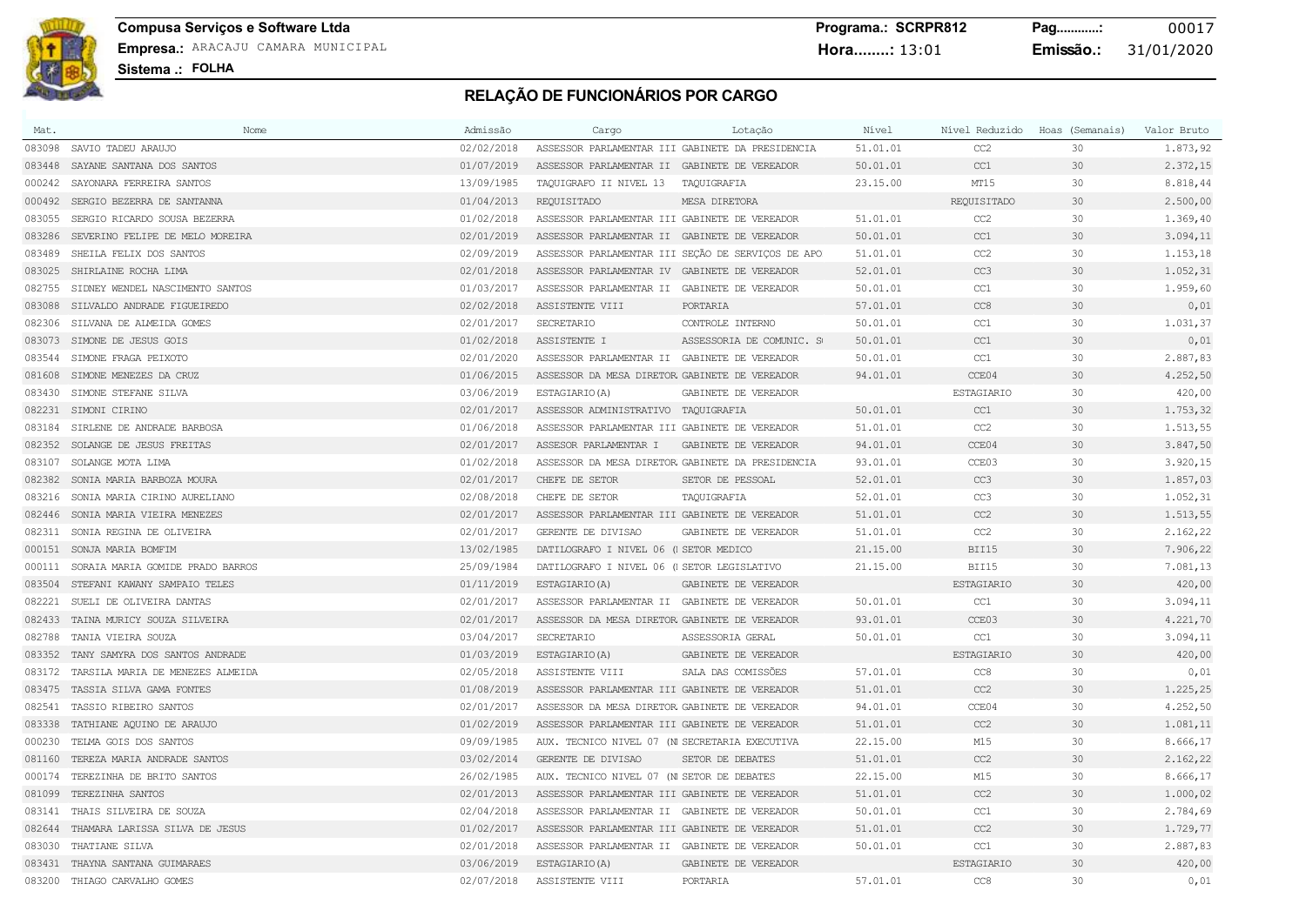**Compusa Serviços e Software Ltda Programa.: SCRPR812 Pag............:** 00017 **Empresa.:** ARACAJU CAMARA MUNICIPAL **Hora........:** 13:01 **Emissão.:** 31/01/2020

**Sistema .: FOLHA**

| Mat.   | Nome                                  | Admissão   | Cargo                                            | Lotação                                           | Nível      | Nível Reduzido    | Hoas (Semanais) | Valor Bruto |
|--------|---------------------------------------|------------|--------------------------------------------------|---------------------------------------------------|------------|-------------------|-----------------|-------------|
|        | 083098 SAVIO TADEU ARAUJO             | 02/02/2018 | ASSESSOR PARLAMENTAR III GABINETE DA PRESIDENCIA |                                                   | 51.01.01   | CC2               | 30              | 1.873,92    |
|        | 083448 SAYANE SANTANA DOS SANTOS      | 01/07/2019 | ASSESSOR PARLAMENTAR II GABINETE DE VEREADOR     |                                                   | 50.01.01   | CC1               | 30              | 2.372,15    |
| 000242 | SAYONARA FERREIRA SANTOS              | 13/09/1985 | TAQUIGRAFO II NIVEL 13 TAQUIGRAFIA               |                                                   | 23.15.00   | MT15              | 30              | 8.818,44    |
| 000492 | SERGIO BEZERRA DE SANTANNA            | 01/04/2013 | REQUISITADO                                      | MESA DIRETORA                                     |            | REQUISITADO       | 30              | 2.500,00    |
| 083055 | SERGIO RICARDO SOUSA BEZERRA          | 01/02/2018 | ASSESSOR PARLAMENTAR III GABINETE DE VEREADOR    |                                                   | 51.01.01   | CC2               | 30              | 1.369,40    |
| 083286 | SEVERINO FELIPE DE MELO MOREIRA       | 02/01/2019 | ASSESSOR PARLAMENTAR II GABINETE DE VEREADOR     |                                                   | 50.01.01   | CC1               | 30              | 3.094, 11   |
| 083489 | SHEILA FELIX DOS SANTOS               | 02/09/2019 |                                                  | ASSESSOR PARLAMENTAR III SEÇÃO DE SERVIÇOS DE APO | 51.01.01   | CC2               | 30              | 1.153,18    |
| 083025 | SHIRLAINE ROCHA LIMA                  | 02/01/2018 | ASSESSOR PARLAMENTAR IV GABINETE DE VEREADOR     |                                                   | 52.01.01   | CC3               | 30              | 1.052,31    |
| 082755 | SIDNEY WENDEL NASCIMENTO SANTOS       | 01/03/2017 | ASSESSOR PARLAMENTAR II GABINETE DE VEREADOR     |                                                   | 50.01.01   | CC1               | 30              | 1.959,60    |
| 083088 | SILVALDO ANDRADE FIGUEIREDO           | 02/02/2018 | ASSISTENTE VIII                                  | PORTARIA                                          | 57.01.01   | CC <sub>8</sub>   | 30              | 0,01        |
| 082306 | SILVANA DE ALMEIDA GOMES              | 02/01/2017 | SECRETARIO                                       | CONTROLE INTERNO                                  | 50.01.01   | CC1               | 30              | 1.031,37    |
| 083073 | SIMONE DE JESUS GOIS                  | 01/02/2018 | ASSISTENTE I                                     | ASSESSORIA DE COMUNIC. SO                         | 50.01.01   | CC1               | 30              | 0,01        |
| 083544 | SIMONE FRAGA PEIXOTO                  | 02/01/2020 | ASSESSOR PARLAMENTAR II GABINETE DE VEREADOR     |                                                   | 50.01.01   | CC1               | 30              | 2.887,83    |
| 081608 | SIMONE MENEZES DA CRUZ                | 01/06/2015 | ASSESSOR DA MESA DIRETOR GABINETE DE VEREADOR    |                                                   | 94.01.01   | CCE04             | 30              | 4.252,50    |
| 083430 | SIMONE STEFANE SILVA                  | 03/06/2019 | ESTAGIARIO (A)                                   | GABINETE DE VEREADOR                              |            | ESTAGIARIO        | 30              | 420,00      |
|        | 082231 SIMONI CIRINO                  | 02/01/2017 | ASSESSOR ADMINISTRATIVO TAQUIGRAFIA              |                                                   | 50.01.01   | CC1               | 30              | 1.753,32    |
| 083184 | SIRLENE DE ANDRADE BARBOSA            | 01/06/2018 | ASSESSOR PARLAMENTAR III GABINETE DE VEREADOR    |                                                   | 51.01.01   | CC2               | 30              | 1.513,55    |
| 082352 | SOLANGE DE JESUS FREITAS              | 02/01/2017 | ASSESOR PARLAMENTAR I                            | GABINETE DE VEREADOR                              | 94.01.01   | CCE04             | 30              | 3.847,50    |
| 083107 | SOLANGE MOTA LIMA                     | 01/02/2018 | ASSESSOR DA MESA DIRETOR GABINETE DA PRESIDENCIA |                                                   | 93.01.01   | CCE03             | 30              | 3.920,15    |
|        | 082382 SONIA MARIA BARBOZA MOURA      | 02/01/2017 | CHEFE DE SETOR                                   | SETOR DE PESSOAL                                  | 52.01.01   | CC <sub>3</sub>   | 30              | 1.857,03    |
| 083216 | SONIA MARIA CIRINO AURELIANO          | 02/08/2018 | CHEFE DE SETOR                                   | TAQUIGRAFIA                                       | 52.01.01   | CC <sub>3</sub>   | 30              | 1.052,31    |
| 082446 | SONIA MARIA VIEIRA MENEZES            | 02/01/2017 | ASSESSOR PARLAMENTAR III GABINETE DE VEREADOR    |                                                   | 51.01.01   | CC <sub>2</sub>   | 30              | 1.513,55    |
| 082311 | SONIA REGINA DE OLIVEIRA              | 02/01/2017 | GERENTE DE DIVISAO                               | GABINETE DE VEREADOR                              | 51.01.01   | CC2               | 30              | 2.162,22    |
| 000151 | SONJA MARIA BOMFIM                    | 13/02/1985 | DATILOGRAFO I NIVEL 06 (1 SETOR MEDICO           |                                                   | 21, 15, 00 | BII15             | 30              | 7.906,22    |
| 000111 | SORAIA MARIA GOMIDE PRADO BARROS      | 25/09/1984 | DATILOGRAFO I NIVEL 06 (1 SETOR LEGISLATIVO      |                                                   | 21.15.00   | BII15             | 30              | 7.081,13    |
|        | 083504 STEFANI KAWANY SAMPAIO TELES   | 01/11/2019 | ESTAGIARIO (A)                                   | GABINETE DE VEREADOR                              |            | ESTAGIARIO        | 30              | 420,00      |
| 082221 | SUELI DE OLIVEIRA DANTAS              | 02/01/2017 | ASSESSOR PARLAMENTAR II GABINETE DE VEREADOR     |                                                   | 50.01.01   | CC1               | 30              | 3.094,11    |
| 082433 | TAINA MURICY SOUZA SILVEIRA           | 02/01/2017 | ASSESSOR DA MESA DIRETOR GABINETE DE VEREADOR    |                                                   | 93.01.01   | CCE03             | 30              | 4.221,70    |
| 082788 | TANIA VIEIRA SOUZA                    | 03/04/2017 | SECRETARIO                                       | ASSESSORIA GERAL                                  | 50.01.01   | CC1               | 30              | 3.094, 11   |
| 083352 | TANY SAMYRA DOS SANTOS ANDRADE        | 01/03/2019 | ESTAGIARIO (A)                                   | GABINETE DE VEREADOR                              |            | ESTAGIARIO        | 30              | 420,00      |
| 083172 | TARSILA MARIA DE MENEZES ALMEIDA      | 02/05/2018 | ASSISTENTE VIII                                  | SALA DAS COMISSÕES                                | 57.01.01   | CC <sub>8</sub>   | 30              | 0,01        |
| 083475 | TASSIA SILVA GAMA FONTES              | 01/08/2019 | ASSESSOR PARLAMENTAR III GABINETE DE VEREADOR    |                                                   | 51.01.01   | CC2               | 30              | 1.225,25    |
| 082541 | TASSIO RIBEIRO SANTOS                 | 02/01/2017 | ASSESSOR DA MESA DIRETOR GABINETE DE VEREADOR    |                                                   | 94.01.01   | CCE04             | 30              | 4.252,50    |
| 083338 | TATHIANE AQUINO DE ARAUJO             | 01/02/2019 | ASSESSOR PARLAMENTAR III GABINETE DE VEREADOR    |                                                   | 51.01.01   | CC <sub>2</sub>   | 30              | 1.081,11    |
| 000230 | TELMA GOIS DOS SANTOS                 | 09/09/1985 | AUX. TECNICO NIVEL 07 (N SECRETARIA EXECUTIVA    |                                                   | 22.15.00   | M15               | 30              | 8.666,17    |
| 081160 | TEREZA MARIA ANDRADE SANTOS           | 03/02/2014 | GERENTE DE DIVISAO                               | SETOR DE DEBATES                                  | 51.01.01   | CC2               | 30              | 2.162,22    |
| 000174 | TEREZINHA DE BRITO SANTOS             | 26/02/1985 | AUX. TECNICO NIVEL 07 (N SETOR DE DEBATES        |                                                   | 22.15.00   | M15               | 30              | 8.666,17    |
|        | 081099 TEREZINHA SANTOS               | 02/01/2013 | ASSESSOR PARLAMENTAR III GABINETE DE VEREADOR    |                                                   | 51.01.01   | CC <sub>2</sub>   | 30              | 1.000,02    |
|        | 083141 THAIS SILVEIRA DE SOUZA        | 02/04/2018 | ASSESSOR PARLAMENTAR II GABINETE DE VEREADOR     |                                                   | 50.01.01   | CC1               | 30              | 2.784,69    |
|        | 082644 THAMARA LARISSA SILVA DE JESUS | 01/02/2017 | ASSESSOR PARLAMENTAR III GABINETE DE VEREADOR    |                                                   | 51.01.01   | CC2               | 30              | 1.729,77    |
| 083030 | THATIANE SILVA                        | 02/01/2018 | ASSESSOR PARLAMENTAR II GABINETE DE VEREADOR     |                                                   | 50.01.01   | CC1               | 30              | 2.887,83    |
|        | 083431 THAYNA SANTANA GUIMARAES       | 03/06/2019 | ESTAGIARIO (A)                                   | GABINETE DE VEREADOR                              |            | <b>ESTAGIARIO</b> | 30              | 420,00      |
|        | 083200 THIAGO CARVALHO GOMES          | 02/07/2018 | ASSISTENTE VIII                                  | PORTARIA                                          | 57.01.01   | CC <sub>8</sub>   | 30              | 0,01        |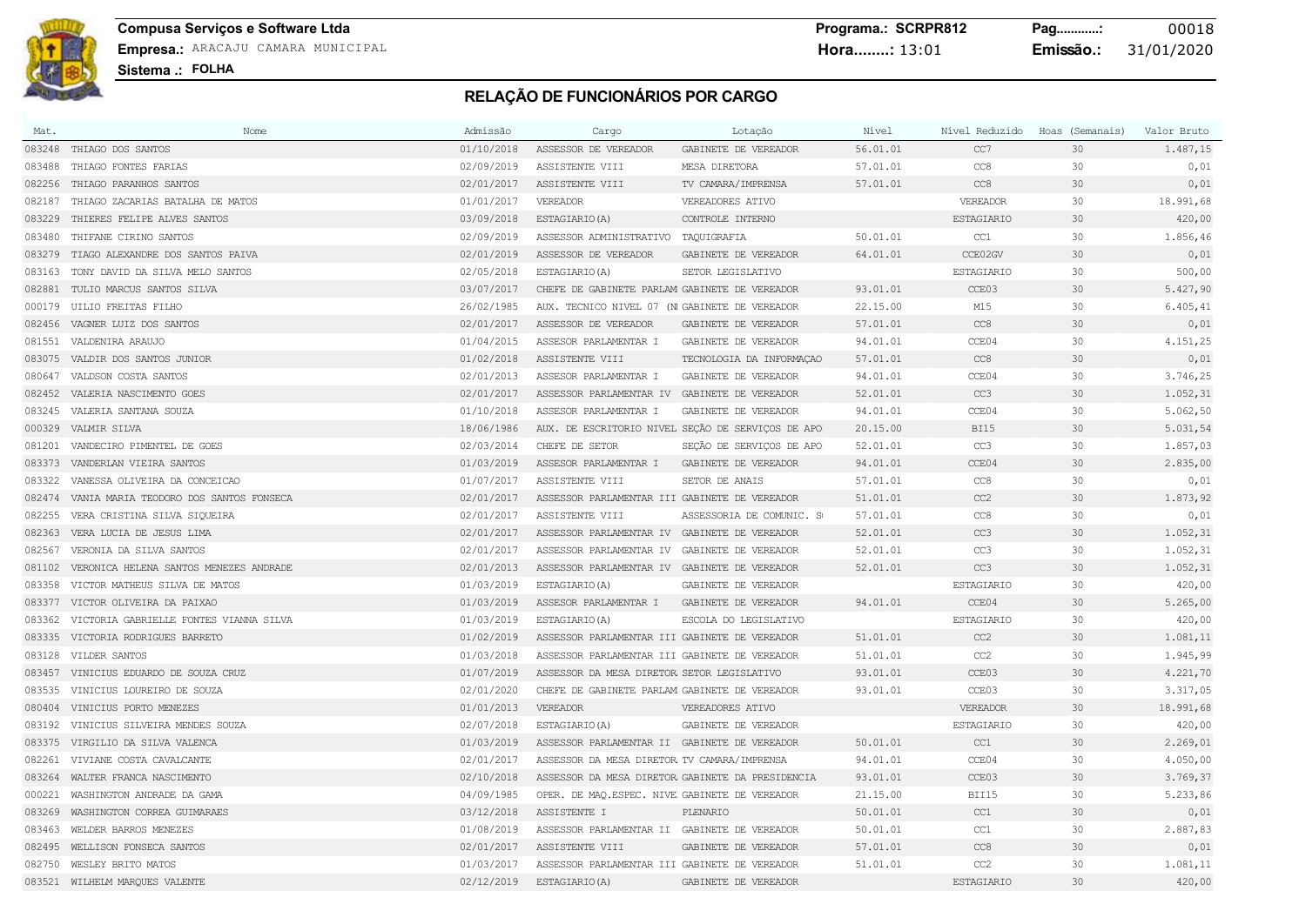### **Compusa Serviços e Software Ltda Programa.: SCRPR812 Pag............:** 00018 **Empresa.:** ARACAJU CAMARA MUNICIPAL **Hora........:** 13:01 **Emissão.:** 31/01/2020

| Mat.   | Nome                                          | Admissão   | Cargo                                            | Lotacão                                           | Nível    | Nível Reduzido    | Hoas (Semanais) | Valor Bruto |
|--------|-----------------------------------------------|------------|--------------------------------------------------|---------------------------------------------------|----------|-------------------|-----------------|-------------|
|        | 083248 THIAGO DOS SANTOS                      | 01/10/2018 | ASSESSOR DE VEREADOR                             | GABINETE DE VEREADOR                              | 56.01.01 | CC7               | 30              | 1.487,15    |
| 083488 | THIAGO FONTES FARIAS                          | 02/09/2019 | ASSISTENTE VIII                                  | MESA DIRETORA                                     | 57.01.01 | CC <sub>8</sub>   | 30              | 0,01        |
| 082256 | THIAGO PARANHOS SANTOS                        | 02/01/2017 | ASSISTENTE VIII                                  | TV CAMARA/IMPRENSA                                | 57.01.01 | CC8               | 30              | 0,01        |
| 082187 | THIAGO ZACARIAS BATALHA DE MATOS              | 01/01/2017 | VEREADOR                                         | VEREADORES ATIVO                                  |          | VEREADOR          | 30              | 18.991,68   |
| 083229 | THIERES FELIPE ALVES SANTOS                   | 03/09/2018 | ESTAGIARIO (A)                                   | CONTROLE INTERNO                                  |          | <b>ESTAGIARIO</b> | 30              | 420,00      |
| 083480 | THIFANE CIRINO SANTOS                         | 02/09/2019 | ASSESSOR ADMINISTRATIVO TAQUIGRAFIA              |                                                   | 50.01.01 | CC1               | 30              | 1.856,46    |
| 083279 | TIAGO ALEXANDRE DOS SANTOS PAIVA              | 02/01/2019 | ASSESSOR DE VEREADOR                             | GABINETE DE VEREADOR                              | 64.01.01 | CCE02GV           | 30              | 0,01        |
| 083163 | TONY DAVID DA SILVA MELO SANTOS               | 02/05/2018 | ESTAGIARIO (A)                                   | SETOR LEGISLATIVO                                 |          | <b>ESTAGIARIO</b> | 30              | 500,00      |
|        | 082881 TULIO MARCUS SANTOS SILVA              | 03/07/2017 | CHEFE DE GABINETE PARLAM GABINETE DE VEREADOR    |                                                   | 93.01.01 | CCE03             | 30              | 5.427,90    |
| 000179 | UILIO FREITAS FILHO                           | 26/02/1985 | AUX. TECNICO NIVEL 07 (NI GABINETE DE VEREADOR   |                                                   | 22.15.00 | M15               | 30              | 6.405, 41   |
|        | 082456 VAGNER LUIZ DOS SANTOS                 | 02/01/2017 | ASSESSOR DE VEREADOR                             | GABINETE DE VEREADOR                              | 57.01.01 | CC <sub>8</sub>   | 30              | 0,01        |
| 081551 | VALDENIRA ARAUJO                              | 01/04/2015 | ASSESOR PARLAMENTAR I                            | GABINETE DE VEREADOR                              | 94.01.01 | CCE04             | 30              | 4.151,25    |
|        | 083075 VALDIR DOS SANTOS JUNIOR               | 01/02/2018 | ASSISTENTE VIII                                  | TECNOLOGIA DA INFORMAÇÃO                          | 57.01.01 | CC8               | 30              | 0,01        |
| 080647 | VALDSON COSTA SANTOS                          | 02/01/2013 | ASSESOR PARLAMENTAR I                            | GABINETE DE VEREADOR                              | 94.01.01 | CCE04             | 30              | 3.746,25    |
| 082452 | VALERIA NASCIMENTO GOES                       | 02/01/2017 | ASSESSOR PARLAMENTAR IV GABINETE DE VEREADOR     |                                                   | 52.01.01 | CC <sub>3</sub>   | 30              | 1.052,31    |
| 083245 | VALERIA SANTANA SOUZA                         | 01/10/2018 | ASSESOR PARLAMENTAR I                            | GABINETE DE VEREADOR                              | 94.01.01 | CCE04             | 30              | 5.062, 50   |
| 000329 | VALMIR SILVA                                  | 18/06/1986 |                                                  | AUX. DE ESCRITORIO NIVEL SECÃO DE SERVICOS DE APO | 20.15.00 | <b>BI15</b>       | 30              | 5.031,54    |
| 081201 | VANDECIRO PIMENTEL DE GOES                    | 02/03/2014 | CHEFE DE SETOR                                   | SEÇÃO DE SERVIÇOS DE APO                          | 52.01.01 | CC3               | 30              | 1.857,03    |
|        | 083373 VANDERLAN VIEIRA SANTOS                | 01/03/2019 | ASSESOR PARLAMENTAR I                            | GABINETE DE VEREADOR                              | 94.01.01 | CCE04             | 30              | 2.835,00    |
| 083322 | VANESSA OLIVEIRA DA CONCEICAO                 | 01/07/2017 | ASSISTENTE VIII                                  | SETOR DE ANAIS                                    | 57.01.01 | CC <sub>8</sub>   | 30              | 0,01        |
|        | 082474 VANIA MARIA TEODORO DOS SANTOS FONSECA | 02/01/2017 | ASSESSOR PARLAMENTAR III GABINETE DE VEREADOR    |                                                   | 51.01.01 | CC2               | 30              | 1.873,92    |
| 082255 | VERA CRISTINA SILVA SIQUEIRA                  | 02/01/2017 | ASSISTENTE VIII                                  | ASSESSORIA DE COMUNIC. SO                         | 57.01.01 | CC8               | 30              | 0,01        |
|        | 082363 VERA LUCIA DE JESUS LIMA               | 02/01/2017 | ASSESSOR PARLAMENTAR IV GABINETE DE VEREADOR     |                                                   | 52.01.01 | CC3               | 30              | 1.052,31    |
| 082567 | VERONIA DA SILVA SANTOS                       | 02/01/2017 | ASSESSOR PARLAMENTAR IV GABINETE DE VEREADOR     |                                                   | 52.01.01 | CC3               | 30              | 1.052,31    |
|        | 081102 VERONICA HELENA SANTOS MENEZES ANDRADE | 02/01/2013 | ASSESSOR PARLAMENTAR IV GABINETE DE VEREADOR     |                                                   | 52.01.01 | CC3               | 30              | 1.052,31    |
| 083358 | VICTOR MATHEUS SILVA DE MATOS                 | 01/03/2019 | ESTAGIARIO (A)                                   | GABINETE DE VEREADOR                              |          | <b>ESTAGIARIO</b> | 30              | 420,00      |
|        | 083377 VICTOR OLIVEIRA DA PAIXAO              | 01/03/2019 | ASSESOR PARLAMENTAR I                            | GABINETE DE VEREADOR                              | 94.01.01 | CCE04             | 30              | 5.265,00    |
| 083362 | VICTORIA GABRIELLE FONTES VIANNA SILVA        | 01/03/2019 | ESTAGIARIO (A)                                   | ESCOLA DO LEGISLATIVO                             |          | <b>ESTAGIARIO</b> | 30              | 420,00      |
| 083335 | VICTORIA RODRIGUES BARRETO                    | 01/02/2019 | ASSESSOR PARLAMENTAR III GABINETE DE VEREADOR    |                                                   | 51.01.01 | CC2               | 30              | 1.081,11    |
| 083128 | VILDER SANTOS                                 | 01/03/2018 | ASSESSOR PARLAMENTAR III GABINETE DE VEREADOR    |                                                   | 51.01.01 | CC2               | 30              | 1.945,99    |
|        | 083457 VINICIUS EDUARDO DE SOUZA CRUZ         | 01/07/2019 | ASSESSOR DA MESA DIRETOR SETOR LEGISLATIVO       |                                                   | 93.01.01 | CCE03             | 30              | 4.221,70    |
| 083535 | VINICIUS LOUREIRO DE SOUZA                    | 02/01/2020 | CHEFE DE GABINETE PARLAM GABINETE DE VEREADOR    |                                                   | 93.01.01 | CCE03             | 30              | 3.317,05    |
|        | 080404 VINICIUS PORTO MENEZES                 | 01/01/2013 | VEREADOR                                         | VEREADORES ATIVO                                  |          | VEREADOR          | 30              | 18.991,68   |
| 083192 | VINICIUS SILVEIRA MENDES SOUZA                | 02/07/2018 | ESTAGIARIO (A)                                   | GABINETE DE VEREADOR                              |          | <b>ESTAGIARIO</b> | 30              | 420,00      |
| 083375 | VIRGILIO DA SILVA VALENCA                     | 01/03/2019 | ASSESSOR PARLAMENTAR II GABINETE DE VEREADOR     |                                                   | 50.01.01 | CC1               | 30              | 2.269,01    |
|        | 082261 VIVIANE COSTA CAVALCANTE               | 02/01/2017 | ASSESSOR DA MESA DIRETOR TV CAMARA/IMPRENSA      |                                                   | 94.01.01 | CCE04             | 30              | 4.050,00    |
| 083264 | WALTER FRANCA NASCIMENTO                      | 02/10/2018 | ASSESSOR DA MESA DIRETOR GABINETE DA PRESIDENCIA |                                                   | 93.01.01 | CCE03             | 30              | 3.769,37    |
| 000221 | WASHINGTON ANDRADE DA GAMA                    | 04/09/1985 | OPER. DE MAQ. ESPEC. NIVE GABINETE DE VEREADOR   |                                                   | 21.15.00 | BII15             | 30              | 5.233,86    |
| 083269 | WASHINGTON CORREA GUIMARAES                   | 03/12/2018 | ASSISTENTE I                                     | PLENARIO                                          | 50.01.01 | CC1               | 30              | 0,01        |
| 083463 | WELDER BARROS MENEZES                         | 01/08/2019 | ASSESSOR PARLAMENTAR II GABINETE DE VEREADOR     |                                                   | 50.01.01 | CC1               | 30              | 2.887,83    |
|        | 082495 WELLISON FONSECA SANTOS                | 02/01/2017 | ASSISTENTE VIII                                  | GABINETE DE VEREADOR                              | 57.01.01 | CC8               | 30              | 0,01        |
| 082750 | WESLEY BRITO MATOS                            | 01/03/2017 | ASSESSOR PARLAMENTAR III GABINETE DE VEREADOR    |                                                   | 51.01.01 | CC2               | 30              | 1.081,11    |
|        | 083521 WILHELM MARQUES VALENTE                | 02/12/2019 | ESTAGIARIO (A)                                   | GABINETE DE VEREADOR                              |          | ESTAGIARIO        | 30              | 420,00      |